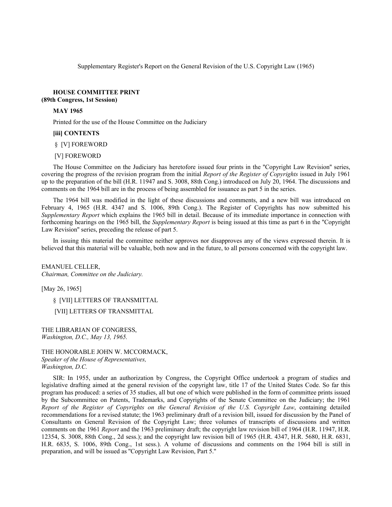Supplementary Register's Report on the General Revision of the U.S. Copyright Law (1965)

### **HOUSE COMMITTEE PRINT (89th Congress, 1st Session)**

#### **MAY 1965**

Printed for the use of the House Committee on the Judiciary

# **[iii] CONTENTS**

§ [V] FOREWORD

#### [V] FOREWORD

The House Committee on the Judiciary has heretofore issued four prints in the ''Copyright Law Revision'' series, covering the progress of the revision program from the initial *Report of the Register of Copyrights* issued in July 1961 up to the preparation of the bill (H.R. 11947 and S. 3008, 88th Cong.) introduced on July 20, 1964. The discussions and comments on the 1964 bill are in the process of being assembled for issuance as part 5 in the series.

The 1964 bill was modified in the light of these discussions and comments, and a new bill was introduced on February 4, 1965 (H.R. 4347 and S. 1006, 89th Cong.). The Register of Copyrights has now submitted his *Supplementary Report* which explains the 1965 bill in detail. Because of its immediate importance in connection with forthcoming hearings on the 1965 bill, the *Supplementary Report* is being issued at this time as part 6 in the ''Copyright Law Revision'' series, preceding the release of part 5.

In issuing this material the committee neither approves nor disapproves any of the views expressed therein. It is believed that this material will be valuable, both now and in the future, to all persons concerned with the copyright law.

EMANUEL CELLER, *Chairman, Committee on the Judiciary.*

[May 26, 1965]

§ [VII] LETTERS OF TRANSMITTAL

[VII] LETTERS OF TRANSMITTAL

THE LIBRARIAN OF CONGRESS, *Washington, D.C., May 13, 1965.*

THE HONORABLE JOHN W. MCCORMACK, *Speaker of the House of Representatives, Washington, D.C.*

SIR: In 1955, under an authorization by Congress, the Copyright Office undertook a program of studies and legislative drafting aimed at the general revision of the copyright law, title 17 of the United States Code. So far this program has produced: a series of 35 studies, all but one of which were published in the form of committee prints issued by the Subcommittee on Patents, Trademarks, and Copyrights of the Senate Committee on the Judiciary; the 1961 *Report of the Register of Copyrights on the General Revision of the U.S. Copyright Law*, containing detailed recommendations for a revised statute; the 1963 preliminary draft of a revision bill, issued for discussion by the Panel of Consultants on General Revision of the Copyright Law; three volumes of transcripts of discussions and written comments on the 1961 *Report* and the 1963 preliminary draft; the copyright law revision bill of 1964 (H.R. 11947, H.R. 12354, S. 3008, 88th Cong., 2d sess.); and the copyright law revision bill of 1965 (H.R. 4347, H.R. 5680, H.R. 6831, H.R. 6835, S. 1006, 89th Cong., 1st sess.). A volume of discussions and comments on the 1964 bill is still in preparation, and will be issued as ''Copyright Law Revision, Part 5.''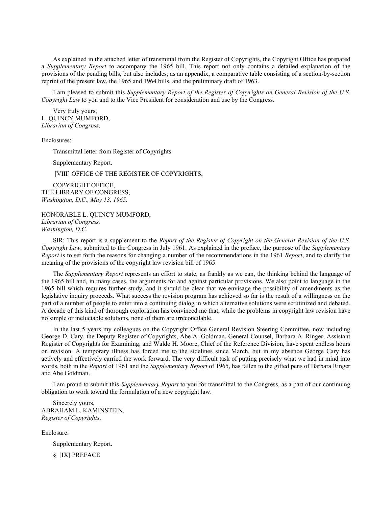As explained in the attached letter of transmittal from the Register of Copyrights, the Copyright Office has prepared a *Supplementary Report* to accompany the 1965 bill. This report not only contains a detailed explanation of the provisions of the pending bills, but also includes, as an appendix, a comparative table consisting of a section-by-section reprint of the present law, the 1965 and 1964 bills, and the preliminary draft of 1963.

I am pleased to submit this *Supplementary Report of the Register of Copyrights on General Revision of the U.S. Copyright Law* to you and to the Vice President for consideration and use by the Congress.

Very truly yours, L. QUINCY MUMFORD, *Librarian of Congress*.

Enclosures:

Transmittal letter from Register of Copyrights.

Supplementary Report.

[VIII] OFFICE OF THE REGISTER OF COPYRIGHTS,

COPYRIGHT OFFICE, THE LIBRARY OF CONGRESS, *Washington, D.C., May 13, 1965.*

HONORABLE L. QUINCY MUMFORD, *Librarian of Congress, Washington, D.C.*

SIR: This report is a supplement to the *Report of the Register of Copyright on the General Revision of the U.S. Copyright Law*, submitted to the Congress in July 1961. As explained in the preface, the purpose of the *Supplementary Report* is to set forth the reasons for changing a number of the recommendations in the 1961 *Report*, and to clarify the meaning of the provisions of the copyright law revision bill of 1965.

The *Supplementary Report* represents an effort to state, as frankly as we can, the thinking behind the language of the 1965 bill and, in many cases, the arguments for and against particular provisions. We also point to language in the 1965 bill which requires further study, and it should be clear that we envisage the possibility of amendments as the legislative inquiry proceeds. What success the revision program has achieved so far is the result of a willingness on the part of a number of people to enter into a continuing dialog in which alternative solutions were scrutinized and debated. A decade of this kind of thorough exploration has convinced me that, while the problems in copyright law revision have no simple or ineluctable solutions, none of them are irreconcilable.

In the last 5 years my colleagues on the Copyright Office General Revision Steering Committee, now including George D. Cary, the Deputy Register of Copyrights, Abe A. Goldman, General Counsel, Barbara A. Ringer, Assistant Register of Copyrights for Examining, and Waldo H. Moore, Chief of the Reference Division, have spent endless hours on revision. A temporary illness has forced me to the sidelines since March, but in my absence George Cary has actively and effectively carried the work forward. The very difficult task of putting precisely what we had in mind into words, both in the *Report* of 1961 and the *Supplementary Report* of 1965, has fallen to the gifted pens of Barbara Ringer and Abe Goldman.

I am proud to submit this *Supplementary Report* to you for transmittal to the Congress, as a part of our continuing obligation to work toward the formulation of a new copyright law.

Sincerely yours, ABRAHAM L. KAMINSTEIN, *Register of Copyrights*.

Enclosure:

Supplementary Report.

§ [IX] PREFACE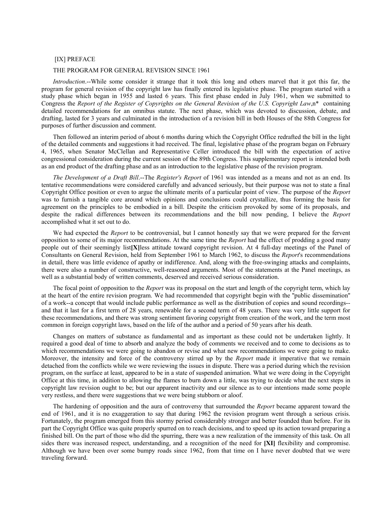# [IX] PREFACE

## THE PROGRAM FOR GENERAL REVISION SINCE 1961

*Introduction*.--While some consider it strange that it took this long and others marvel that it got this far, the program for general revision of the copyright law has finally entered its legislative phase. The program started with a study phase which began in 1955 and lasted 6 years. This first phase ended in July 1961, when we submitted to Congress the *Report of the Register of Copyrights on the General Revision of the U.S. Copyright Law*,n\* containing detailed recommendations for an omnibus statute. The next phase, which was devoted to discussion, debate, and drafting, lasted for 3 years and culminated in the introduction of a revision bill in both Houses of the 88th Congress for purposes of further discussion and comment.

Then followed an interim period of about 6 months during which the Copyright Office redrafted the bill in the light of the detailed comments and suggestions it had received. The final, legislative phase of the program began on February 4, 1965, when Senator McClellan and Representative Celler introduced the bill with the expectation of active congressional consideration during the current session of the 89th Congress. This supplementary report is intended both as an end product of the drafting phase and as an introduction to the legislative phase of the revision program.

*The Development of a Draft Bill*.--The *Register's Report* of 1961 was intended as a means and not as an end. Its tentative recommendations were considered carefully and advanced seriously, but their purpose was not to state a final Copyright Office position or even to argue the ultimate merits of a particular point of view. The purpose of the *Report* was to furnish a tangible core around which opinions and conclusions could crystallize, thus forming the basis for agreement on the principles to be embodied in a bill. Despite the criticism provoked by some of its proposals, and despite the radical differences between its recommendations and the bill now pending, I believe the *Report* accomplished what it set out to do.

We had expected the *Report* to be controversial, but I cannot honestly say that we were prepared for the fervent opposition to some of its major recommendations. At the same time the *Report* had the effect of prodding a good many people out of their seemingly list**[X]**less attitude toward copyright revision. At 4 full-day meetings of the Panel of Consultants on General Revision, held from September 1961 to March 1962, to discuss the *Report*'s recommendations in detail, there was little evidence of apathy or indifference. And, along with the free-swinging attacks and complaints, there were also a number of constructive, well-reasoned arguments. Most of the statements at the Panel meetings, as well as a substantial body of written comments, deserved and received serious consideration.

The focal point of opposition to the *Report* was its proposal on the start and length of the copyright term, which lay at the heart of the entire revision program. We had recommended that copyright begin with the ''public dissemination'' of a work--a concept that would include public performance as well as the distribution of copies and sound recordings- and that it last for a first term of 28 years, renewable for a second term of 48 years. There was very little support for these recommendations, and there was strong sentiment favoring copyright from creation of the work, and the term most common in foreign copyright laws, based on the life of the author and a period of 50 years after his death.

Changes on matters of substance as fundamental and as important as these could not be undertaken lightly. It required a good deal of time to absorb and analyze the body of comments we received and to come to decisions as to which recommendations we were going to abandon or revise and what new recommendations we were going to make. Moreover, the intensity and force of the controversy stirred up by the *Report* made it imperative that we remain detached from the conflicts while we were reviewing the issues in dispute. There was a period during which the revision program, on the surface at least, appeared to be in a state of suspended animation. What we were doing in the Copyright Office at this time, in addition to allowing the flames to burn down a little, was trying to decide what the next steps in copyright law revision ought to be; but our apparent inactivity and our silence as to our intentions made some people very restless, and there were suggestions that we were being stubborn or aloof.

The hardening of opposition and the aura of controversy that surrounded the *Report* became apparent toward the end of 1961, and it is no exaggeration to say that during 1962 the revision program went through a serious crisis. Fortunately, the program emerged from this stormy period considerably stronger and better founded than before. For its part the Copyright Office was quite properly spurred on to reach decisions, and to speed up its action toward preparing a finished bill. On the part of those who did the spurring, there was a new realization of the immensity of this task. On all sides there was increased respect, understanding, and a recognition of the need for **[XI]** flexibility and compromise. Although we have been over some bumpy roads since 1962, from that time on I have never doubted that we were traveling forward.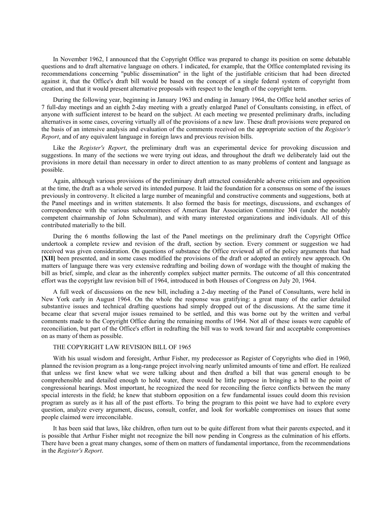In November 1962, I announced that the Copyright Office was prepared to change its position on some debatable questions and to draft alternative language on others. I indicated, for example, that the Office contemplated revising its recommendations concerning ''public dissemination'' in the light of the justifiable criticism that had been directed against it, that the Office's draft bill would be based on the concept of a single federal system of copyright from creation, and that it would present alternative proposals with respect to the length of the copyright term.

During the following year, beginning in January 1963 and ending in January 1964, the Office held another series of 7 full-day meetings and an eighth 2-day meeting with a greatly enlarged Panel of Consultants consisting, in effect, of anyone with sufficient interest to be heard on the subject. At each meeting we presented preliminary drafts, including alternatives in some cases, covering virtually all of the provisions of a new law. These draft provisions were prepared on the basis of an intensive analysis and evaluation of the comments received on the appropriate section of the *Register's Report*, and of any equivalent language in foreign laws and previous revision bills.

Like the *Register's Report*, the preliminary draft was an experimental device for provoking discussion and suggestions. In many of the sections we were trying out ideas, and throughout the draft we deliberately laid out the provisions in more detail than necessary in order to direct attention to as many problems of content and language as possible.

Again, although various provisions of the preliminary draft attracted considerable adverse criticism and opposition at the time, the draft as a whole served its intended purpose. It laid the foundation for a consensus on some of the issues previously in controversy. It elicited a large number of meaningful and constructive comments and suggestions, both at the Panel meetings and in written statements. It also formed the basis for meetings, discussions, and exchanges of correspondence with the various subcommittees of American Bar Association Committee 304 (under the notably competent chairmanship of John Schulman), and with many interested organizations and individuals. All of this contributed materially to the bill.

During the 6 months following the last of the Panel meetings on the preliminary draft the Copyright Office undertook a complete review and revision of the draft, section by section. Every comment or suggestion we had received was given consideration. On questions of substance the Office reviewed all of the policy arguments that had **[XII]** been presented, and in some cases modified the provisions of the draft or adopted an entirely new approach. On matters of language there was very extensive redrafting and boiling down of wordage with the thought of making the bill as brief, simple, and clear as the inherently complex subject matter permits. The outcome of all this concentrated effort was the copyright law revision bill of 1964, introduced in both Houses of Congress on July 20, 1964.

A full week of discussions on the new bill, including a 2-day meeting of the Panel of Consultants, were held in New York early in August 1964. On the whole the response was gratifying: a great many of the earlier detailed substantive issues and technical drafting questions had simply dropped out of the discussions. At the same time it became clear that several major issues remained to be settled, and this was borne out by the written and verbal comments made to the Copyright Office during the remaining months of 1964. Not all of these issues were capable of reconciliation, but part of the Office's effort in redrafting the bill was to work toward fair and acceptable compromises on as many of them as possible.

# THE COPYRIGHT LAW REVISION BILL OF 1965

With his usual wisdom and foresight, Arthur Fisher, my predecessor as Register of Copyrights who died in 1960, planned the revision program as a long-range project involving nearly unlimited amounts of time and effort. He realized that unless we first knew what we were talking about and then drafted a bill that was general enough to be comprehensible and detailed enough to hold water, there would be little purpose in bringing a bill to the point of congressional hearings. Most important, he recognized the need for reconciling the fierce conflicts between the many special interests in the field; he knew that stubborn opposition on a few fundamental issues could doom this revision program as surely as it has all of the past efforts. To bring the program to this point we have had to explore every question, analyze every argument, discuss, consult, confer, and look for workable compromises on issues that some people claimed were irreconcilable.

It has been said that laws, like children, often turn out to be quite different from what their parents expected, and it is possible that Arthur Fisher might not recognize the bill now pending in Congress as the culmination of his efforts. There have been a great many changes, some of them on matters of fundamental importance, from the recommendations in the *Register's Report*.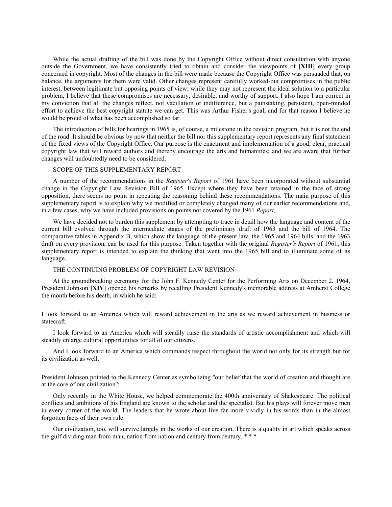While the actual drafting of the bill was done by the Copyright Office without direct consultation with anyone outside the Government, we have consistently tried to obtain and consider the viewpoints of **[XIII]** every group concerned in copyright. Most of the changes in the bill were made because the Copyright Office was persuaded that, on balance, the arguments for them were valid. Other changes represent carefully worked-out compromises in the public interest, between legitimate but opposing points of view; while they may not represent the ideal solution to a particular problem, I believe that these compromises are necessary, desirable, and worthy of support. I also hope I am correct in my conviction that all the changes reflect, not vacillation or indifference, but a painstaking, persistent, open-minded effort to achieve the best copyright statute we can get. This was Arthur Fisher's goal, and for that reason I believe he would be proud of what has been accomplished so far.

The introduction of bills for hearings in 1965 is, of course, a milestone in the revision program, but it is not the end of the road. It should be obvious by now that neither the bill nor this supplementary report represents any final statement of the fixed views of the Copyright Office. Our purpose is the enactment and implementation of a good, clear, practical copyright law that will reward authors and thereby encourage the arts and humanities; and we are aware that further changes will undoubtedly need to be considered.

### SCOPE OF THIS SUPPLEMENTARY REPORT

A number of the recommendations in the *Register's Report* of 1961 have been incorporated without substantial change in the Copyright Law Revision Bill of 1965. Except where they have been retained in the face of strong opposition, there seems no point in repeating the reasoning behind these recommendations. The main purpose of this supplementary report is to explain why we modified or completely changed many of our earlier recommendations and, in a few cases, why we have included provisions on points not covered by the 1961 *Report*,

We have decided not to burden this supplement by attempting to trace in detail how the language and content of the current bill evolved through the intermediate stages of the preliminary draft of 1963 and the bill of 1964. The comparative tables in Appendix B, which show the language of the present law, the 1965 and 1964 bills, and the 1963 draft on every provision, can be used for this purpose. Taken together with the original *Register's Report* of 1961, this supplementary report is intended to explain the thinking that went into the 1965 bill and to illuminate some of its language.

### THE CONTINUING PROBLEM OF COPYRIGHT LAW REVISION

At the groundbreaking ceremony for the John F. Kennedy Center for the Performing Arts on December 2, 1964, President Johnson [XIV] opened his remarks by recalling President Kennedy's memorable address at Amherst College the month before his death, in which he said:

I look forward to an America which will reward achievement in the arts as we reward achievement in business or statecraft.

I look forward to an America which will steadily raise the standards of artistic accomplishment and which will steadily enlarge cultural opportunities for all of our citizens.

And I look forward to an America which commands respect throughout the world not only for its strength but for its civilization as well.

President Johnson pointed to the Kennedy Center as symbolizing ''our belief that the world of creation and thought are at the core of our civilization'':

Only recently in the White House, we helped commemorate the 400th anniversary of Shakespeare. The political conflicts and ambitions of his England are known to the scholar and the specialist. But his plays will forever move men in every corner of the world. The leaders that he wrote about live far more vividly in his words than in the almost forgotten facts of their own rule.

Our civilization, too, will survive largely in the works of our creation. There is a quality in art which speaks across the gulf dividing man from man, nation from nation and century from century. \* \* \*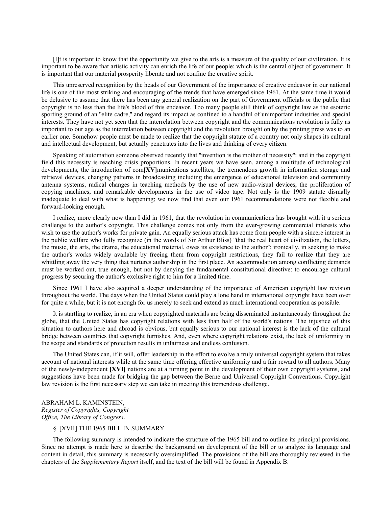[I]t is important to know that the opportunity we give to the arts is a measure of the quality of our civilization. It is important to be aware that artistic activity can enrich the life of our people; which is the central object of government. It is important that our material prosperity liberate and not confine the creative spirit.

This unreserved recognition by the heads of our Government of the importance of creative endeavor in our national life is one of the most striking and encouraging of the trends that have emerged since 1961. At the same time it would be delusive to assume that there has been any general realization on the part of Government officials or the public that copyright is no less than the life's blood of this endeavor. Too many people still think of copyright law as the esoteric sporting ground of an ''elite cadre,'' and regard its impact as confined to a handful of unimportant industries and special interests. They have not yet seen that the interrelation between copyright and the communications revolution is fully as important to our age as the interrelation between copyright and the revolution brought on by the printing press was to an earlier one. Somehow people must be made to realize that the copyright statute of a country not only shapes its cultural and intellectual development, but actually penetrates into the lives and thinking of every citizen.

Speaking of automation someone observed recently that ''invention is the mother of necessity'': and in the copyright field this necessity is reaching crisis proportions. In recent years we have seen, among a multitude of technological developments, the introduction of com**[XV]**munications satellites, the tremendous growth in information storage and retrieval devices, changing patterns in broadcasting including the emergence of educational television and community antenna systems, radical changes in teaching methods by the use of new audio-visual devices, the proliferation of copying machines, and remarkable developments in the use of video tape. Not only is the 1909 statute dismally inadequate to deal with what is happening; we now find that even our 1961 recommendations were not flexible and forward-looking enough.

I realize, more clearly now than I did in 1961, that the revolution in communications has brought with it a serious challenge to the author's copyright. This challenge comes not only from the ever-growing commercial interests who wish to use the author's works for private gain. An equally serious attack has come from people with a sincere interest in the public welfare who fully recognize (in the words of Sir Arthur Bliss) ''that the real heart of civilization, the letters, the music, the arts, the drama, the educational material, owes its existence to the author''; ironically, in seeking to make the author's works widely available by freeing them from copyright restrictions, they fail to realize that they are whittling away the very thing that nurtures authorship in the first place. An accommodation among conflicting demands must be worked out, true enough, but not by denying the fundamental constitutional directive: to encourage cultural progress by securing the author's exclusive right to him for a limited time.

Since 1961 I have also acquired a deeper understanding of the importance of American copyright law revision throughout the world. The days when the United States could play a lone hand in international copyright have been over for quite a while, but it is not enough for us merely to seek and extend as much international cooperation as possible.

It is startling to realize, in an era when copyrighted materials are being disseminated instantaneously throughout the globe, that the United States has copyright relations with less than half of the world's nations. The injustice of this situation to authors here and abroad is obvious, but equally serious to our national interest is the lack of the cultural bridge between countries that copyright furnishes. And, even where copyright relations exist, the lack of uniformity in the scope and standards of protection results in unfairness and endless confusion.

The United States can, if it will, offer leadership in the effort to evolve a truly universal copyright system that takes account of national interests while at the same time offering effective uniformity and a fair reward to all authors. Many of the newly-independent **[XVI]** nations are at a turning point in the development of their own copyright systems, and suggestions have been made for bridging the gap between the Berne and Universal Copyright Conventions. Copyright law revision is the first necessary step we can take in meeting this tremendous challenge.

ABRAHAM L. KAMINSTEIN, *Register of Copyrights, Copyright Office, The Library of Congress*.

# § [XVII] THE 1965 BILL IN SUMMARY

The following summary is intended to indicate the structure of the 1965 bill and to outline its principal provisions. Since no attempt is made here to describe the background on development of the bill or to analyze its language and content in detail, this summary is necessarily oversimplified. The provisions of the bill are thoroughly reviewed in the chapters of the *Supplementary Report* itself, and the text of the bill will be found in Appendix B.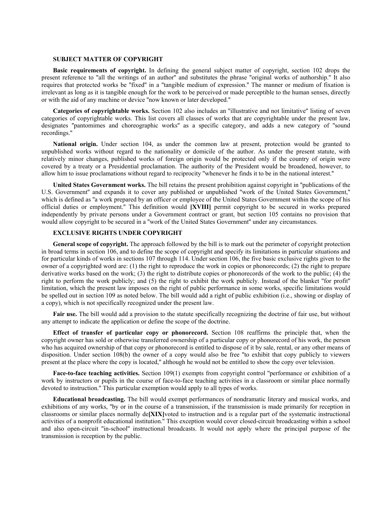## **SUBJECT MATTER OF COPYRIGHT**

**Basic requirements of copyright.** In defining the general subject matter of copyright, section 102 drops the present reference to ''all the writings of an author'' and substitutes the phrase ''original works of authorship.'' It also requires that protected works be ''fixed'' in a ''tangible medium of expression.'' The manner or medium of fixation is irrelevant as long as it is tangible enough for the work to be perceived or made perceptible to the human senses, directly or with the aid of any machine or device ''now known or later developed.''

**Categories of copyrightable works.** Section 102 also includes an ''illustrative and not limitative'' listing of seven categories of copyrightable works. This list covers all classes of works that are copyrightable under the present law, designates ''pantomimes and choreographic works'' as a specific category, and adds a new category of ''sound recordings.''

**National origin.** Under section 104, as under the common law at present, protection would be granted to unpublished works without regard to the nationality or domicile of the author. As under the present statute, with relatively minor changes, published works of foreign origin would be protected only if the country of origin were covered by a treaty or a Presidential proclamation. The authority of the President would be broadened, however, to allow him to issue proclamations without regard to reciprocity ''whenever he finds it to be in the national interest.''

**United States Government works.** The bill retains the present prohibition against copyright in ''publications of the U.S. Government'' and expands it to cover any published or unpublished ''work of the United States Government,'' which is defined as "a work prepared by an officer or employee of the United States Government within the scope of his official duties or employment.'' This definition would **[XVIII]** permit copyright to be secured in works prepared independently by private persons under a Government contract or grant, but section 105 contains no provision that would allow copyright to be secured in a ''work of the United States Government'' under any circumstances.

### **EXCLUSIVE RIGHTS UNDER COPYRIGHT**

**General scope of copyright.** The approach followed by the bill is to mark out the perimeter of copyright protection in broad terms in section 106, and to define the scope of copyright and specify its limitations in particular situations and for particular kinds of works in sections 107 through 114. Under section 106, the five basic exclusive rights given to the owner of a copyrighted word are: (1) the right to reproduce the work in copies or phonorecords; (2) the right to prepare derivative works based on the work; (3) the right to distribute copies or phonorecords of the work to the public; (4) the right to perform the work publicly; and (5) the right to exhibit the work publicly. Instead of the blanket ''for profit'' limitation, which the present law imposes on the right of public performance in some works, specific limitations would be spelled out in section 109 as noted below. The bill would add a right of public exhibition (i.e., showing or display of a copy), which is not specifically recognized under the present law.

**Fair use.** The bill would add a provision to the statute specifically recognizing the doctrine of fair use, but without any attempt to indicate the application or define the scope of the doctrine.

**Effect of transfer of particular copy or phonorecord.** Section 108 reaffirms the principle that, when the copyright owner has sold or otherwise transferred ownership of a particular copy or phonorecord of his work, the person who has acquired ownership of that copy or phonorecord is entitled to dispose of it by sale, rental, or any other means of disposition. Under section 108(b) the owner of a copy would also be free ''to exhibit that copy publicly to viewers present at the place where the copy is located,'' although he would not be entitled to show the copy over television.

**Face-to-face teaching activities.** Section 109(1) exempts from copyright control ''performance or exhibition of a work by instructors or pupils in the course of face-to-face teaching activities in a classroom or similar place normally devoted to instruction.'' This particular exemption would apply to all types of works.

**Educational broadcasting.** The bill would exempt performances of nondramatic literary and musical works, and exhibitions of any works, ''by or in the course of a transmission, if the transmission is made primarily for reception in classrooms or similar places normally de**[XIX]**voted to instruction and is a regular part of the systematic instructional activities of a nonprofit educational institution.'' This exception would cover closed-circuit broadcasting within a school and also open-circuit ''in-school'' instructional broadcasts. It would not apply where the principal purpose of the transmission is reception by the public.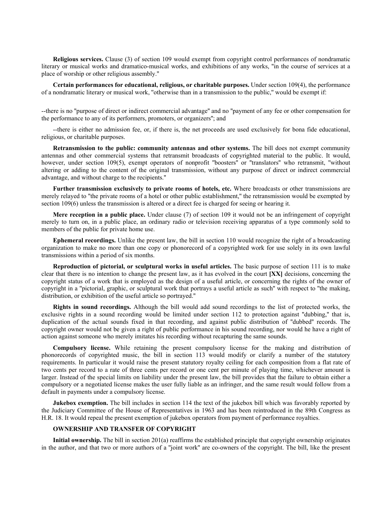**Religious services.** Clause (3) of section 109 would exempt from copyright control performances of nondramatic literary or musical works and dramatico-musical works, and exhibitions of any works, ''in the course of services at a place of worship or other religious assembly.''

**Certain performances for educational, religious, or charitable purposes.** Under section 109(4), the performance of a nondramatic literary or musical work, ''otherwise than in a transmission to the public,'' would be exempt if:

--there is no ''purpose of direct or indirect commercial advantage'' and no ''payment of any fee or other compensation for the performance to any of its performers, promoters, or organizers''; and

--there is either no admission fee, or, if there is, the net proceeds are used exclusively for bona fide educational, religious, or charitable purposes.

**Retransmission to the public: community antennas and other systems.** The bill does not exempt community antennas and other commercial systems that retransmit broadcasts of copyrighted material to the public. It would, however, under section 109(5), exempt operators of nonprofit "boosters" or "translators" who retransmit, "without altering or adding to the content of the original transmission, without any purpose of direct or indirect commercial advantage, and without charge to the recipients.''

**Further transmission exclusively to private rooms of hotels, etc.** Where broadcasts or other transmissions are merely relayed to ''the private rooms of a hotel or other public establishment,'' the retransmission would be exempted by section 109(6) unless the transmission is altered or a direct fee is charged for seeing or hearing it.

**Mere reception in a public place.** Under clause (7) of section 109 it would not be an infringement of copyright merely to turn on, in a public place, an ordinary radio or television receiving apparatus of a type commonly sold to members of the public for private home use.

**Ephemeral recordings.** Unlike the present law, the bill in section 110 would recognize the right of a broadcasting organization to make no more than one copy or phonorecord of a copyrighted work for use solely in its own lawful transmissions within a period of six months.

**Reproduction of pictorial, or sculptural works in useful articles.** The basic purpose of section 111 is to make clear that there is no intention to change the present law, as it has evolved in the court **[XX]** decisions, concerning the copyright status of a work that is employed as the design of a useful article, or concerning the rights of the owner of copyright in a ''pictorial, graphic, or sculptural work that portrays a useful article as such'' with respect to ''the making, distribution, or exhibition of the useful article so portrayed.''

**Rights in sound recordings.** Although the bill would add sound recordings to the list of protected works, the exclusive rights in a sound recording would be limited under section 112 to protection against ''dubbing,'' that is, duplication of the actual sounds fixed in that recording, and against public distribution of ''dubbed'' records. The copyright owner would not be given a right of public performance in his sound recording, nor would he have a right of action against someone who merely imitates his recording without recapturing the same sounds.

**Compulsory license.** While retaining the present compulsory license for the making and distribution of phonorecords of copyrighted music, the bill in section 113 would modify or clarify a number of the statutory requirements. In particular it would raise the present statutory royalty ceiling for each composition from a flat rate of two cents per record to a rate of three cents per record or one cent per minute of playing time, whichever amount is larger. Instead of the special limits on liability under the present law, the bill provides that the failure to obtain either a compulsory or a negotiated license makes the user fully liable as an infringer, and the same result would follow from a default in payments under a compulsory license.

**Jukebox exemption.** The bill includes in section 114 the text of the jukebox bill which was favorably reported by the Judiciary Committee of the House of Representatives in 1963 and has been reintroduced in the 89th Congress as H.R. 18. It would repeal the present exemption of jukebox operators from payment of performance royalties.

# **OWNERSHIP AND TRANSFER OF COPYRIGHT**

**Initial ownership.** The bill in section 201(a) reaffirms the established principle that copyright ownership originates in the author, and that two or more authors of a ''joint work'' are co-owners of the copyright. The bill, like the present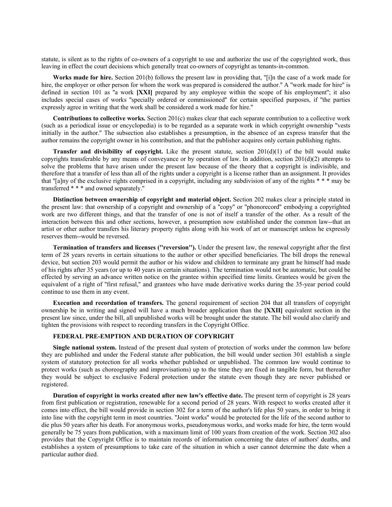statute, is silent as to the rights of co-owners of a copyright to use and authorize the use of the copyrighted work, thus leaving in effect the court decisions which generally treat co-owners of copyright as tenants-in-common.

**Works made for hire.** Section 201(b) follows the present law in providing that, ''[i]n the case of a work made for hire, the employer or other person for whom the work was prepared is considered the author." A "work made for hire" is defined in section 101 as "a work **[XXI]** prepared by any employee within the scope of his employment"; it also includes special cases of works ''specially ordered or commissioned'' for certain specified purposes, if ''the parties expressly agree in writing that the work shall be considered a work made for hire.''

**Contributions to collective works.** Section 201(c) makes clear that each separate contribution to a collective work (such as a periodical issue or encyclopedia) is to be regarded as a separate work in which copyright ownership ''vests initially in the author.'' The subsection also establishes a presumption, in the absence of an express transfer that the author remains the copyright owner in his contribution, and that the publisher acquires only certain publishing rights.

**Transfer and divisibility of copyright.** Like the present statute, section 201(d)(1) of the bill would make copyrights transferable by any means of conveyance or by operation of law. In addition, section  $201(d)(2)$  attempts to solve the problems that have arisen under the present law because of the theory that a copyright is indivisible, and therefore that a transfer of less than all of the rights under a copyright is a license rather than an assignment. It provides that ''[a]ny of the exclusive rights comprised in a copyright, including any subdivision of any of the rights \* \* \* may be transferred \* \* \* and owned separately.''

**Distinction between ownership of copyright and material object.** Section 202 makes clear a principle stated in the present law: that ownership of a copyright and ownership of a ''copy'' or ''phonorecord'' embodying a copyrighted work are two different things, and that the transfer of one is not of itself a transfer of the other. As a result of the interaction between this and other sections, however, a presumption now established under the common law--that an artist or other author transfers his literary property rights along with his work of art or manuscript unless he expressly reserves them--would be reversed.

**Termination of transfers and licenses (''reversion'').** Under the present law, the renewal copyright after the first term of 28 years reverts in certain situations to the author or other specified beneficiaries. The bill drops the renewal device, but section 203 would permit the author or his widow and children to terminate any grant he himself had made of his rights after 35 years (or up to 40 years in certain situations). The termination would not be automatic, but could be effected by serving an advance written notice on the grantee within specified time limits. Grantees would be given the equivalent of a right of ''first refusal,'' and grantees who have made derivative works during the 35-year period could continue to use them in any event.

**Execution and recordation of transfers.** The general requirement of section 204 that all transfers of copyright ownership be in writing and signed will have a much broader application than the **[XXII]** equivalent section in the present law since, under the bill, all unpublished works will be brought under the statute. The bill would also clarify and tighten the provisions with respect to recording transfers in the Copyright Office.

### **FEDERAL PRE-EMPTION AND DURATION OF COPYRIGHT**

**Single national system.** Instead of the present dual system of protection of works under the common law before they are published and under the Federal statute after publication, the bill would under section 301 establish a single system of statutory protection for all works whether published or unpublished. The common law would continue to protect works (such as choreography and improvisations) up to the time they are fixed in tangible form, but thereafter they would be subject to exclusive Federal protection under the statute even though they are never published or registered.

**Duration of copyright in works created after new law's effective date.** The present term of copyright is 28 years from first publication or registration, renewable for a second period of 28 years. With respect to works created after it comes into effect, the bill would provide in section 302 for a term of the author's life plus 50 years, in order to bring it into line with the copyright term in most countries. ''Joint works'' would be protected for the life of the second author to die plus 50 years after his death. For anonymous works, pseudonymous works, and works made for hire, the term would generally be 75 years from publication, with a maximum limit of 100 years from creation of the work. Section 302 also provides that the Copyright Office is to maintain records of information concerning the dates of authors' deaths, and establishes a system of presumptions to take care of the situation in which a user cannot determine the date when a particular author died.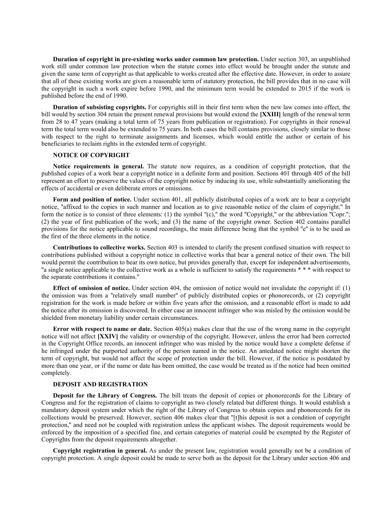**Duration of copyright in pre-existing works under common law protection.** Under section 303, an unpublished work still under common law protection when the statute comes into effect would be brought under the statute and given the same term of copyright as that applicable to works created after the effective date. However, in order to assure that all of these existing works are given a reasonable term of statutory protection, the bill provides that in no case will the copyright in such a work expire before 1990, and the minimum term would be extended to 2015 if the work is published before the end of 1990.

**Duration of subsisting copyrights.** For copyrights still in their first term when the new law comes into effect, the bill would by section 304 retain the present renewal provisions but would extend the **[XXIII]** length of the renewal term from 28 to 47 years (making a total term of 75 years from publication or registration). For copyrights in their renewal term the total term would also be extended to 75 years. In both cases the bill contains provisions, closely similar to those with respect to the right to terminate assignments and licenses, which would entitle the author or certain of his beneficiaries to reclaim rights in the extended term of copyright.

# **NOTICE OF COPYRIGHT**

**Notice requirements in general.** The statute now requires, as a condition of copyright protection, that the published copies of a work bear a copyright notice in a definite form and position. Sections 401 through 405 of the bill represent an effort to preserve the values of the copyright notice by inducing its use, while substantially ameliorating the effects of accidental or even deliberate errors or omissions.

**Form and position of notice.** Under section 401, all publicly distributed copies of a work are to bear a copyright notice, ''affixed to the copies in such manner and location as to give reasonable notice of the claim of copyright.'' In form the notice is to consist of three elements: (1) the symbol ''(c),'' the word ''Copyright,'' or the abbreviation ''Copr.''; (2) the year of first publication of the work; and (3) the name of the copyright owner. Section 402 contains parallel provisions for the notice applicable to sound recordings, the main difference being that the symbol ''e'' is to be used as the first of the three elements in the notice.

**Contributions to collective works.** Section 403 is intended to clarify the present confused situation with respect to contributions published without a copyright notice in collective works that bear a general notice of their own. The bill would permit the contribution to bear its own notice, but provides generally that, except for independent advertisements, "a single notice applicable to the collective work as a whole is sufficient to satisfy the requirements \* \* \* with respect to the separate contributions it contains.''

**Effect of omission of notice.** Under section 404, the omission of notice would not invalidate the copyright if: (1) the omission was from a ''relatively small number'' of publicly distributed copies or phonorecords, or (2) copyright registration for the work is made before or within five years after the omission, and a reasonable effort is made to add the notice after its omission is discovered. In either case an innocent infringer who was misled by the omission would be shielded from monetary liability under certain circumstances.

**Error with respect to name or date.** Section 405(a) makes clear that the use of the wrong name in the copyright notice will not affect **[XXIV]** the validity or ownership of the copyright. However, unless the error had been corrected in the Copyright Office records, an innocent infringer who was misled by the notice would have a complete defense if he infringed under the purported authority of the person named in the notice. An antedated notice might shorten the term of copyright, but would not affect the scope of protection under the bill. However, if the notice is postdated by more than one year, or if the name or date has been omitted, the case would be treated as if the notice had been omitted completely.

### **DEPOSIT AND REGISTRATION**

**Deposit for the Library of Congress.** The bill treats the deposit of copies or phonorecords for the Library of Congress and for the registration of claims to copyright as two closely related but different things. It would establish a mandatory deposit system under which the right of the Library of Congress to obtain copies and phonorecords for its collections would be preserved. However, section 406 makes clear that ''[t]his deposit is not a condition of copyright protection,'' and need not be coupled with registration unless the applicant wishes. The deposit requirements would be enforced by the imposition of a specified fine, and certain categories of material could be exempted by the Register of Copyrights from the deposit requirements altogether.

**Copyright registration in general.** As under the present law, registration would generally not be a condition of copyright protection. A single deposit could be made to serve both as the deposit for the Library under section 406 and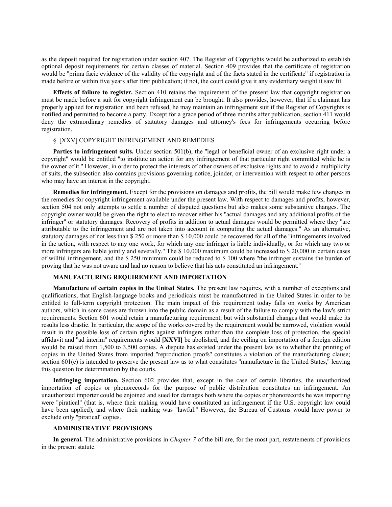as the deposit required for registration under section 407. The Register of Copyrights would be authorized to establish optional deposit requirements for certain classes of material. Section 409 provides that the certificate of registration would be ''prima facie evidence of the validity of the copyright and of the facts stated in the certificate'' if registration is made before or within five years after first publication; if not, the court could give it any evidentiary weight it saw fit.

**Effects of failure to register.** Section 410 retains the requirement of the present law that copyright registration must be made before a suit for copyright infringement can be brought. It also provides, however, that if a claimant has properly applied for registration and been refused, he may maintain an infringement suit if the Register of Copyrights is notified and permitted to become a party. Except for a grace period of three months after publication, section 411 would deny the extraordinary remedies of statutory damages and attorney's fees for infringements occurring before registration.

# § [XXV] COPYRIGHT INFRINGEMENT AND REMEDIES

**Parties to infringement suits.** Under section 501(b), the "legal or beneficial owner of an exclusive right under a copyright'' would be entitled ''to institute an action for any infringement of that particular right committed while he is the owner of it.'' However, in order to protect the interests of other owners of exclusive rights and to avoid a multiplicity of suits, the subsection also contains provisions governing notice, joinder, or intervention with respect to other persons who may have an interest in the copyright.

**Remedies for infringement.** Except for the provisions on damages and profits, the bill would make few changes in the remedies for copyright infringement available under the present law. With respect to damages and profits, however, section 504 not only attempts to settle a number of disputed questions but also makes some substantive changes. The copyright owner would be given the right to elect to recover either his ''actual damages and any additional profits of the infringer'' or statutory damages. Recovery of profits in addition to actual damages would be permitted where they ''are attributable to the infringement and are not taken into account in computing the actual damages.'' As an alternative, statutory damages of not less than \$ 250 or more than \$ 10,000 could be recovered for all of the ''infringements involved in the action, with respect to any one work, for which any one infringer is liable individually, or for which any two or more infringers are liable jointly and severally.'' The \$ 10,000 maximum could be increased to \$ 20,000 in certain cases of willful infringement, and the \$ 250 minimum could be reduced to \$ 100 where ''the infringer sustains the burden of proving that he was not aware and had no reason to believe that his acts constituted an infringement.''

# **MANUFACTURING REQUIREMENT AND IMPORTATION**

**Manufacture of certain copies in the United States.** The present law requires, with a number of exceptions and qualifications, that English-language books and periodicals must be manufactured in the United States in order to be entitled to full-term copyright protection. The main impact of this requirement today falls on works by American authors, which in some cases are thrown into the public domain as a result of the failure to comply with the law's strict requirements. Section 601 would retain a manufacturing requirement, but with substantial changes that would make its results less drastic. In particular, the scope of the works covered by the requirement would be narrowed, violation would result in the possible loss of certain rights against infringers rather than the complete loss of protection, the special affidavit and ''ad interim'' requirements would **[XXVI]** be abolished, and the ceiling on importation of a foreign edition would be raised from 1,500 to 3,500 copies. A dispute has existed under the present law as to whether the printing of copies in the United States from imported ''reproduction proofs'' constitutes a violation of the manufacturing clause; section 601(c) is intended to preserve the present law as to what constitutes ''manufacture in the United States,'' leaving this question for determination by the courts.

**Infringing importation.** Section 602 provides that, except in the case of certain libraries, the unauthorized importation of copies or phonorecords for the purpose of public distribution constitutes an infringement. An unauthorized importer could be enjoined and sued for damages both where the copies or phonorecords he was importing were ''piratical'' (that is, where their making would have constituted an infringement if the U.S. copyright law could have been applied), and where their making was ''lawful.'' However, the Bureau of Customs would have power to exclude only ''piratical'' copies.

## **ADMINISTRATIVE PROVISIONS**

**In general.** The administrative provisions in *Chapter 7* of the bill are, for the most part, restatements of provisions in the present statute.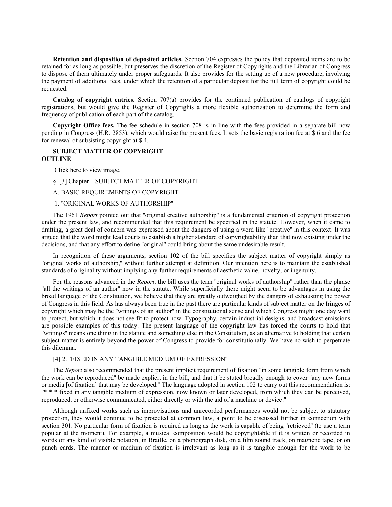**Retention and disposition of deposited articles.** Section 704 expresses the policy that deposited items are to be retained for as long as possible, but preserves the discretion of the Register of Copyrights and the Librarian of Congress to dispose of them ultimately under proper safeguards. It also provides for the setting up of a new procedure, involving the payment of additional fees, under which the retention of a particular deposit for the full term of copyright could be requested.

**Catalog of copyright entries.** Section 707(a) provides for the continued publication of catalogs of copyright registrations, but would give the Register of Copyrights a more flexible authorization to determine the form and frequency of publication of each part of the catalog.

**Copyright Office fees.** The fee schedule in section 708 is in line with the fees provided in a separate bill now pending in Congress (H.R. 2853), which would raise the present fees. It sets the basic registration fee at \$ 6 and the fee for renewal of subsisting copyright at \$ 4.

# **SUBJECT MATTER OF COPYRIGHT OUTLINE**

Click here to view image.

# § [3] Chapter 1 SUBJECT MATTER OF COPYRIGHT

## A. BASIC REQUIREMENTS OF COPYRIGHT

# 1. ''ORIGINAL WORKS OF AUTHORSHIP''

The 1961 *Report* pointed out that ''original creative authorship'' is a fundamental criterion of copyright protection under the present law, and recommended that this requirement be specified in the statute. However, when it came to drafting, a great deal of concern was expressed about the dangers of using a word like ''creative'' in this context. It was argued that the word might lead courts to establish a higher standard of copyrightability than that now existing under the decisions, and that any effort to define ''original'' could bring about the same undesirable result.

In recognition of these arguments, section 102 of the bill specifies the subject matter of copyright simply as ''original works of authorship,'' without further attempt at definition. Our intention here is to maintain the established standards of originality without implying any further requirements of aesthetic value, novelty, or ingenuity.

For the reasons advanced in the *Report*, the bill uses the term "original works of authorship" rather than the phrase ''all the writings of an author'' now in the statute. While superficially there might seem to be advantages in using the broad language of the Constitution, we believe that they are greatly outweighed by the dangers of exhausting the power of Congress in this field. As has always been true in the past there are particular kinds of subject matter on the fringes of copyright which may be the ''writings of an author'' in the constitutional sense and which Congress might one day want to protect, but which it does not see fit to protect now. Typography, certain industrial designs, and broadcast emissions are possible examples of this today. The present language of the copyright law has forced the courts to hold that ''writings'' means one thing in the statute and something else in the Constitution, as an alternative to holding that certain subject matter is entirely beyond the power of Congress to provide for constitutionally. We have no wish to perpetuate this dilemma.

# **[4]** 2. ''FIXED IN ANY TANGIBLE MEDIUM OF EXPRESSION''

The *Report* also recommended that the present implicit requirement of fixation "in some tangible form from which the work can be reproduced'' be made explicit in the bill, and that it be stated broadly enough to cover ''any new forms or media [of fixation] that may be developed.'' The language adopted in section 102 to carry out this recommendation is: ''\* \* \* fixed in any tangible medium of expression, now known or later developed, from which they can be perceived, reproduced, or otherwise communicated, either directly or with the aid of a machine or device.''

Although unfixed works such as improvisations and unrecorded performances would not be subject to statutory protection, they would continue to be protected at common law, a point to be discussed further in connection with section 301. No particular form of fixation is required as long as the work is capable of being "retrieved" (to use a term popular at the moment). For example, a musical composition would be copyrightable if it is written or recorded in words or any kind of visible notation, in Braille, on a phonograph disk, on a film sound track, on magnetic tape, or on punch cards. The manner or medium of fixation is irrelevant as long as it is tangible enough for the work to be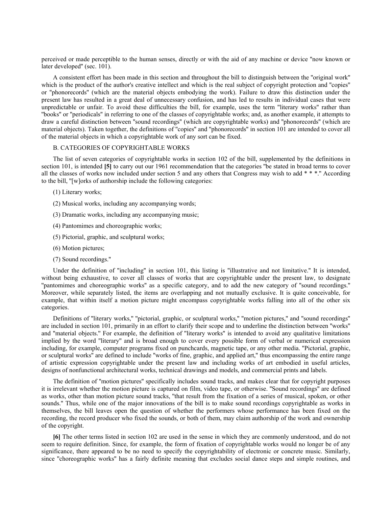perceived or made perceptible to the human senses, directly or with the aid of any machine or device ''now known or later developed'' (sec. 101).

A consistent effort has been made in this section and throughout the bill to distinguish between the ''original work'' which is the product of the author's creative intellect and which is the real subject of copyright protection and "copies" or ''phonorecords'' (which are the material objects embodying the work). Failure to draw this distinction under the present law has resulted in a great deal of unnecessary confusion, and has led to results in individual cases that were unpredictable or unfair. To avoid these difficulties the bill, for example, uses the term ''literary works'' rather than ''books'' or ''periodicals'' in referring to one of the classes of copyrightable works; and, as another example, it attempts to draw a careful distinction between ''sound recordings'' (which are copyrightable works) and ''phonorecords'' (which are material objects). Taken together, the definitions of ''copies'' and ''phonorecords'' in section 101 are intended to cover all of the material objects in which a copyrightable work of any sort can be fixed.

# B. CATEGORIES OF COPYRIGHTABLE WORKS

The list of seven categories of copyrightable works in section 102 of the bill, supplemented by the definitions in section 101, is intended **[5]** to carry out our 1961 recommendation that the categories ''be stated in broad terms to cover all the classes of works now included under section 5 and any others that Congress may wish to add  $* * *$ ." According to the bill, ''[w]orks of authorship include the following categories:

- (1) Literary works;
- (2) Musical works, including any accompanying words;
- (3) Dramatic works, including any accompanying music;
- (4) Pantomimes and choreographic works;
- (5) Pictorial, graphic, and sculptural works;
- (6) Motion pictures;
- (7) Sound recordings.''

Under the definition of ''including'' in section 101, this listing is ''illustrative and not limitative.'' It is intended, without being exhaustive, to cover all classes of works that are copyrightable under the present law, to designate ''pantomimes and choreographic works'' as a specific category, and to add the new category of ''sound recordings.'' Moreover, while separately listed, the items are overlapping and not mutually exclusive. It is quite conceivable, for example, that within itself a motion picture might encompass copyrightable works falling into all of the other six categories.

Definitions of ''literary works,'' ''pictorial, graphic, or sculptural works,'' ''motion pictures,'' and ''sound recordings'' are included in section 101, primarily in an effort to clarify their scope and to underline the distinction between ''works'' and ''material objects.'' For example, the definition of ''literary works'' is intended to avoid any qualitative limitations implied by the word ''literary'' and is broad enough to cover every possible form of verbal or numerical expression including, for example, computer programs fixed on punchcards, magnetic tape, or any other media. ''Pictorial, graphic, or sculptural works'' are defined to include ''works of fine, graphic, and applied art,'' thus encompassing the entire range of artistic expression copyrightable under the present law and including works of art embodied in useful articles, designs of nonfunctional architectural works, technical drawings and models, and commercial prints and labels.

The definition of ''motion pictures'' specifically includes sound tracks, and makes clear that for copyright purposes it is irrelevant whether the motion picture is captured on film, video tape, or otherwise. ''Sound recordings'' are defined as works, other than motion picture sound tracks, ''that result from the fixation of a series of musical, spoken, or other sounds.'' Thus, while one of the major innovations of the bill is to make sound recordings copyrightable as works in themselves, the bill leaves open the question of whether the performers whose performance has been fixed on the recording, the record producer who fixed the sounds, or both of them, may claim authorship of the work and ownership of the copyright.

**[6]** The other terms listed in section 102 are used in the sense in which they are commonly understood, and do not seem to require definition. Since, for example, the form of fixation of copyrightable works would no longer be of any significance, there appeared to be no need to specify the copyrightability of electronic or concrete music. Similarly, since ''choreographic works'' has a fairly definite meaning that excludes social dance steps and simple routines, and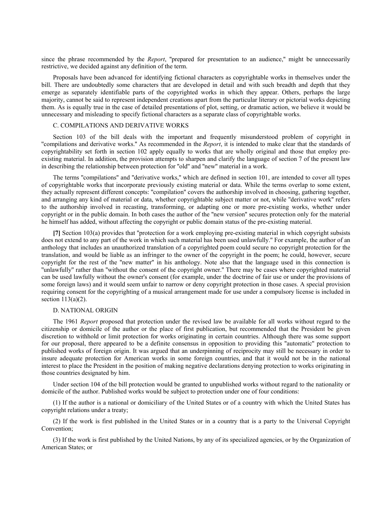since the phrase recommended by the *Report*, ''prepared for presentation to an audience,'' might be unnecessarily restrictive, we decided against any definition of the term.

Proposals have been advanced for identifying fictional characters as copyrightable works in themselves under the bill. There are undoubtedly some characters that are developed in detail and with such breadth and depth that they emerge as separately identifiable parts of the copyrighted works in which they appear. Others, perhaps the large majority, cannot be said to represent independent creations apart from the particular literary or pictorial works depicting them. As is equally true in the case of detailed presentations of plot, setting, or dramatic action, we believe it would be unnecessary and misleading to specify fictional characters as a separate class of copyrightable works.

## C. COMPILATIONS AND DERIVATIVE WORKS

Section 103 of the bill deals with the important and frequently misunderstood problem of copyright in ''compilations and derivative works.'' As recommended in the *Report*, it is intended to make clear that the standards of copyrightability set forth in section 102 apply equally to works that are wholly original and those that employ preexisting material. In addition, the provision attempts to sharpen and clarify the language of section 7 of the present law in describing the relationship between protection for ''old'' and ''new'' material in a work.

The terms ''compilations'' and ''derivative works,'' which are defined in section 101, are intended to cover all types of copyrightable works that incorporate previously existing material or data. While the terms overlap to some extent, they actually represent different concepts: ''compilation'' covers the authorship involved in choosing, gathering together, and arranging any kind of material or data, whether copyrightable subject matter or not, while ''derivative work'' refers to the authorship involved in recasting, transforming, or adapting one or more pre-existing works, whether under copyright or in the public domain. In both cases the author of the ''new version'' secures protection only for the material he himself has added, without affecting the copyright or public domain status of the pre-existing material.

**[7]** Section 103(a) provides that ''protection for a work employing pre-existing material in which copyright subsists does not extend to any part of the work in which such material has been used unlawfully.'' For example, the author of an anthology that includes an unauthorized translation of a copyrighted poem could secure no copyright protection for the translation, and would be liable as an infringer to the owner of the copyright in the poem; he could, however, secure copyright for the rest of the "new matter" in his anthology. Note also that the language used in this connection is ''unlawfully'' rather than ''without the consent of the copyright owner.'' There may be cases where copyrighted material can be used lawfully without the owner's consent (for example, under the doctrine of fair use or under the provisions of some foreign laws) and it would seem unfair to narrow or deny copyright protection in those cases. A special provision requiring consent for the copyrighting of a musical arrangement made for use under a compulsory license is included in section  $113(a)(2)$ .

#### D. NATIONAL ORIGIN

The 1961 *Report* proposed that protection under the revised law be available for all works without regard to the citizenship or domicile of the author or the place of first publication, but recommended that the President be given discretion to withhold or limit protection for works originating in certain countries. Although there was some support for our proposal, there appeared to be a definite consensus in opposition to providing this ''automatic'' protection to published works of foreign origin. It was argued that an underpinning of reciprocity may still be necessary in order to insure adequate protection for American works in some foreign countries, and that it would not be in the national interest to place the President in the position of making negative declarations denying protection to works originating in those countries designated by him.

Under section 104 of the bill protection would be granted to unpublished works without regard to the nationality or domicile of the author. Published works would be subject to protection under one of four conditions:

(1) If the author is a national or domiciliary of the United States or of a country with which the United States has copyright relations under a treaty;

(2) If the work is first published in the United States or in a country that is a party to the Universal Copyright Convention;

(3) If the work is first published by the United Nations, by any of its specialized agencies, or by the Organization of American States; or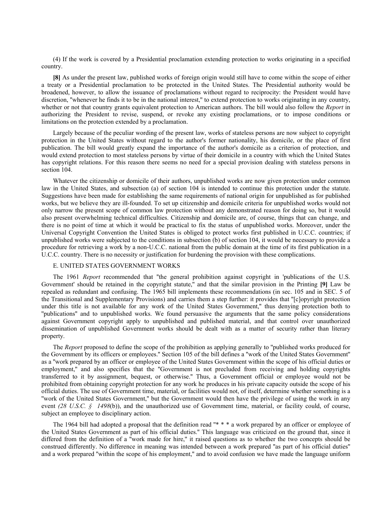(4) If the work is covered by a Presidential proclamation extending protection to works originating in a specified country.

**[8]** As under the present law, published works of foreign origin would still have to come within the scope of either a treaty or a Presidential proclamation to be protected in the United States. The Presidential authority would be broadened, however, to allow the issuance of proclamations without regard to reciprocity: the President would have discretion, ''whenever he finds it to be in the national interest,'' to extend protection to works originating in any country, whether or not that country grants equivalent protection to American authors. The bill would also follow the *Report* in authorizing the President to revise, suspend, or revoke any existing proclamations, or to impose conditions or limitations on the protection extended by a proclamation.

Largely because of the peculiar wording of the present law, works of stateless persons are now subject to copyright protection in the United States without regard to the author's former nationality, his domicile, or the place of first publication. The bill would greatly expand the importance of the author's domicile as a criterion of protection, and would extend protection to most stateless persons by virtue of their domicile in a country with which the United States has copyright relations. For this reason there seems no need for a special provision dealing with stateless persons in section 104.

Whatever the citizenship or domicile of their authors, unpublished works are now given protection under common law in the United States, and subsection (a) of section 104 is intended to continue this protection under the statute. Suggestions have been made for establishing the same requirements of national origin for unpublished as for published works, but we believe they are ill-founded. To set up citizenship and domicile criteria for unpublished works would not only narrow the present scope of common law protection without any demonstrated reason for doing so, but it would also present overwhelming technical difficulties. Citizenship and domicile are, of course, things that can change, and there is no point of time at which it would be practical to fix the status of unpublished works. Moreover, under the Universal Copyright Convention the United States is obliged to protect works first published in U.C.C. countries; if unpublished works were subjected to the conditions in subsection (b) of section 104, it would be necessary to provide a procedure for retrieving a work by a non-U.C.C. national from the public domain at the time of its first publication in a U.C.C. country. There is no necessity or justification for burdening the provision with these complications.

# E. UNITED STATES GOVERNMENT WORKS

The 1961 *Report* recommended that ''the general prohibition against copyright in 'publications of the U.S. Government' should be retained in the copyright statute,'' and that the similar provision in the Printing **[9]** Law be repealed as redundant and confusing. The 1965 bill implements these recommendations (in sec. 105 and in SEC. 5 of the Transitional and Supplementary Provisions) and carries them a step further: it provides that ''[c]opyright protection under this title is not available for any work of the United States Government,'' thus denying protection both to ''publications'' and to unpublished works. We found persuasive the arguments that the same policy considerations against Government copyright apply to unpublished and published material, and that control over unauthorized dissemination of unpublished Government works should be dealt with as a matter of security rather than literary property.

The *Report* proposed to define the scope of the prohibition as applying generally to ''published works produced for the Government by its officers or employees.'' Section 105 of the bill defines a ''work of the United States Government'' as a ''work prepared by an officer or employee of the United States Government within the scope of his official duties or employment,'' and also specifies that the ''Government is not precluded from receiving and holding copyrights transferred to it by assignment, bequest, or otherwise.'' Thus, a Government official or employee would not be prohibited from obtaining copyright protection for any work he produces in his private capacity outside the scope of his official duties. The use of Government time, material, or facilities would not, of itself, determine whether something is a ''work of the United States Government,'' but the Government would then have the privilege of using the work in any event *(28 U.S.C. § 1498*(b)), and the unauthorized use of Government time, material, or facility could, of course, subject an employee to disciplinary action.

The 1964 bill had adopted a proposal that the definition read "\* \* \* a work prepared by an officer or employee of the United States Government as part of his official duties.'' This language was criticized on the ground that, since it differed from the definition of a "work made for hire," it raised questions as to whether the two concepts should be construed differently. No difference in meaning was intended between a work prepared ''as part of his official duties'' and a work prepared ''within the scope of his employment,'' and to avoid confusion we have made the language uniform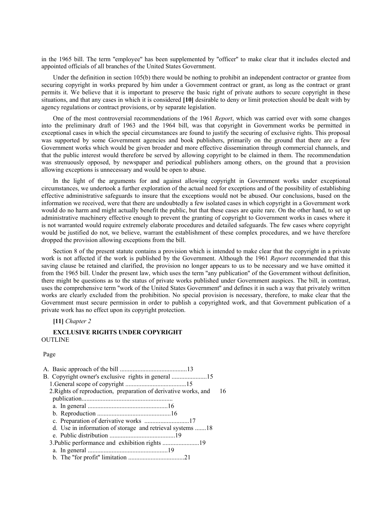in the 1965 bill. The term ''employee'' has been supplemented by ''officer'' to make clear that it includes elected and appointed officials of all branches of the United States Government.

Under the definition in section 105(b) there would be nothing to prohibit an independent contractor or grantee from securing copyright in works prepared by him under a Government contract or grant, as long as the contract or grant permits it. We believe that it is important to preserve the basic right of private authors to secure copyright in these situations, and that any cases in which it is considered **[10]** desirable to deny or limit protection should be dealt with by agency regulations or contract provisions, or by separate legislation.

One of the most controversial recommendations of the 1961 *Report*, which was carried over with some changes into the preliminary draft of 1963 and the 1964 bill, was that copyright in Government works be permitted in exceptional cases in which the special circumstances are found to justify the securing of exclusive rights. This proposal was supported by some Government agencies and book publishers, primarily on the ground that there are a few Government works which would be given broader and more effective dissemination through commercial channels, and that the public interest would therefore be served by allowing copyright to be claimed in them. The recommendation was strenuously opposed, by newspaper and periodical publishers among others, on the ground that a provision allowing exceptions is unnecessary and would be open to abuse.

In the light of the arguments for and against allowing copyright in Government works under exceptional circumstances, we undertook a further exploration of the actual need for exceptions and of the possibility of establishing effective administrative safeguards to insure that the exceptions would not be abused. Our conclusions, based on the information we received, were that there are undoubtedly a few isolated cases in which copyright in a Government work would do no harm and might actually benefit the public, but that these cases are quite rare. On the other hand, to set up administrative machinery effective enough to prevent the granting of copyright to Government works in cases where it is not warranted would require extremely elaborate procedures and detailed safeguards. The few cases where copyright would be justified do not, we believe, warrant the establishment of these complex procedures, and we have therefore dropped the provision allowing exceptions from the bill.

Section 8 of the present statute contains a provision which is intended to make clear that the copyright in a private work is not affected if the work is published by the Government. Although the 1961 *Report* recommended that this saving clause be retained and clarified, the provision no longer appears to us to be necessary and we have omitted it from the 1965 bill. Under the present law, which uses the term ''any publication'' of the Government without definition, there might be questions as to the status of private works published under Government auspices. The bill, in contrast, uses the comprehensive term ''work of the United States Government'' and defines it in such a way that privately written works are clearly excluded from the prohibition. No special provision is necessary, therefore, to make clear that the Government must secure permission in order to publish a copyrighted work, and that Government publication of a private work has no effect upon its copyright protection.

# **[11]** *Chapter 2*

# **EXCLUSIVE RIGHTS UNDER COPYRIGHT** OUTLINE

#### Page

| 2. Rights of reproduction, preparation of derivative works, and | 16 |
|-----------------------------------------------------------------|----|
|                                                                 |    |
|                                                                 |    |
|                                                                 |    |
|                                                                 |    |
| d. Use in information of storage and retrieval systems 18       |    |
|                                                                 |    |
|                                                                 |    |
|                                                                 |    |
|                                                                 |    |
|                                                                 |    |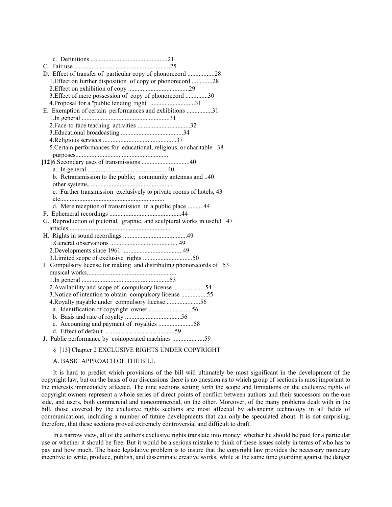| D. Effect of transfer of particular copy of phonorecord 28               |
|--------------------------------------------------------------------------|
| 1. Effect on further disposition of copy or phonorecord  28              |
|                                                                          |
| 3. Effect of mere possession of copy of phonorecord 30                   |
| 4. Proposal for a "public lending right" 31                              |
| E. Exemption of certain performances and exhibitions 31                  |
|                                                                          |
|                                                                          |
|                                                                          |
|                                                                          |
| 5. Certain performances for educational, religious, or charitable 38     |
|                                                                          |
|                                                                          |
|                                                                          |
| b. Retransmission to the public; community antennas and 40               |
|                                                                          |
| c. Further transmission exclusively to private rooms of hotels, 43       |
|                                                                          |
| d. Mere reception of transmission in a public place 44                   |
|                                                                          |
| G. Reproduction of pictorial, graphic, and sculptural works in useful 47 |
|                                                                          |
|                                                                          |
|                                                                          |
|                                                                          |
|                                                                          |
| I. Compulsory license for making and distributing phonorecords of 53     |
|                                                                          |
|                                                                          |
| 2. Availability and scope of compulsory license 54                       |
| 3. Notice of intention to obtain compulsory license 55                   |
| 4. Royalty payable under compulsory license 56                           |
|                                                                          |
|                                                                          |
| c. Accounting and payment of royalties 58                                |
|                                                                          |
| J. Public performance by coinoperated machines 59                        |
|                                                                          |

§ [13] Chapter 2 EXCLUSIVE RIGHTS UNDER COPYRIGHT

A. BASIC APPROACH OF THE BILL

It is hard to predict which provisions of the bill will ultimately be most significant in the development of the copyright law, but on the basis of our discussions there is no question as to which group of sections is most important to the interests immediately affected. The nine sections setting forth the scope and limitations on the exclusive rights of copyright owners represent a whole series of direct points of conflict between authors and their successors on the one side, and users, both commercial and noncommercial, on the other. Moreover, of the many problems dealt with in the bill, those covered by the exclusive rights sections are most affected by advancing technology in all fields of communications, including a number of future developments that can only be speculated about. It is not surprising, therefore, that these sections proved extremely controversial and difficult to draft.

In a narrow view, all of the author's exclusive rights translate into money: whether he should be paid for a particular use or whether it should be free. But it would be a serious mistake to think of these issues solely in terms of who has to pay and how much. The basic legislative problem is to insure that the copyright law provides the necessary monetary incentive to write, produce, publish, and disseminate creative works, while at the same time guarding against the danger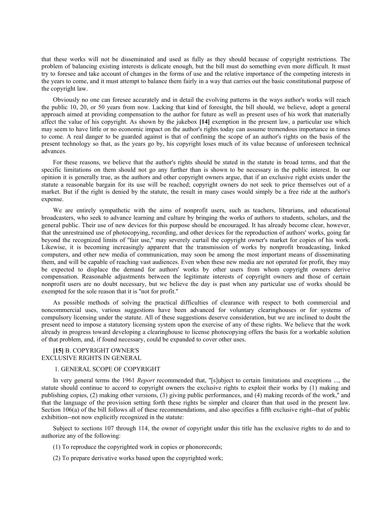that these works will not be disseminated and used as fully as they should because of copyright restrictions. The problem of balancing existing interests is delicate enough, but the bill must do something even more difficult. It must try to foresee and take account of changes in the forms of use and the relative importance of the competing interests in the years to come, and it must attempt to balance them fairly in a way that carries out the basic constitutional purpose of the copyright law.

Obviously no one can foresee accurately and in detail the evolving patterns in the ways author's works will reach the public 10, 20, or 50 years from now. Lacking that kind of foresight, the bill should, we believe, adopt a general approach aimed at providing compensation to the author for future as well as present uses of his work that materially affect the value of his copyright. As shown by the jukebox **[14]** exemption in the present law, a particular use which may seem to have little or no economic impact on the author's rights today can assume tremendous importance in times to come. A real danger to be guarded against is that of confining the scope of an author's rights on the basis of the present technology so that, as the years go by, his copyright loses much of its value because of unforeseen technical advances.

For these reasons, we believe that the author's rights should be stated in the statute in broad terms, and that the specific limitations on them should not go any further than is shown to be necessary in the public interest. In our opinion it is generally true, as the authors and other copyright owners argue, that if an exclusive right exists under the statute a reasonable bargain for its use will be reached; copyright owners do not seek to price themselves out of a market. But if the right is denied by the statute, the result in many cases would simply be a free ride at the author's expense.

We are entirely sympathetic with the aims of nonprofit users, such as teachers, librarians, and educational broadcasters, who seek to advance learning and culture by bringing the works of authors to students, scholars, and the general public. Their use of new devices for this purpose should be encouraged. It has already become clear, however, that the unrestrained use of photocopying, recording, and other devices for the reproduction of authors' works, going far beyond the recognized limits of "fair use," may severely curtail the copyright owner's market for copies of his work. Likewise, it is becoming increasingly apparent that the transmission of works by nonprofit broadcasting, linked computers, and other new media of communication, may soon be among the most important means of disseminating them, and will be capable of reaching vast audiences. Even when these new media are not operated for profit, they may be expected to displace the demand for authors' works by other users from whom copyright owners derive compensation. Reasonable adjustments between the legitimate interests of copyright owners and those of certain nonprofit users are no doubt necessary, but we believe the day is past when any particular use of works should be exempted for the sole reason that it is ''not for profit.''

As possible methods of solving the practical difficulties of clearance with respect to both commercial and noncommercial uses, various suggestions have been advanced for voluntary clearinghouses or for systems of compulsory licensing under the statute. All of these suggestions deserve consideration, but we are inclined to doubt the present need to impose a statutory licensing system upon the exercise of any of these rights. We believe that the work already in progress toward developing a clearinghouse to license photocopying offers the basis for a workable solution of that problem, and, if found necessary, could be expanded to cover other uses.

### **[15]** B. COPYRIGHT OWNER'S EXCLUSIVE RIGHTS IN GENERAL

### 1. GENERAL SCOPE OF COPYRIGHT

In very general terms the 1961 *Report* recommended that, ''[s]ubject to certain limitations and exceptions ..., the statute should continue to accord to copyright owners the exclusive rights to exploit their works by (1) making and publishing copies, (2) making other versions, (3) giving public performances, and (4) making records of the work,'' and that the language of the provision setting forth these rights be simpler and clearer than that used in the present law. Section 106(a) of the bill follows all of these recommendations, and also specifies a fifth exclusive right--that of public exhibition--not now explicitly recognized in the statute:

Subject to sections 107 through 114, the owner of copyright under this title has the exclusive rights to do and to authorize any of the following:

(1) To reproduce the copyrighted work in copies or phonorecords;

(2) To prepare derivative works based upon the copyrighted work;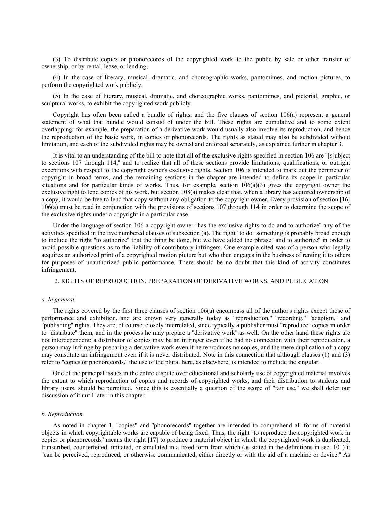(3) To distribute copies or phonorecords of the copyrighted work to the public by sale or other transfer of ownership, or by rental, lease, or lending;

(4) In the case of literary, musical, dramatic, and choreographic works, pantomimes, and motion pictures, to perform the copyrighted work publicly;

(5) In the case of literary, musical, dramatic, and choreographic works, pantomimes, and pictorial, graphic, or sculptural works, to exhibit the copyrighted work publicly.

Copyright has often been called a bundle of rights, and the five clauses of section 106(a) represent a general statement of what that bundle would consist of under the bill. These rights are cumulative and to some extent overlapping: for example, the preparation of a derivative work would usually also involve its reproduction, and hence the reproduction of the basic work, in copies or phonorecords. The rights as stated may also be subdivided without limitation, and each of the subdivided rights may be owned and enforced separately, as explained further in chapter 3.

It is vital to an understanding of the bill to note that all of the exclusive rights specified in section 106 are ''[s]ubject to sections 107 through 114,'' and to realize that all of these sections provide limitations, qualifications, or outright exceptions with respect to the copyright owner's exclusive rights. Section 106 is intended to mark out the perimeter of copyright in broad terms, and the remaining sections in the chapter are intended to define its scope in particular situations and for particular kinds of works. Thus, for example, section  $106(a)(3)$  gives the copyright owner the exclusive right to lend copies of his work, but section 108(a) makes clear that, when a library has acquired ownership of a copy, it would be free to lend that copy without any obligation to the copyright owner. Every provision of section **[16]** 106(a) must be read in conjunction with the provisions of sections 107 through 114 in order to determine the scope of the exclusive rights under a copyright in a particular case.

Under the language of section 106 a copyright owner ''has the exclusive rights to do and to authorize'' any of the activities specified in the five numbered clauses of subsection (a). The right ''to do'' something is probably broad enough to include the right ''to authorize'' that the thing be done, but we have added the phrase ''and to authorize'' in order to avoid possible questions as to the liability of contributory infringers. One example cited was of a person who legally acquires an authorized print of a copyrighted motion picture but who then engages in the business of renting it to others for purposes of unauthorized public performance. There should be no doubt that this kind of activity constitutes infringement.

2. RIGHTS OF REPRODUCTION, PREPARATION OF DERIVATIVE WORKS, AND PUBLICATION

### *a. In general*

The rights covered by the first three clauses of section 106(a) encompass all of the author's rights except those of performance and exhibition, and are known very generally today as "reproduction," "recording," "adaption," and ''publishing'' rights. They are, of course, closely interrelated, since typically a publisher must ''reproduce'' copies in order to ''distribute'' them, and in the process he may prepare a ''derivative work'' as well. On the other hand these rights are not interdependent: a distributor of copies may be an infringer even if he had no connection with their reproduction, a person may infringe by preparing a derivative work even if he reproduces no copies, and the mere duplication of a copy may constitute an infringement even if it is never distributed. Note in this connection that although clauses (1) and (3) refer to ''copies or phonorecords,'' the use of the plural here, as elsewhere, is intended to include the singular.

One of the principal issues in the entire dispute over educational and scholarly use of copyrighted material involves the extent to which reproduction of copies and records of copyrighted works, and their distribution to students and library users, should be permitted. Since this is essentially a question of the scope of ''fair use,'' we shall defer our discussion of it until later in this chapter.

### *b. Reproduction*

As noted in chapter 1, ''copies'' and ''phonorecords'' together are intended to comprehend all forms of material objects in which copyrightable works are capable of being fixed. Thus, the right ''to reproduce the copyrighted work in copies or phonorecords'' means the right **[17]** to produce a material object in which the copyrighted work is duplicated, transcribed, counterfeited, imitated, or simulated in a fixed form from which (as stated in the definitions in sec. 101) it ''can be perceived, reproduced, or otherwise communicated, either directly or with the aid of a machine or device.'' As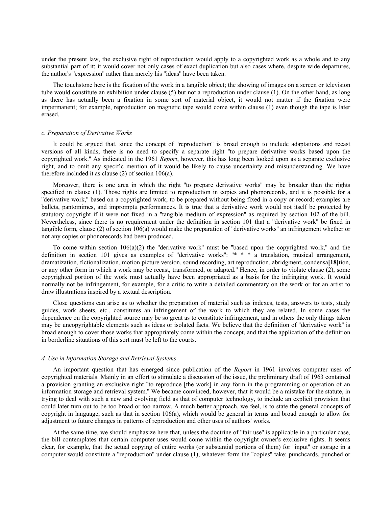under the present law, the exclusive right of reproduction would apply to a copyrighted work as a whole and to any substantial part of it; it would cover not only cases of exact duplication but also cases where, despite wide departures, the author's ''expression'' rather than merely his ''ideas'' have been taken.

The touchstone here is the fixation of the work in a tangible object; the showing of images on a screen or television tube would constitute an exhibition under clause (5) but not a reproduction under clause (1). On the other hand, as long as there has actually been a fixation in some sort of material object, it would not matter if the fixation were impermanent; for example, reproduction on magnetic tape would come within clause (1) even though the tape is later erased.

#### *c. Preparation of Derivative Works*

It could be argued that, since the concept of ''reproduction'' is broad enough to include adaptations and recast versions of all kinds, there is no need to specify a separate right ''to prepare derivative works based upon the copyrighted work.'' As indicated in the 1961 *Report*, however, this has long been looked upon as a separate exclusive right, and to omit any specific mention of it would be likely to cause uncertainty and misunderstanding. We have therefore included it as clause (2) of section 106(a).

Moreover, there is one area in which the right ''to prepare derivative works'' may be broader than the rights specified in clause (1). Those rights are limited to reproduction in copies and phonorecords, and it is possible for a ''derivative work,'' based on a copyrighted work, to be prepared without being fixed in a copy or record; examples are ballets, pantomimes, and impromptu performances. It is true that a derivative work would not itself be protected by statutory copyright if it were not fixed in a ''tangible medium of expression'' as required by section 102 of the bill. Nevertheless, since there is no requirement under the definition in section 101 that a ''derivative work'' be fixed in tangible form, clause (2) of section 106(a) would make the preparation of ''derivative works'' an infringement whether or not any copies or phonorecords had been produced.

To come within section  $106(a)(2)$  the "derivative work" must be "based upon the copyrighted work," and the definition in section 101 gives as examples of "derivative works":  $** * a$  translation, musical arrangement, dramatization, fictionalization, motion picture version, sound recording, art reproduction, abridgment, condensa**[18]**tion, or any other form in which a work may be recast, transformed, or adapted.'' Hence, in order to violate clause (2), some copyrighted portion of the work must actually have been appropriated as a basis for the infringing work. It would normally not be infringement, for example, for a critic to write a detailed commentary on the work or for an artist to draw illustrations inspired by a textual description.

Close questions can arise as to whether the preparation of material such as indexes, tests, answers to tests, study guides, work sheets, etc., constitutes an infringement of the work to which they are related. In some cases the dependence on the copyrighted source may be so great as to constitute infringement, and in others the only things taken may be uncopyrightable elements such as ideas or isolated facts. We believe that the definition of ''derivative work'' is broad enough to cover those works that appropriately come within the concept, and that the application of the definition in borderline situations of this sort must be left to the courts.

### *d. Use in Information Storage and Retrieval Systems*

An important question that has emerged since publication of the *Report* in 1961 involves computer uses of copyrighted materials. Mainly in an effort to stimulate a discussion of the issue, the preliminary draft of 1963 contained a provision granting an exclusive right ''to reproduce [the work] in any form in the programming or operation of an information storage and retrieval system.'' We became convinced, however, that it would be a mistake for the statute, in trying to deal with such a new and evolving field as that of computer technology, to include an explicit provision that could later turn out to be too broad or too narrow. A much better approach, we feel, is to state the general concepts of copyright in language, such as that in section 106(a), which would be general in terms and broad enough to allow for adjustment to future changes in patterns of reproduction and other uses of authors' works.

At the same time, we should emphasize here that, unless the doctrine of ''fair use'' is applicable in a particular case, the bill contemplates that certain computer uses would come within the copyright owner's exclusive rights. It seems clear, for example, that the actual copying of entire works (or substantial portions of them) for ''input'' or storage in a computer would constitute a ''reproduction'' under clause (1), whatever form the ''copies'' take: punchcards, punched or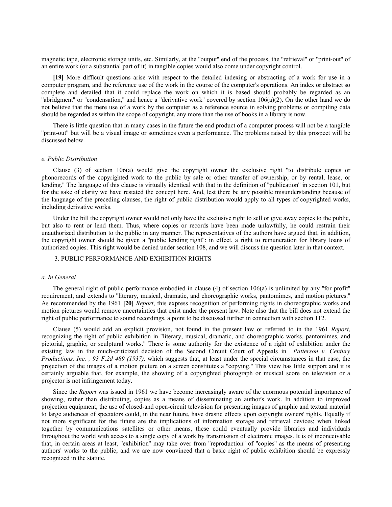magnetic tape, electronic storage units, etc. Similarly, at the ''output'' end of the process, the ''retrieval'' or ''print-out'' of an entire work (or a substantial part of it) in tangible copies would also come under copyright control.

**[19]** More difficult questions arise with respect to the detailed indexing or abstracting of a work for use in a computer program, and the reference use of the work in the course of the computer's operations. An index or abstract so complete and detailed that it could replace the work on which it is based should probably be regarded as an ''abridgment'' or ''condensation,'' and hence a ''derivative work'' covered by section 106(a)(2). On the other hand we do not believe that the mere use of a work by the computer as a reference source in solving problems or compiling data should be regarded as within the scope of copyright, any more than the use of books in a library is now.

There is little question that in many cases in the future the end product of a computer process will not be a tangible ''print-out'' but will be a visual image or sometimes even a performance. The problems raised by this prospect will be discussed below.

#### *e. Public Distribution*

Clause (3) of section 106(a) would give the copyright owner the exclusive right ''to distribute copies or phonorecords of the copyrighted work to the public by sale or other transfer of ownership, or by rental, lease, or lending.'' The language of this clause is virtually identical with that in the definition of ''publication'' in section 101, but for the sake of clarity we have restated the concept here. And, lest there be any possible misunderstanding because of the language of the preceding clauses, the right of public distribution would apply to all types of copyrighted works, including derivative works.

Under the bill the copyright owner would not only have the exclusive right to sell or give away copies to the public, but also to rent or lend them. Thus, where copies or records have been made unlawfully, he could restrain their unauthorized distribution to the public in any manner. The representatives of the authors have argued that, in addition, the copyright owner should be given a ''public lending right'': in effect, a right to remuneration for library loans of authorized copies. This right would be denied under section 108, and we will discuss the question later in that context.

# 3. PUBLIC PERFORMANCE AND EXHIBITION RIGHTS

#### *a. In General*

The general right of public performance embodied in clause  $(4)$  of section  $106(a)$  is unlimited by any "for profit" requirement, and extends to ''literary, musical, dramatic, and choreographic works, pantomimes, and motion pictures.'' As recommended by the 1961 **[20]** *Report*, this express recognition of performing rights in choreographic works and motion pictures would remove uncertainties that exist under the present law. Note also that the bill does not extend the right of public performance to sound recordings, a point to be discussed further in connection with section 112.

Clause (5) would add an explicit provision, not found in the present law or referred to in the 1961 *Report*, recognizing the right of public exhibition in ''literary, musical, dramatic, and choreographic works, pantomimes, and pictorial, graphic, or sculptural works.'' There is some authority for the existence of a right of exhibition under the existing law in the much-criticized decision of the Second Circuit Court of Appeals in *Patterson v. Century Productions, Inc. , 93 F.2d 489 (1937),* which suggests that, at least under the special circumstances in that case, the projection of the images of a motion picture on a screen constitutes a ''copying.'' This view has little support and it is certainly arguable that, for example, the showing of a copyrighted photograph or musical score on television or a projector is not infringement today.

Since the *Report* was issued in 1961 we have become increasingly aware of the enormous potential importance of showing, rather than distributing, copies as a means of disseminating an author's work. In addition to improved projection equipment, the use of closed-and open-circuit television for presenting images of graphic and textual material to large audiences of spectators could, in the near future, have drastic effects upon copyright owners' rights. Equally if not more significant for the future are the implications of information storage and retrieval devices; when linked together by communications satellites or other means, these could eventually provide libraries and individuals throughout the world with access to a single copy of a work by transmission of electronic images. It is of inconceivable that, in certain areas at least, ''exhibition'' may take over from ''reproduction'' of ''copies'' as the means of presenting authors' works to the public, and we are now convinced that a basic right of public exhibition should be expressly recognized in the statute.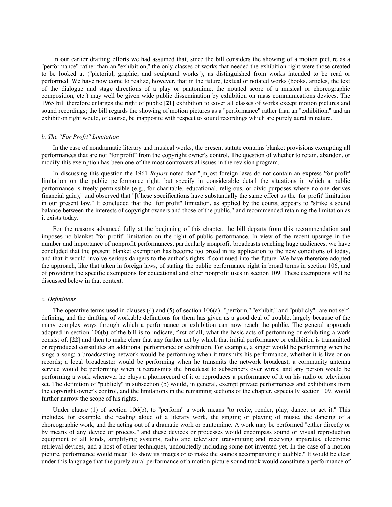In our earlier drafting efforts we had assumed that, since the bill considers the showing of a motion picture as a ''performance'' rather than an ''exhibition,'' the only classes of works that needed the exhibition right were those created to be looked at (''pictorial, graphic, and sculptural works''), as distinguished from works intended to be read or performed. We have now come to realize, however, that in the future, textual or notated works (books, articles, the text of the dialogue and stage directions of a play or pantomime, the notated score of a musical or choreographic composition, etc.) may well be given wide public dissemination by exhibition on mass communications devices. The 1965 bill therefore enlarges the right of public **[21]** exhibition to cover all classes of works except motion pictures and sound recordings; the bill regards the showing of motion pictures as a "performance" rather than an "exhibition," and an exhibition right would, of course, be inapposite with respect to sound recordings which are purely aural in nature.

### *b. The ''For Profit'' Limitation*

In the case of nondramatic literary and musical works, the present statute contains blanket provisions exempting all performances that are not ''for profit'' from the copyright owner's control. The question of whether to retain, abandon, or modify this exemption has been one of the most controversial issues in the revision program.

In discussing this question the 1961 *Report* noted that ''[m]ost foreign laws do not contain an express 'for profit' limitation on the public performance right, but specify in considerable detail the situations in which a public performance is freely permissible (e.g., for charitable, educational, religious, or civic purposes where no one derives financial gain),'' and observed that ''[t]hese specifications have substantially the same effect as the 'for profit' limitation in our present law.'' It concluded that the ''for profit'' limitation, as applied by the courts, appears to ''strike a sound balance between the interests of copyright owners and those of the public,'' and recommended retaining the limitation as it exists today.

For the reasons advanced fully at the beginning of this chapter, the bill departs from this recommendation and imposes no blanket ''for profit'' limitation on the right of public performance. In view of the recent upsurge in the number and importance of nonprofit performances, particularly nonprofit broadcasts reaching huge audiences, we have concluded that the present blanket exemption has become too broad in its application to the new conditions of today, and that it would involve serious dangers to the author's rights if continued into the future. We have therefore adopted the approach, like that taken in foreign laws, of stating the public performance right in broad terms in section 106, and of providing the specific exemptions for educational and other nonprofit uses in section 109. These exemptions will be discussed below in that context.

#### *c. Definitions*

The operative terms used in clauses (4) and (5) of section  $106(a)$ --"perform," "exhibit," and "publicly"--are not selfdefining, and the drafting of workable definitions for them has given us a good deal of trouble, largely because of the many complex ways through which a performance or exhibition can now reach the public. The general approach adopted in section 106(b) of the bill is to indicate, first of all, what the basic acts of performing or exhibiting a work consist of, **[22]** and then to make clear that any further act by which that initial performance or exhibition is transmitted or reproduced constitutes an additional performance or exhibition. For example, a singer would be performing when he sings a song; a broadcasting network would be performing when it transmits his performance, whether it is live or on records; a local broadcaster would be performing when he transmits the network broadcast; a community antenna service would be performing when it retransmits the broadcast to subscribers over wires; and any person would be performing a work whenever he plays a phonorecord of it or reproduces a performance of it on his radio or television set. The definition of ''publicly'' in subsection (b) would, in general, exempt private performances and exhibitions from the copyright owner's control, and the limitations in the remaining sections of the chapter, especially section 109, would further narrow the scope of his rights.

Under clause (1) of section 106(b), to "perform" a work means "to recite, render, play, dance, or act it." This includes, for example, the reading aloud of a literary work, the singing or playing of music, the dancing of a choreographic work, and the acting out of a dramatic work or pantomime. A work may be performed ''either directly or by means of any device or process,'' and these devices or processes would encompass sound or visual reproduction equipment of all kinds, amplifying systems, radio and television transmitting and receiving apparatus, electronic retrieval devices, and a host of other techniques, undoubtedly including some not invented yet. In the case of a motion picture, performance would mean ''to show its images or to make the sounds accompanying it audible.'' It would be clear under this language that the purely aural performance of a motion picture sound track would constitute a performance of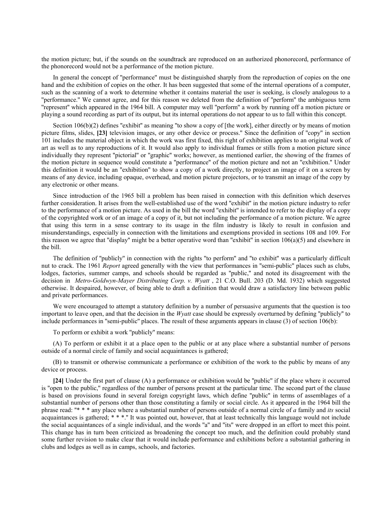the motion picture; but, if the sounds on the soundtrack are reproduced on an authorized phonorecord, performance of the phonorecord would not be a performance of the motion picture.

In general the concept of ''performance'' must be distinguished sharply from the reproduction of copies on the one hand and the exhibition of copies on the other. It has been suggested that some of the internal operations of a computer, such as the scanning of a work to determine whether it contains material the user is seeking, is closely analogous to a ''performance.'' We cannot agree, and for this reason we deleted from the definition of ''perform'' the ambiguous term ''represent'' which appeared in the 1964 bill. A computer may well ''perform'' a work by running off a motion picture or playing a sound recording as part of its output, but its internal operations do not appear to us to fall within this concept.

Section 106(b)(2) defines "exhibit" as meaning "to show a copy of [the work], either directly or by means of motion picture films, slides, [23] television images, or any other device or process." Since the definition of "copy" in section 101 includes the material object in which the work was first fixed, this right of exhibition applies to an original work of art as well as to any reproductions of it. It would also apply to individual frames or stills from a motion picture since individually they represent ''pictorial'' or ''graphic'' works; however, as mentioned earlier, the showing of the frames of the motion picture in sequence would constitute a ''performance'' of the motion picture and not an ''exhibition.'' Under this definition it would be an ''exhibition'' to show a copy of a work directly, to project an image of it on a screen by means of any device, including opaque, overhead, and motion picture projectors, or to transmit an image of the copy by any electronic or other means.

Since introduction of the 1965 bill a problem has been raised in connection with this definition which deserves further consideration. It arises from the well-established use of the word "exhibit" in the motion picture industry to refer to the performance of a motion picture. As used in the bill the word ''exhibit'' is intended to refer to the display of a copy of the copyrighted work or of an image of a copy of it, but not including the performance of a motion picture. We agree that using this term in a sense contrary to its usage in the film industry is likely to result in confusion and misunderstandings, especially in connection with the limitations and exemptions provided in sections 108 and 109. For this reason we agree that "display" might be a better operative word than "exhibit" in section  $106(a)(5)$  and elsewhere in the bill.

The definition of ''publicly'' in connection with the rights ''to perform'' and ''to exhibit'' was a particularly difficult nut to crack. The 1961 *Report* agreed generally with the view that performances in ''semi-public'' places such as clubs, lodges, factories, summer camps, and schools should be regarded as "public," and noted its disagreement with the decision in *Metro-Goldwyn-Mayer Distributing Corp. v. Wyatt* , 21 C.O. Bull. 203 (D. Md. 1932) which suggested otherwise. It despaired, however, of being able to draft a definition that would draw a satisfactory line between public and private performances.

We were encouraged to attempt a statutory definition by a number of persuasive arguments that the question is too important to leave open, and that the decision in the *Wyatt* case should be expressly overturned by defining ''publicly'' to include performances in ''semi-public'' places. The result of these arguments appears in clause (3) of section 106(b):

To perform or exhibit a work ''publicly'' means:

(A) To perform or exhibit it at a place open to the public or at any place where a substantial number of persons outside of a normal circle of family and social acquaintances is gathered;

(B) to transmit or otherwise communicate a performance or exhibition of the work to the public by means of any device or process.

**[24]** Under the first part of clause (A) a performance or exhibition would be ''public'' if the place where it occurred is ''open to the public,'' regardless of the number of persons present at the particular time. The second part of the clause is based on provisions found in several foreign copyright laws, which define ''public'' in terms of assemblages of a substantial number of persons other than those constituting a family or social circle. As it appeared in the 1964 bill the phrase read: ''\* \* \* any place where a substantial number of persons outside of a normal circle of *a* family and *its* social acquaintances is gathered; \* \* \*.'' It was pointed out, however, that at least technically this language would not include the social acquaintances of a single individual, and the words ''a'' and ''its'' were dropped in an effort to meet this point. This change has in turn been criticized as broadening the concept too much, and the definition could probably stand some further revision to make clear that it would include performance and exhibitions before a substantial gathering in clubs and lodges as well as in camps, schools, and factories.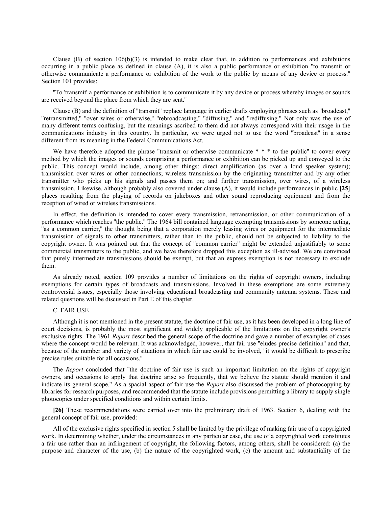Clause (B) of section  $106(b)(3)$  is intended to make clear that, in addition to performances and exhibitions occurring in a public place as defined in clause (A), it is also a public performance or exhibition ''to transmit or otherwise communicate a performance or exhibition of the work to the public by means of any device or process.'' Section 101 provides:

''To 'transmit' a performance or exhibition is to communicate it by any device or process whereby images or sounds are received beyond the place from which they are sent.''

Clause (B) and the definition of ''transmit'' replace language in earlier drafts employing phrases such as ''broadcast,'' "retransmitted," "over wires or otherwise," "rebroadcasting," "diffusing," and "rediffusing." Not only was the use of many different terms confusing, but the meanings ascribed to them did not always correspond with their usage in the communications industry in this country. In particular, we were urged not to use the word ''broadcast'' in a sense different from its meaning in the Federal Communications Act.

We have therefore adopted the phrase "transmit or otherwise communicate  $* * *$  to the public" to cover every method by which the images or sounds comprising a performance or exhibition can be picked up and conveyed to the public. This concept would include, among other things: direct amplification (as over a loud speaker system); transmission over wires or other connections; wireless transmission by the originating transmitter and by any other transmitter who picks up his signals and passes them on; and further transmission, over wires, of a wireless transmission. Likewise, although probably also covered under clause (A), it would include performances in public **[25]** places resulting from the playing of records on jukeboxes and other sound reproducing equipment and from the reception of wired or wireless transmissions.

In effect, the definition is intended to cover every transmission, retransmission, or other communication of a performance which reaches ''the public.'' The 1964 bill contained language exempting transmissions by someone acting, "as a common carrier," the thought being that a corporation merely leasing wires or equipment for the intermediate transmission of signals to other transmitters, rather than to the public, should not be subjected to liability to the copyright owner. It was pointed out that the concept of ''common carrier'' might be extended unjustifiably to some commercial transmitters to the public, and we have therefore dropped this exception as ill-advised. We are convinced that purely intermediate transmissions should be exempt, but that an express exemption is not necessary to exclude them.

As already noted, section 109 provides a number of limitations on the rights of copyright owners, including exemptions for certain types of broadcasts and transmissions. Involved in these exemptions are some extremely controversial issues, especially those involving educational broadcasting and community antenna systems. These and related questions will be discussed in Part E of this chapter.

#### C. FAIR USE

Although it is not mentioned in the present statute, the doctrine of fair use, as it has been developed in a long line of court decisions, is probably the most significant and widely applicable of the limitations on the copyright owner's exclusive rights. The 1961 *Report* described the general scope of the doctrine and gave a number of examples of cases where the concept would be relevant. It was acknowledged, however, that fair use "eludes precise definition" and that, because of the number and variety of situations in which fair use could be involved, ''it would be difficult to prescribe precise rules suitable for all occasions.''

The *Report* concluded that ''the doctrine of fair use is such an important limitation on the rights of copyright owners, and occasions to apply that doctrine arise so frequently, that we believe the statute should mention it and indicate its general scope.'' As a spacial aspect of fair use the *Report* also discussed the problem of photocopying by libraries for research purposes, and recommended that the statute include provisions permitting a library to supply single photocopies under specified conditions and within certain limits.

**[26]** These recommendations were carried over into the preliminary draft of 1963. Section 6, dealing with the general concept of fair use, provided:

All of the exclusive rights specified in section 5 shall be limited by the privilege of making fair use of a copyrighted work. In determining whether, under the circumstances in any particular case, the use of a copyrighted work constitutes a fair use rather than an infringement of copyright, the following factors, among others, shall be considered: (a) the purpose and character of the use, (b) the nature of the copyrighted work, (c) the amount and substantiality of the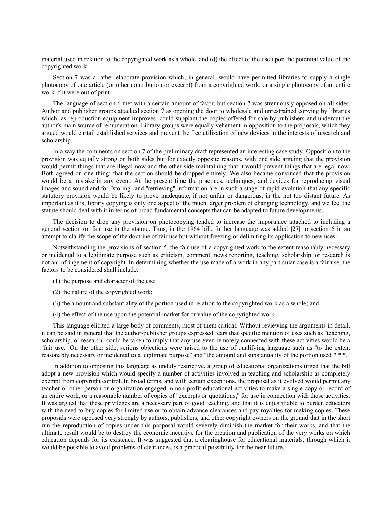material used in relation to the copyrighted work as a whole, and (d) the effect of the use upon the potential value of the copyrighted work.

Section 7 was a rather elaborate provision which, in general, would have permitted libraries to supply a single photocopy of one article (or other contribution or excerpt) from a copyrighted work, or a single photocopy of an entire work if it were out of print.

The language of section 6 met with a certain amount of favor, but section 7 was strenuously opposed on all sides. Author and publisher groups attacked section 7 as opening the door to wholesale and unrestrained copying by libraries which, as reproduction equipment improves, could supplant the copies offered for sale by publishers and undercut the author's main source of remuneration. Library groups were equally vehement in opposition to the proposals, which they argued would curtail established services and prevent the free utilization of new devices in the interests of research and scholarship.

In a way the comments on section 7 of the preliminary draft represented an interesting case study. Opposition to the provision was equally strong on both sides but for exactly opposite reasons, with one side arguing that the provision would permit things that are illegal now and the other side maintaining that it would prevent things that are legal now. Both agreed on one thing: that the section should be dropped entirely. We also became convinced that the provision would be a mistake in any event. At the present time the practices, techniques, and devices for reproducing visual images and sound and for ''storing'' and ''retrieving'' information are in such a stage of rapid evolution that any specific statutory provision would be likely to prove inadequate, if not unfair or dangerous, in the not too distant future. As important as it is, library copying is only one aspect of the much larger problem of changing technology, and we feel the statute should deal with it in terms of broad fundamental concepts that can be adapted to future developments.

The decision to drop any provision on photocopying tended to increase the importance attached to including a general section on fair use in the statute. Thus, in the 1964 bill, further language was added **[27]** to section 6 in an attempt to clarify the scope of the doctrine of fair use but without freezing or delimiting its application to new uses:

Notwithstanding the provisions of section 5, the fair use of a copyrighted work to the extent reasonably necessary or incidental to a legitimate purpose such as criticism, comment, news reporting, teaching, scholarship, or research is not an infringement of copyright. In determining whether the use made of a work in any particular case is a fair use, the factors to be considered shall include:

- (1) the purpose and character of the use;
- (2) the nature of the copyrighted work;
- (3) the amount and substantiality of the portion used in relation to the copyrighted work as a whole; and
- (4) the effect of the use upon the potential market for or value of the copyrighted work.

This language elicited a large body of comments, most of them critical. Without reviewing the arguments in detail, it can be said in general that the author-publisher groups expressed fears that specific mention of uses such as ''teaching, scholarship, or research'' could be taken to imply that any use even remotely connected with these activities would be a ''fair use.'' On the other side, serious objections were raised to the use of qualifying language such as ''to the extent reasonably necessary or incidental to a legitimate purpose'' and ''the amount and substantiality of the portion used \* \* \*.''

In addition to opposing this language as unduly restrictive, a group of educational organizations urged that the bill adopt a new provision which would specify a number of activities involved in teaching and scholarship as completely exempt from copyright control. In broad terms, and with certain exceptions, the proposal as it evolved would permit any teacher or other person or organization engaged in non-profit educational activities to make a single copy or record of an entire work, or a reasonable number of copies of ''excerpts or quotations,'' for use in connection with those activities. It was argued that these privileges are a necessary part of good teaching, and that it is unjustifiable to burden educators with the need to buy copies for limited use or to obtain advance clearances and pay royalties for making copies. These proposals were opposed very strongly by authors, publishers, and other copyright owners on the ground that in the short run the reproduction of copies under this proposal would severely diminish the market for their works, and that the ultimate result would be to destroy the economic incentive for the creation and publication of the very works on which education depends for its existence. It was suggested that a clearinghouse for educational materials, through which it would be possible to avoid problems of clearances, is a practical possibility for the near future.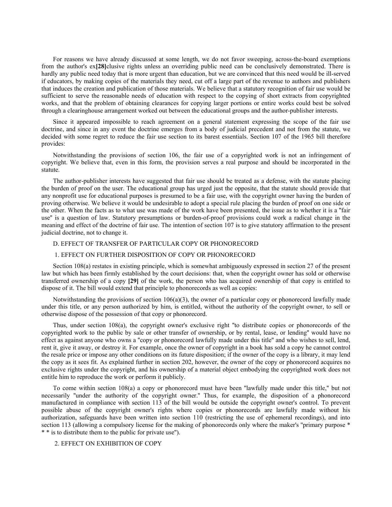For reasons we have already discussed at some length, we do not favor sweeping, across-the-board exemptions from the author's ex**[28]**clusive rights unless an overriding public need can be conclusively demonstrated. There is hardly any public need today that is more urgent than education, but we are convinced that this need would be ill-served if educators, by making copies of the materials they need, cut off a large part of the revenue to authors and publishers that induces the creation and publication of those materials. We believe that a statutory recognition of fair use would be sufficient to serve the reasonable needs of education with respect to the copying of short extracts from copyrighted works, and that the problem of obtaining clearances for copying larger portions or entire works could best be solved through a clearinghouse arrangement worked out between the educational groups and the author-publisher interests.

Since it appeared impossible to reach agreement on a general statement expressing the scope of the fair use doctrine, and since in any event the doctrine emerges from a body of judicial precedent and not from the statute, we decided with some regret to reduce the fair use section to its barest essentials. Section 107 of the 1965 bill therefore provides:

Notwithstanding the provisions of section 106, the fair use of a copyrighted work is not an infringement of copyright. We believe that, even in this form, the provision serves a real purpose and should be incorporated in the statute.

The author-publisher interests have suggested that fair use should be treated as a defense, with the statute placing the burden of proof on the user. The educational group has urged just the opposite, that the statute should provide that any nonprofit use for educational purposes is presumed to be a fair use, with the copyright owner having the burden of proving otherwise. We believe it would be undesirable to adopt a special rule placing the burden of proof on one side or the other. When the facts as to what use was made of the work have been presented, the issue as to whether it is a ''fair use'' is a question of law. Statutory presumptions or burden-of-proof provisions could work a radical change in the meaning and effect of the doctrine of fair use. The intention of section 107 is to give statutory affirmation to the present judicial doctrine, not to change it.

## D. EFFECT OF TRANSFER OF PARTICULAR COPY OR PHONORECORD

#### 1. EFFECT ON FURTHER DISPOSITION OF COPY OR PHONORECORD

Section 108(a) restates in existing principle, which is somewhat ambiguously expressed in section 27 of the present law but which has been firmly established by the court decisions: that, when the copyright owner has sold or otherwise transferred ownership of a copy **[29]** of the work, the person who has acquired ownership of that copy is entitled to dispose of it. The bill would extend that principle to phonorecords as well as copies:

Notwithstanding the provisions of section  $106(a)(3)$ , the owner of a particular copy or phonorecord lawfully made under this title, or any person authorized by him, is entitled, without the authority of the copyright owner, to sell or otherwise dispose of the possession of that copy or phonorecord.

Thus, under section 108(a), the copyright owner's exclusive right ''to distribute copies or phonorecords of the copyrighted work to the public by sale or other transfer of ownership, or by rental, lease, or lending'' would have no effect as against anyone who owns a ''copy or phonorecord lawfully made under this title'' and who wishes to sell, lend, rent it, give it away, or destroy it. For example, once the owner of copyright in a book has sold a copy he cannot control the resale price or impose any other conditions on its future disposition; if the owner of the copy is a library, it may lend the copy as it sees fit. As explained further in section 202, however, the owner of the copy or phonorecord acquires no exclusive rights under the copyright, and his ownership of a material object embodying the copyrighted work does not entitle him to reproduce the work or perform it publicly.

To come within section 108(a) a copy or phonorecord must have been ''lawfully made under this title,'' but not necessarily ''under the authority of the copyright owner.'' Thus, for example, the disposition of a phonorecord manufactured in compliance with section 113 of the bill would be outside the copyright owner's control. To prevent possible abuse of the copyright owner's rights where copies or phonorecords are lawfully made without his authorization, safeguards have been written into section 110 (restricting the use of ephemeral recordings), and into section 113 (allowing a compulsory license for the making of phonorecords only where the maker's "primary purpose \* \* \* is to distribute them to the public for private use'').

### 2. EFFECT ON EXHIBITION OF COPY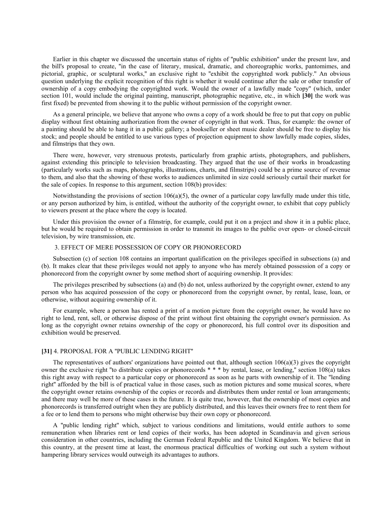Earlier in this chapter we discussed the uncertain status of rights of ''public exhibition'' under the present law, and the bill's proposal to create, ''in the case of literary, musical, dramatic, and choreographic works, pantomimes, and pictorial, graphic, or sculptural works,'' an exclusive right to ''exhibit the copyrighted work publicly.'' An obvious question underlying the explicit recognition of this right is whether it would continue after the sale or other transfer of ownership of a copy embodying the copyrighted work. Would the owner of a lawfully made ''copy'' (which, under section 101, would include the original painting, manuscript, photographic negative, etc., in which **[30]** the work was first fixed) be prevented from showing it to the public without permission of the copyright owner.

As a general principle, we believe that anyone who owns a copy of a work should be free to put that copy on public display without first obtaining authorization from the owner of copyright in that work. Thus, for example: the owner of a painting should be able to hang it in a public gallery; a bookseller or sheet music dealer should be free to display his stock; and people should be entitled to use various types of projection equipment to show lawfully made copies, slides, and filmstrips that they own.

There were, however, very strenuous protests, particularly from graphic artists, photographers, and publishers, against extending this principle to television broadcasting. They argued that the use of their works in broadcasting (particularly works such as maps, photographs, illustrations, charts, and filmstrips) could be a prime source of revenue to them, and also that the showing of these works to audiences unlimited in size could seriously curtail their market for the sale of copies. In response to this argument, section 108(b) provides:

Notwithstanding the provisions of section  $106(a)(5)$ , the owner of a particular copy lawfully made under this title, or any person authorized by him, is entitled, without the authority of the copyright owner, to exhibit that copy publicly to viewers present at the place where the copy is located.

Under this provision the owner of a filmstrip, for example, could put it on a project and show it in a public place, but he would be required to obtain permission in order to transmit its images to the public over open- or closed-circuit television, by wire transmission, etc.

## 3. EFFECT OF MERE POSSESSION OF COPY OR PHONORECORD

Subsection (c) of section 108 contains an important qualification on the privileges specified in subsections (a) and (b). It makes clear that these privileges would not apply to anyone who has merely obtained possession of a copy or phonorecord from the copyright owner by some method short of acquiring ownership. It provides:

The privileges prescribed by subsections (a) and (b) do not, unless authorized by the copyright owner, extend to any person who has acquired possession of the copy or phonorecord from the copyright owner, by rental, lease, loan, or otherwise, without acquiring ownership of it.

For example, where a person has rented a print of a motion picture from the copyright owner, he would have no right to lend, rent, sell, or otherwise dispose of the print without first obtaining the copyright owner's permission. As long as the copyright owner retains ownership of the copy or phonorecord, his full control over its disposition and exhibition would be preserved.

#### **[31]** 4. PROPOSAL FOR A ''PUBLIC LENDING RIGHT''

The representatives of authors' organizations have pointed out that, although section 106(a)(3) gives the copyright owner the exclusive right ''to distribute copies or phonorecords \* \* \* by rental, lease, or lending,'' section 108(a) takes this right away with respect to a particular copy or phonorecord as soon as he parts with ownership of it. The ''lending right'' afforded by the bill is of practical value in those cases, such as motion pictures and some musical scores, where the copyright owner retains ownership of the copies or records and distributes them under rental or loan arrangements; and there may well be more of these cases in the future. It is quite true, however, that the ownership of most copies and phonorecords is transferred outright when they are publicly distributed, and this leaves their owners free to rent them for a fee or to lend them to persons who might otherwise buy their own copy or phonorecord.

A ''public lending right'' which, subject to various conditions and limitations, would entitle authors to some remuneration when libraries rent or lend copies of their works, has been adopted in Scandinavia and given serious consideration in other countries, including the German Federal Republic and the United Kingdom. We believe that in this country, at the present time at least, the enormous practical difficulties of working out such a system without hampering library services would outweigh its advantages to authors.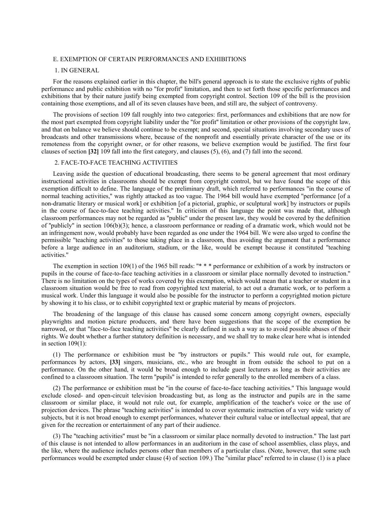#### E. EXEMPTION OF CERTAIN PERFORMANCES AND EXHIBITIONS

#### 1. IN GENERAL

For the reasons explained earlier in this chapter, the bill's general approach is to state the exclusive rights of public performance and public exhibition with no ''for profit'' limitation, and then to set forth those specific performances and exhibitions that by their nature justify being exempted from copyright control. Section 109 of the bill is the provision containing those exemptions, and all of its seven clauses have been, and still are, the subject of controversy.

The provisions of section 109 fall roughly into two categories: first, performances and exhibitions that are now for the most part exempted from copyright liability under the ''for profit'' limitation or other provisions of the copyright law, and that on balance we believe should continue to be exempt; and second, special situations involving secondary uses of broadcasts and other transmissions where, because of the nonprofit and essentially private character of the use or its remoteness from the copyright owner, or for other reasons, we believe exemption would be justified. The first four clauses of section **[32]** 109 fall into the first category, and clauses (5), (6), and (7) fall into the second.

# 2. FACE-TO-FACE TEACHING ACTIVITIES

Leaving aside the question of educational broadcasting, there seems to be general agreement that most ordinary instructional activities in classrooms should be exempt from copyright control, but we have found the scope of this exemption difficult to define. The language of the preliminary draft, which referred to performances ''in the course of normal teaching activities,'' was rightly attacked as too vague. The 1964 bill would have exempted ''performance [of a non-dramatic literary or musical work] or exhibition [of a pictorial, graphic, or sculptural work] by instructors or pupils in the course of face-to-face teaching activities.'' In criticism of this language the point was made that, although classroom performances may not be regarded as ''public'' under the present law, they would be covered by the definition of ''publicly'' in section 106(b)(3); hence, a classroom performance or reading of a dramatic work, which would not be an infringement now, would probably have been regarded as one under the 1964 bill. We were also urged to confine the permissible ''teaching activities'' to those taking place in a classroom, thus avoiding the argument that a performance before a large audience in an auditorium, stadium, or the like, would be exempt because it constituted ''teaching activities.''

The exemption in section 109(1) of the 1965 bill reads: "\* \* \* performance or exhibition of a work by instructors or pupils in the course of face-to-face teaching activities in a classroom or similar place normally devoted to instruction.'' There is no limitation on the types of works covered by this exemption, which would mean that a teacher or student in a classroom situation would be free to read from copyrighted text material, to act out a dramatic work, or to perform a musical work. Under this language it would also be possible for the instructor to perform a copyrighted motion picture by showing it to his class, or to exhibit copyrighted text or graphic material by means of projectors.

The broadening of the language of this clause has caused some concern among copyright owners, especially playwrights and motion picture producers, and there have been suggestions that the scope of the exemption be narrowed, or that ''face-to-face teaching activities'' be clearly defined in such a way as to avoid possible abuses of their rights. We doubt whether a further statutory definition is necessary, and we shall try to make clear here what is intended in section 109(1):

(1) The performance or exhibition must be ''by instructors or pupils.'' This would rule out, for example, performances by actors, **[33]** singers, musicians, etc., who are brought in from outside the school to put on a performance. On the other hand, it would be broad enough to include guest lecturers as long as their activities are confined to a classroom situation. The term ''pupils'' is intended to refer generally to the enrolled members of a class.

(2) The performance or exhibition must be ''in the course of face-to-face teaching activities.'' This language would exclude closed- and open-circuit television broadcasting but, as long as the instructor and pupils are in the same classroom or similar place, it would not rule out, for example, amplification of the teacher's voice or the use of projection devices. The phrase ''teaching activities'' is intended to cover systematic instruction of a very wide variety of subjects, but it is not broad enough to exempt performances, whatever their cultural value or intellectual appeal, that are given for the recreation or entertainment of any part of their audience.

(3) The ''teaching activities'' must be ''in a classroom or similar place normally devoted to instruction.'' The last part of this clause is not intended to allow performances in an auditorium in the case of school assemblies, class plays, and the like, where the audience includes persons other than members of a particular class. (Note, however, that some such performances would be exempted under clause (4) of section 109.) The ''similar place'' referred to in clause (1) is a place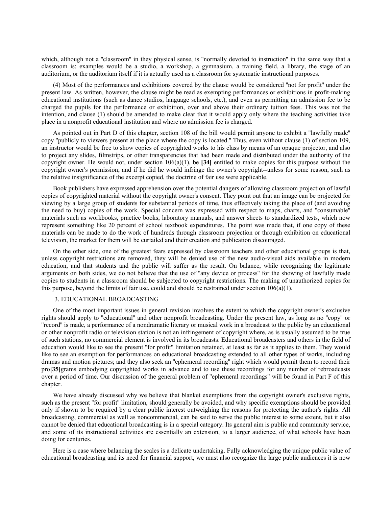which, although not a "classroom" in they physical sense, is "normally devoted to instruction" in the same way that a classroom is; examples would be a studio, a workshop, a gymnasium, a training field, a library, the stage of an auditorium, or the auditorium itself if it is actually used as a classroom for systematic instructional purposes.

(4) Most of the performances and exhibitions covered by the clause would be considered ''not for profit'' under the present law. As written, however, the clause might be read as exempting performances or exhibitions in profit-making educational institutions (such as dance studios, language schools, etc.), and even as permitting an admission fee to be charged the pupils for the performance or exhibition, over and above their ordinary tuition fees. This was not the intention, and clause (1) should be amended to make clear that it would apply only where the teaching activities take place in a nonprofit educational institution and where no admission fee is charged.

As pointed out in Part D of this chapter, section 108 of the bill would permit anyone to exhibit a ''lawfully made'' copy ''publicly to viewers present at the place where the copy is located.'' Thus, even without clause (1) of section 109, an instructor would be free to show copies of copyrighted works to his class by means of an opaque projector, and also to project any slides, filmstrips, or other transparencies that had been made and distributed under the authority of the copyright owner. He would not, under section  $106(a)(1)$ , be [34] entitled to make copies for this purpose without the copyright owner's permission; and if he did he would infringe the owner's copyright--unless for some reason, such as the relative insignificance of the excerpt copied, the doctrine of fair use were applicable.

Book publishers have expressed apprehension over the potential dangers of allowing classroom projection of lawful copies of copyrighted material without the copyright owner's consent. They point out that an image can be projected for viewing by a large group of students for substantial periods of time, thus effectively taking the place of (and avoiding the need to buy) copies of the work. Special concern was expressed with respect to maps, charts, and ''consumable'' materials such as workbooks, practice books, laboratory manuals, and answer sheets to standardized tests, which now represent something like 20 percent of school textbook expenditures. The point was made that, if one copy of these materials can be made to do the work of hundreds through classroom projection or through exhibition on educational television, the market for them will be curtailed and their creation and publication discouraged.

On the other side, one of the greatest fears expressed by classroom teachers and other educational groups is that, unless copyright restrictions are removed, they will be denied use of the new audio-visual aids available in modern education, and that students and the public will suffer as the result. On balance, while recognizing the legitimate arguments on both sides, we do not believe that the use of ''any device or process'' for the showing of lawfully made copies to students in a classroom should be subjected to copyright restrictions. The making of unauthorized copies for this purpose, beyond the limits of fair use, could and should be restrained under section  $106(a)(1)$ .

# 3. EDUCATIONAL BROADCASTING

One of the most important issues in general revision involves the extent to which the copyright owner's exclusive rights should apply to ''educational'' and other nonprofit broadcasting. Under the present law, as long as no ''copy'' or ''record'' is made, a performance of a nondramatic literary or musical work in a broadcast to the public by an educational or other nonprofit radio or television station is not an infringement of copyright where, as is usually assumed to be true of such stations, no commercial element is involved in its broadcasts. Educational broadcasters and others in the field of education would like to see the present ''for profit'' limitation retained, at least as far as it applies to them. They would like to see an exemption for performances on educational broadcasting extended to all other types of works, including dramas and motion pictures; and they also seek an ''ephemeral recording'' right which would permit them to record their pro**[35]**grams embodying copyrighted works in advance and to use these recordings for any number of rebroadcasts over a period of time. Our discussion of the general problem of ''ephemeral recordings'' will be found in Part F of this chapter.

We have already discussed why we believe that blanket exemptions from the copyright owner's exclusive rights, such as the present ''for profit'' limitation, should generally be avoided, and why specific exemptions should be provided only if shown to be required by a clear public interest outweighing the reasons for protecting the author's rights. All broadcasting, commercial as well as noncommercial, can be said to serve the public interest to some extent, but it also cannot be denied that educational broadcasting is in a special category. Its general aim is public and community service, and some of its instructional activities are essentially an extension, to a larger audience, of what schools have been doing for centuries.

Here is a case where balancing the scales is a delicate undertaking. Fully acknowledging the unique public value of educational broadcasting and its need for financial support, we must also recognize the large public audiences it is now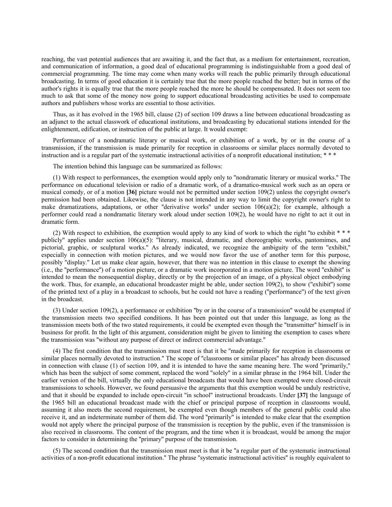reaching, the vast potential audiences that are awaiting it, and the fact that, as a medium for entertainment, recreation, and communication of information, a good deal of educational programming is indistinguishable from a good deal of commercial programming. The time may come when many works will reach the public primarily through educational broadcasting. In terms of good education it is certainly true that the more people reached the better; but in terms of the author's rights it is equally true that the more people reached the more he should be compensated. It does not seem too much to ask that some of the money now going to support educational broadcasting activities be used to compensate authors and publishers whose works are essential to those activities.

Thus, as it has evolved in the 1965 bill, clause (2) of section 109 draws a line between educational broadcasting as an adjunct to the actual classwork of educational institutions, and broadcasting by educational stations intended for the enlightenment, edification, or instruction of the public at large. It would exempt:

Performance of a nondramatic literary or musical work, or exhibition of a work, by or in the course of a transmission, if the transmission is made primarily for reception in classrooms or similar places normally devoted to instruction and is a regular part of the systematic instructional activities of a nonprofit educational institution; \* \* \*

The intention behind this language can be summarized as follows:

(1) With respect to performances, the exemption would apply only to ''nondramatic literary or musical works.'' The performance on educational television or radio of a dramatic work, of a dramatico-musical work such as an opera or musical comedy, or of a motion **[36]** picture would not be permitted under section 109(2) unless the copyright owner's permission had been obtained. Likewise, the clause is not intended in any way to limit the copyright owner's right to make dramatizations, adaptations, or other "derivative works" under section 106(a)(2); for example, although a performer could read a nondramatic literary work aloud under section 109(2), he would have no right to act it out in dramatic form.

(2) With respect to exhibition, the exemption would apply to any kind of work to which the right ''to exhibit \* \* \* publicly'' applies under section 106(a)(5): ''literary, musical, dramatic, and choreographic works, pantomimes, and pictorial, graphic, or sculptural works.'' As already indicated, we recognize the ambiguity of the term ''exhibit,'' especially in connection with motion pictures, and we would now favor the use of another term for this purpose, possibly ''display.'' Let us make clear again, however, that there was no intention in this clause to exempt the showing (i.e., the ''performance'') of a motion picture, or a dramatic work incorporated in a motion picture. The word ''exhibit'' is intended to mean the nonsequential display, directly or by the projection of an image, of a physical object embodying the work. Thus, for example, an educational broadcaster might be able, under section 109(2), to show ("exhibit") some of the printed text of a play in a broadcast to schools, but he could not have a reading (''performance'') of the text given in the broadcast.

(3) Under section 109(2), a performance or exhibition ''by or in the course of a transmission'' would be exempted if the transmission meets two specified conditions. It has been pointed out that under this language, as long as the transmission meets both of the two stated requirements, it could be exempted even though the ''transmitter'' himself is in business for profit. In the light of this argument, consideration might be given to limiting the exemption to cases where the transmission was ''without any purpose of direct or indirect commercial advantage.''

(4) The first condition that the transmission must meet is that it be ''made primarily for reception in classrooms or similar places normally devoted to instruction.'' The scope of ''classrooms or similar places'' has already been discussed in connection with clause (1) of section 109, and it is intended to have the same meaning here. The word ''primarily,'' which has been the subject of some comment, replaced the word ''solely'' in a similar phrase in the 1964 bill. Under the earlier version of the bill, virtually the only educational broadcasts that would have been exempted were closed-circuit transmissions to schools. However, we found persuasive the arguments that this exemption would be unduly restrictive, and that it should be expanded to include open-circuit ''in school'' instructional broadcasts. Under **[37]** the language of the 1965 bill an educational broadcast made with the chief or principal purpose of reception in classrooms would, assuming it also meets the second requirement, be exempted even though members of the general public could also receive it, and an indeterminate number of them did. The word ''primarily'' is intended to make clear that the exemption would not apply where the principal purpose of the transmission is reception by the public, even if the transmission is also received in classrooms. The content of the program, and the time when it is broadcast, would be among the major factors to consider in determining the ''primary'' purpose of the transmission.

(5) The second condition that the transmission must meet is that it be ''a regular part of the systematic instructional activities of a non-profit educational institution.'' The phrase ''systematic instructional activities'' is roughly equivalent to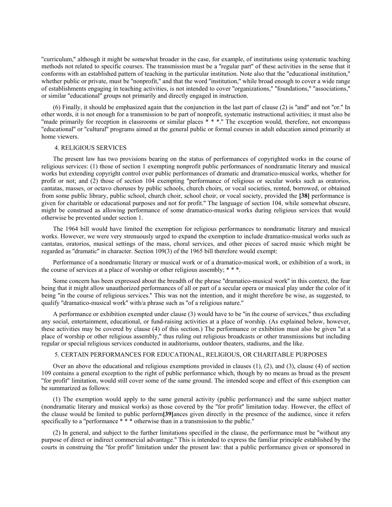''curriculum,'' although it might be somewhat broader in the case, for example, of institutions using systematic teaching methods not related to specific courses. The transmission must be a ''regular part'' of these activities in the sense that it conforms with an established pattern of teaching in the particular institution. Note also that the ''educational institution,'' whether public or private, must be "nonprofit," and that the word "institution," while broad enough to cover a wide range of establishments engaging in teaching activities, is not intended to cover ''organizations,'' ''foundations,'' ''associations,'' or similar ''educational'' groups not primarily and directly engaged in instruction.

(6) Finally, it should be emphasized again that the conjunction in the last part of clause (2) is ''and'' and not ''or.'' In other words, it is not enough for a transmission to be part of nonprofit, systematic instructional activities; it must also be "made primarily for reception in classrooms or similar places \* \* \*." The exception would, therefore, not encompass ''educational'' or ''cultural'' programs aimed at the general public or formal courses in adult education aimed primarily at home viewers.

### 4. RELIGIOUS SERVICES

The present law has two provisions bearing on the status of performances of copyrighted works in the course of religious services: (1) those of section 1 exempting nonprofit public performances of nondramatic literary and musical works but extending copyright control over public performances of dramatic and dramatico-musical works, whether for profit or not; and (2) those of section 104 exempting ''performance of religious or secular works such as oratorios, cantatas, masses, or octavo choruses by public schools, church choirs, or vocal societies, rented, borrowed, or obtained from some public library, public school, church choir, school choir, or vocal society, provided the **[38]** performance is given for charitable or educational purposes and not for profit.'' The language of section 104, while somewhat obscure, might be construed as allowing performance of some dramatico-musical works during religious services that would otherwise be prevented under section 1.

The 1964 bill would have limited the exemption for religious performances to nondramatic literary and musical works. However, we were very strenuously urged to expand the exemption to include dramatico-musical works such as cantatas, oratorios, musical settings of the mass, choral services, and other pieces of sacred music which might be regarded as ''dramatic'' in character. Section 109(3) of the 1965 bill therefore would exempt:

Performance of a nondramatic literary or musical work or of a dramatico-musical work, or exhibition of a work, in the course of services at a place of worship or other religious assembly;  $***$ .

Some concern has been expressed about the breadth of the phrase ''dramatico-musical work'' in this context, the fear being that it might allow unauthorized performances of all or part of a secular opera or musical play under the color of it being ''in the course of religious services.'' This was not the intention, and it might therefore be wise, as suggested, to qualify ''dramatico-musical work'' with/a phrase such as ''of a religious nature.''

A performance or exhibition exempted under clause (3) would have to be ''in the course of services,'' thus excluding any social, entertainment, educational, or fund-raising activities at a place of worship. (As explained below, however, these activities may be covered by clause (4) of this section.) The performance or exhibition must also be given ''at a place of worship or other religious assembly,'' thus ruling out religious broadcasts or other transmissions but including regular or special religious services conducted in auditoriums, outdoor theaters, stadiums, and the like.

### 5. CERTAIN PERFORMANCES FOR EDUCATIONAL, RELIGIOUS, OR CHARITABLE PURPOSES

Over an above the educational and religious exemptions provided in clauses (1), (2), and (3), clause (4) of section 109 contains a general exception to the right of public performance which, though by no means as broad as the present ''for profit'' limitation, would still cover some of the same ground. The intended scope and effect of this exemption can be summarized as follows:

(1) The exemption would apply to the same general activity (public performance) and the same subject matter (nondramatic literary and musical works) as those covered by the ''for profit'' limitation today. However, the effect of the clause would be limited to public perform**[39]**ances given directly in the presence of the audience, since it refers specifically to a "performance \*\*\* otherwise than in a transmission to the public."

(2) In general, and subject to the further limitations specified in the clause, the performance must be ''without any purpose of direct or indirect commercial advantage.'' This is intended to express the familiar principle established by the courts in construing the ''for profit'' limitation under the present law: that a public performance given or sponsored in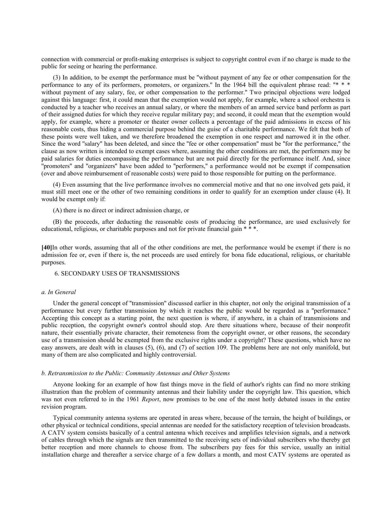connection with commercial or profit-making enterprises is subject to copyright control even if no charge is made to the public for seeing or hearing the performance.

(3) In addition, to be exempt the performance must be ''without payment of any fee or other compensation for the performance to any of its performers, promoters, or organizers." In the 1964 bill the equivalent phrase read: "\* \* \* without payment of any salary, fee, or other compensation to the performer." Two principal objections were lodged against this language: first, it could mean that the exemption would not apply, for example, where a school orchestra is conducted by a teacher who receives an annual salary, or where the members of an armed service band perform as part of their assigned duties for which they receive regular military pay; and second, it could mean that the exemption would apply, for example, where a promoter or theater owner collects a percentage of the paid admissions in excess of his reasonable costs, thus hiding a commercial purpose behind the guise of a charitable performance. We felt that both of these points were well taken, and we therefore broadened the exemption in one respect and narrowed it in the other. Since the word ''salary'' has been deleted, and since the ''fee or other compensation'' must be ''for the performance,'' the clause as now written is intended to exempt cases where, assuming the other conditions are met, the performers may be paid salaries for duties encompassing the performance but are not paid directly for the performance itself. And, since ''promoters'' and ''organizers'' have been added to ''performers,'' a performance would not be exempt if compensation (over and above reimbursement of reasonable costs) were paid to those responsible for putting on the performance.

(4) Even assuming that the live performance involves no commercial motive and that no one involved gets paid, it must still meet one or the other of two remaining conditions in order to qualify for an exemption under clause (4). It would be exempt only if:

(A) there is no direct or indirect admission charge, or

(B) the proceeds, after deducting the reasonable costs of producing the performance, are used exclusively for educational, religious, or charitable purposes and not for private financial gain \*\*\*.

**[40]**In other words, assuming that all of the other conditions are met, the performance would be exempt if there is no admission fee or, even if there is, the net proceeds are used entirely for bona fide educational, religious, or charitable purposes.

6. SECONDARY USES OF TRANSMISSIONS

#### *a. In General*

Under the general concept of ''transmission'' discussed earlier in this chapter, not only the original transmission of a performance but every further transmission by which it reaches the public would be regarded as a ''performance.'' Accepting this concept as a starting point, the next question is where, if anywhere, in a chain of transmissions and public reception, the copyright owner's control should stop. Are there situations where, because of their nonprofit nature, their essentially private character, their remoteness from the copyright owner, or other reasons, the secondary use of a transmission should be exempted from the exclusive rights under a copyright? These questions, which have no easy answers, are dealt with in clauses (5), (6), and (7) of section 109. The problems here are not only manifold, but many of them are also complicated and highly controversial.

#### *b. Retransmission to the Public: Community Antennas and Other Systems*

Anyone looking for an example of how fast things move in the field of author's rights can find no more striking illustration than the problem of community antennas and their liability under the copyright law. This question, which was not even referred to in the 1961 *Report*, now promises to be one of the most hotly debated issues in the entire revision program.

Typical community antenna systems are operated in areas where, because of the terrain, the height of buildings, or other physical or technical conditions, special antennas are needed for the satisfactory reception of television broadcasts. A CATV system consists basically of a central antenna which receives and amplifies television signals, and a network of cables through which the signals are then transmitted to the receiving sets of individual subscribers who thereby get better reception and more channels to choose from. The subscribers pay fees for this service, usually an initial installation charge and thereafter a service charge of a few dollars a month, and most CATV systems are operated as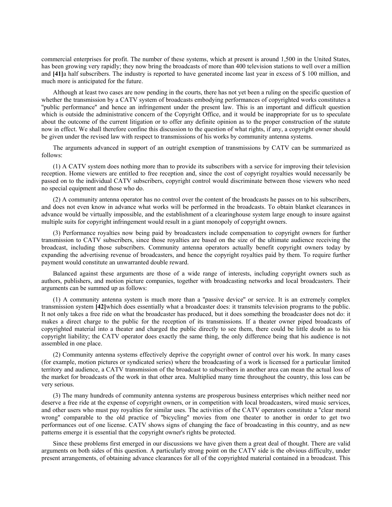commercial enterprises for profit. The number of these systems, which at present is around 1,500 in the United States, has been growing very rapidly; they now bring the broadcasts of more than 400 television stations to well over a million and **[41]**a half subscribers. The industry is reported to have generated income last year in excess of \$ 100 million, and much more is anticipated for the future.

Although at least two cases are now pending in the courts, there has not yet been a ruling on the specific question of whether the transmission by a CATV system of broadcasts embodying performances of copyrighted works constitutes a ''public performance'' and hence an infringement under the present law. This is an important and difficult question which is outside the administrative concern of the Copyright Office, and it would be inappropriate for us to speculate about the outcome of the current litigation or to offer any definite opinion as to the proper construction of the statute now in effect. We shall therefore confine this discussion to the question of what rights, if any, a copyright owner should be given under the revised law with respect to transmissions of his works by community antenna systems.

The arguments advanced in support of an outright exemption of transmissions by CATV can be summarized as follows:

(1) A CATV system does nothing more than to provide its subscribers with a service for improving their television reception. Home viewers are entitled to free reception and, since the cost of copyright royalties would necessarily be passed on to the individual CATV subscribers, copyright control would discriminate between those viewers who need no special equipment and those who do.

(2) A community antenna operator has no control over the content of the broadcasts he passes on to his subscribers, and does not even know in advance what works will be performed in the broadcasts. To obtain blanket clearances in advance would be virtually impossible, and the establishment of a clearinghouse system large enough to insure against multiple suits for copyright infringement would result in a giant monopoly of copyright owners.

(3) Performance royalties now being paid by broadcasters include compensation to copyright owners for further transmission to CATV subscribers, since those royalties are based on the size of the ultimate audience receiving the broadcast, including those subscribers. Community antenna operators actually benefit copyright owners today by expanding the advertising revenue of broadcasters, and hence the copyright royalties paid by them. To require further payment would constitute an unwarranted double reward.

Balanced against these arguments are those of a wide range of interests, including copyright owners such as authors, publishers, and motion picture companies, together with broadcasting networks and local broadcasters. Their arguments can be summed up as follows:

(1) A community antenna system is much more than a ''passive device'' or service. It is an extremely complex transmission system **[42]**which does essentially what a broadcaster does: it transmits television programs to the public. It not only takes a free ride on what the broadcaster has produced, but it does something the broadcaster does not do: it makes a direct charge to the public for the reception of its transmissions. If a theater owner piped broadcasts of copyrighted material into a theater and charged the public directly to see them, there could be little doubt as to his copyright liability; the CATV operator does exactly the same thing, the only difference being that his audience is not assembled in one place.

(2) Community antenna systems effectively deprive the copyright owner of control over his work. In many cases (for example, motion pictures or syndicated series) where the broadcasting of a work is licensed for a particular limited territory and audience, a CATV transmission of the broadcast to subscribers in another area can mean the actual loss of the market for broadcasts of the work in that other area. Multiplied many time throughout the country, this loss can be very serious.

(3) The many hundreds of community antenna systems are prosperous business enterprises which neither need nor deserve a free ride at the expense of copyright owners, or in competition with local broadcasters, wired music services, and other users who must pay royalties for similar uses. The activities of the CATV operators constitute a ''clear moral wrong'' comparable to the old practice of ''bicycling'' movies from one theater to another in order to get two performances out of one license. CATV shows signs of changing the face of broadcasting in this country, and as new patterns emerge it is essential that the copyright owner's rights be protected.

Since these problems first emerged in our discussions we have given them a great deal of thought. There are valid arguments on both sides of this question. A particularly strong point on the CATV side is the obvious difficulty, under present arrangements, of obtaining advance clearances for all of the copyrighted material contained in a broadcast. This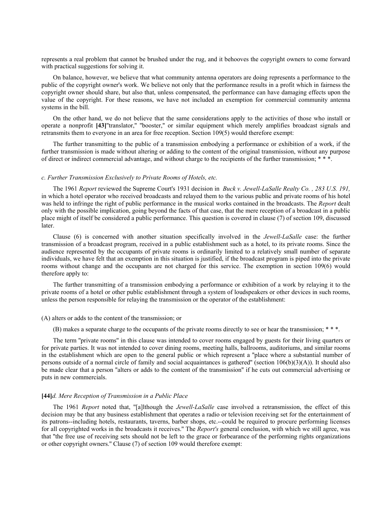represents a real problem that cannot be brushed under the rug, and it behooves the copyright owners to come forward with practical suggestions for solving it.

On balance, however, we believe that what community antenna operators are doing represents a performance to the public of the copyright owner's work. We believe not only that the performance results in a profit which in fairness the copyright owner should share, but also that, unless compensated, the performance can have damaging effects upon the value of the copyright. For these reasons, we have not included an exemption for commercial community antenna systems in the bill.

On the other hand, we do not believe that the same considerations apply to the activities of those who install or operate a nonprofit [43]"translator," "booster," or similar equipment which merely amplifies broadcast signals and retransmits them to everyone in an area for free reception. Section 109(5) would therefore exempt:

The further transmitting to the public of a transmission embodying a performance or exhibition of a work, if the further transmission is made without altering or adding to the content of the original transmission, without any purpose of direct or indirect commercial advantage, and without charge to the recipients of the further transmission; \* \* \*.

#### *c. Further Transmission Exclusively to Private Rooms of Hotels, etc.*

The 1961 *Report* reviewed the Supreme Court's 1931 decision in *Buck v. Jewell-LaSalle Realty Co. , 283 U.S. 191,* in which a hotel operator who received broadcasts and relayed them to the various public and private rooms of his hotel was held to infringe the right of public performance in the musical works contained in the broadcasts. The *Report* dealt only with the possible implication, going beyond the facts of that case, that the mere reception of a broadcast in a public place might of itself be considered a public performance. This question is covered in clause (7) of section 109, discussed later.

Clause (6) is concerned with another situation specifically involved in the *Jewell-LaSalle* case: the further transmission of a broadcast program, received in a public establishment such as a hotel, to its private rooms. Since the audience represented by the occupants of private rooms is ordinarily limited to a relatively small number of separate individuals, we have felt that an exemption in this situation is justified, if the broadcast program is piped into the private rooms without change and the occupants are not charged for this service. The exemption in section 109(6) would therefore apply to:

The further transmitting of a transmission embodying a performance or exhibition of a work by relaying it to the private rooms of a hotel or other public establishment through a system of loudspeakers or other devices in such rooms, unless the person responsible for relaying the transmission or the operator of the establishment:

#### (A) alters or adds to the content of the transmission; or

(B) makes a separate charge to the occupants of the private rooms directly to see or hear the transmission; \* \* \*.

The term ''private rooms'' in this clause was intended to cover rooms engaged by guests for their living quarters or for private parties. It was not intended to cover dining rooms, meeting halls, ballrooms, auditoriums, and similar rooms in the establishment which are open to the general public or which represent a ''place where a substantial number of persons outside of a normal circle of family and social acquaintances is gathered'' (section 106(b)(3)(A)). It should also be made clear that a person ''alters or adds to the content of the transmission'' if he cuts out commercial advertising or puts in new commercials.

#### **[44]***d. Mere Reception of Transmission in a Public Place*

The 1961 *Report* noted that, ''[a]lthough the *Jewell-LaSalle* case involved a retransmission, the effect of this decision may be that any business establishment that operates a radio or television receiving set for the entertainment of its patrons--including hotels, restaurants, taverns, barber shops, etc.--could be required to procure performing licenses for all copyrighted works in the broadcasts it receives.'' The *Report's* general conclusion, with which we still agree, was that ''the free use of receiving sets should not be left to the grace or forbearance of the performing rights organizations or other copyright owners.'' Clause (7) of section 109 would therefore exempt: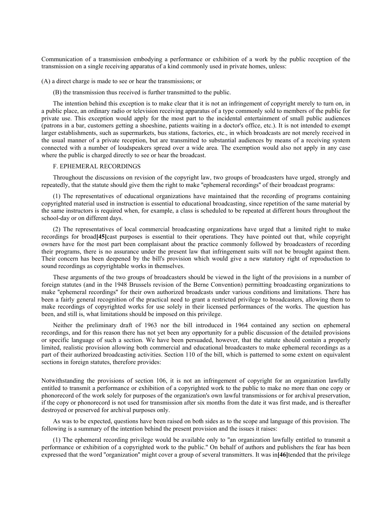Communication of a transmission embodying a performance or exhibition of a work by the public reception of the transmission on a single receiving apparatus of a kind commonly used in private homes, unless:

(A) a direct charge is made to see or hear the transmissions; or

(B) the transmission thus received is further transmitted to the public.

The intention behind this exception is to make clear that it is not an infringement of copyright merely to turn on, in a public place, an ordinary radio or television receiving apparatus of a type commonly sold to members of the public for private use. This exception would apply for the most part to the incidental entertainment of small public audiences (patrons in a bar, customers getting a shoeshine, patients waiting in a doctor's office, etc.). It is not intended to exempt larger establishments, such as supermarkets, bus stations, factories, etc., in which broadcasts are not merely received in the usual manner of a private reception, but are transmitted to substantial audiences by means of a receiving system connected with a number of loudspeakers spread over a wide area. The exemption would also not apply in any case where the public is charged directly to see or hear the broadcast.

### F. EPHEMERAL RECORDINGS

Throughout the discussions on revision of the copyright law, two groups of broadcasters have urged, strongly and repeatedly, that the statute should give them the right to make ''ephemeral recordings'' of their broadcast programs:

(1) The representatives of educational organizations have maintained that the recording of programs containing copyrighted material used in instruction is essential to educational broadcasting, since repetition of the same material by the same instructors is required when, for example, a class is scheduled to be repeated at different hours throughout the school-day or on different days.

(2) The representatives of local commercial broadcasting organizations have urged that a limited right to make recordings for broad**[45]**cast purposes is essential to their operations. They have pointed out that, while copyright owners have for the most part been complaisant about the practice commonly followed by broadcasters of recording their programs, there is no assurance under the present law that infringement suits will not be brought against them. Their concern has been deepened by the bill's provision which would give a new statutory right of reproduction to sound recordings as copyrightable works in themselves.

These arguments of the two groups of broadcasters should be viewed in the light of the provisions in a number of foreign statutes (and in the 1948 Brussels revision of the Berne Convention) permitting broadcasting organizations to make ''ephemeral recordings'' for their own authorized broadcasts under various conditions and limitations. There has been a fairly general recognition of the practical need to grant a restricted privilege to broadcasters, allowing them to make recordings of copyrighted works for use solely in their licensed performances of the works. The question has been, and still is, what limitations should be imposed on this privilege.

Neither the preliminary draft of 1963 nor the bill introduced in 1964 contained any section on ephemeral recordings, and for this reason there has not yet been any opportunity for a public discussion of the detailed provisions or specific language of such a section. We have been persuaded, however, that the statute should contain a properly limited, realistic provision allowing both commercial and educational broadcasters to make ephemeral recordings as a part of their authorized broadcasting activities. Section 110 of the bill, which is patterned to some extent on equivalent sections in foreign statutes, therefore provides:

Notwithstanding the provisions of section 106, it is not an infringement of copyright for an organization lawfully entitled to transmit a performance or exhibition of a copyrighted work to the public to make no more than one copy or phonorecord of the work solely for purposes of the organization's own lawful transmissions or for archival preservation, if the copy or phonorecord is not used for transmission after six months from the date it was first made, and is thereafter destroyed or preserved for archival purposes only.

As was to be expected, questions have been raised on both sides as to the scope and language of this provision. The following is a summary of the intention behind the present provision and the issues it raises:

(1) The ephemeral recording privilege would be available only to ''an organization lawfully entitled to transmit a performance or exhibition of a copyrighted work to the public.'' On behalf of authors and publishers the fear has been expressed that the word ''organization'' might cover a group of several transmitters. It was in**[46]**tended that the privilege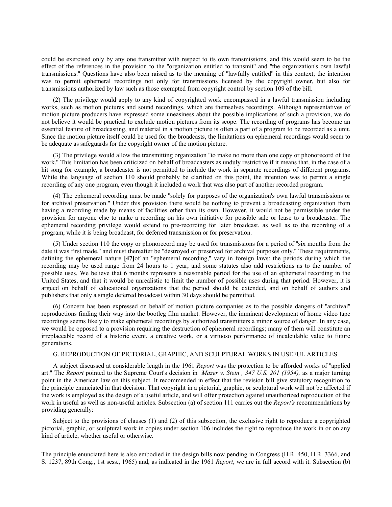could be exercised only by any one transmitter with respect to its own transmissions, and this would seem to be the effect of the references in the provision to the ''organization entitled to transmit'' and ''the organization's own lawful transmissions.'' Questions have also been raised as to the meaning of ''lawfully entitled'' in this context; the intention was to permit ephemeral recordings not only for transmissions licensed by the copyright owner, but also for transmissions authorized by law such as those exempted from copyright control by section 109 of the bill.

(2) The privilege would apply to any kind of copyrighted work encompassed in a lawful transmission including works, such as motion pictures and sound recordings, which are themselves recordings. Although representatives of motion picture producers have expressed some uneasiness about the possible implications of such a provision, we do not believe it would be practical to exclude motion pictures from its scope. The recording of programs has become an essential feature of broadcasting, and material in a motion picture is often a part of a program to be recorded as a unit. Since the motion picture itself could be used for the broadcasts, the limitations on ephemeral recordings would seem to be adequate as safeguards for the copyright owner of the motion picture.

(3) The privilege would allow the transmitting organization ''to make no more than one copy or phonorecord of the work.'' This limitation has been criticized on behalf of broadcasters as unduly restrictive if it means that, in the case of a hit song for example, a broadcaster is not permitted to include the work in separate recordings of different programs. While the language of section 110 should probably be clarified on this point, the intention was to permit a single recording of any one program, even though it included a work that was also part of another recorded program.

(4) The ephemeral recording must be made ''solely for purposes of the organization's own lawful transmissions or for archival preservation.'' Under this provision there would be nothing to prevent a broadcasting organization from having a recording made by means of facilities other than its own. However, it would not be permissible under the provision for anyone else to make a recording on his own initiative for possible sale or lease to a broadcaster. The ephemeral recording privilege would extend to pre-recording for later broadcast, as well as to the recording of a program, while it is being broadcast, for deferred transmission or for preservation.

(5) Under section 110 the copy or phonorecord may be used for transmissions for a period of ''six months from the date it was first made,'' and must thereafter be ''destroyed or preserved for archival purposes only.'' These requirements, defining the ephemeral nature **[47]**of an ''ephemeral recording,'' vary in foreign laws: the periods during which the recording may be used range from 24 hours to 1 year, and some statutes also add restrictions as to the number of possible uses. We believe that 6 months represents a reasonable period for the use of an ephemeral recording in the United States, and that it would be unrealistic to limit the number of possible uses during that period. However, it is argued on behalf of educational organizations that the period should be extended, and on behalf of authors and publishers that only a single deferred broadcast within 30 days should be permitted.

(6) Concern has been expressed on behalf of motion picture companies as to the possible dangers of ''archival'' reproductions finding their way into the bootleg film market. However, the imminent development of home video tape recordings seems likely to make ephemeral recordings by authorized transmitters a minor source of danger. In any case, we would be opposed to a provision requiring the destruction of ephemeral recordings; many of them will constitute an irreplaceable record of a historic event, a creative work, or a virtuoso performance of incalculable value to future generations.

### G. REPRODUCTION OF PICTORIAL, GRAPHIC, AND SCULPTURAL WORKS IN USEFUL ARTICLES

A subject discussed at considerable length in the 1961 *Report* was the protection to be afforded works of ''applied art.'' The *Report* pointed to the Supreme Court's decision in *Mazer v. Stein , 347 U.S. 201 (1954),* as a major turning point in the American law on this subject. It recommended in effect that the revision bill give statutory recognition to the principle enunciated in that decision: That copyright in a pictorial, graphic, or sculptural work will not be affected if the work is employed as the design of a useful article, and will offer protection against unauthorized reproduction of the work in useful as well as non-useful articles. Subsection (a) of section 111 carries out the *Report's* recommendations by providing generally:

Subject to the provisions of clauses (1) and (2) of this subsection, the exclusive right to reproduce a copyrighted pictorial, graphic, or sculptural work in copies under section 106 includes the right to reproduce the work in or on any kind of article, whether useful or otherwise.

The principle enunciated here is also embodied in the design bills now pending in Congress (H.R. 450, H.R. 3366, and S. 1237, 89th Cong., 1st sess., 1965) and, as indicated in the 1961 *Report*, we are in full accord with it. Subsection (b)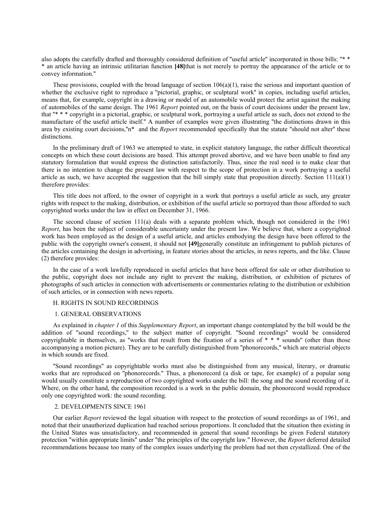also adopts the carefully drafted and thoroughly considered definition of ''useful article'' incorporated in those bills: ''\* \* \* an article having an intrinsic utilitarian function **[48]**that is not merely to portray the appearance of the article or to convey information.''

These provisions, coupled with the broad language of section  $106(a)(1)$ , raise the serious and important question of whether the exclusive right to reproduce a "pictorial, graphic, or sculptural work" in copies, including useful articles, means that, for example, copyright in a drawing or model of an automobile would protect the artist against the making of automobiles of the same design. The 1961 *Report* pointed out, on the basis of court decisions under the present law, that ''\* \* \* copyright in a pictorial, graphic, or sculptural work, portraying a useful article as such, does not extend to the manufacture of the useful article itself.'' A number of examples were given illustrating ''the distinctions drawn in this area by existing court decisions,"n\* and the *Report* recommended specifically that the statute "should not alter" these distinctions.

In the preliminary draft of 1963 we attempted to state, in explicit statutory language, the rather difficult theoretical concepts on which these court decisions are based. This attempt proved abortive, and we have been unable to find any statutory formulation that would express the distinction satisfactorily. Thus, since the real need is to make clear that there is no intention to change the present law with respect to the scope of protection in a work portraying a useful article as such, we have accepted the suggestion that the bill simply state that proposition directly. Section  $111(a)(1)$ therefore provides:

This title does not afford, to the owner of copyright in a work that portrays a useful article as such, any greater rights with respect to the making, distribution, or exhibition of the useful article so portrayed than those afforded to such copyrighted works under the law in effect on December 31, 1966.

The second clause of section 111(a) deals with a separate problem which, though not considered in the 1961 *Report*, has been the subject of considerable uncertainty under the present law. We believe that, where a copyrighted work has been employed as the design of a useful article, and articles embodying the design have been offered to the public with the copyright owner's consent, it should not **[49]**generally constitute an infringement to publish pictures of the articles containing the design in advertising, in feature stories about the articles, in news reports, and the like. Clause (2) therefore provides:

In the case of a work lawfully reproduced in useful articles that have been offered for sale or other distribution to the public, copyright does not include any right to prevent the making, distribution, or exhibition of pictures of photographs of such articles in connection with advertisements or commentaries relating to the distribution or exhibition of such articles, or in connection with news reports.

## H. RIGHTS IN SOUND RECORDINGS

#### 1. GENERAL OBSERVATIONS

As explained in *chapter 1* of this *Supplementary Report*, an important change contemplated by the bill would be the addition of ''sound recordings,'' to the subject matter of copyright. ''Sound recordings'' would be considered copyrightable in themselves, as ''works that result from the fixation of a series of \* \* \* sounds'' (other than those accompanying a motion picture). They are to be carefully distinguished from ''phonorecords,'' which are material objects in which sounds are fixed.

''Sound recordings'' as copyrightable works must also be distinguished from any musical, literary, or dramatic works that are reproduced on ''phonorecords.'' Thus, a phonorecord (a disk or tape, for example) of a popular song would usually constitute a reproduction of two copyrighted works under the bill: the song and the sound recording of it. Where, on the other hand, the composition recorded is a work in the public domain, the phonorecord would reproduce only one copyrighted work: the sound recording.

# 2. DEVELOPMENTS SINCE 1961

Our earlier *Report* reviewed the legal situation with respect to the protection of sound recordings as of 1961, and noted that their unauthorized duplication had reached serious proportions. It concluded that the situation then existing in the United States was unsatisfactory, and recommended in general that sound recordings be given Federal statutory protection ''within appropriate limits'' under ''the principles of the copyright law.'' However, the *Report* deferred detailed recommendations because too many of the complex issues underlying the problem had not then crystallized. One of the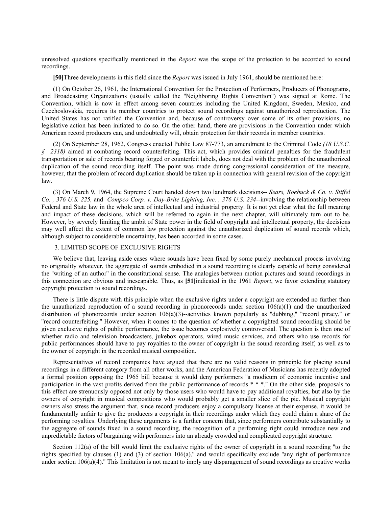unresolved questions specifically mentioned in the *Report* was the scope of the protection to be accorded to sound recordings.

**[50]**Three developments in this field since the *Report* was issued in July 1961, should be mentioned here:

(1) On October 26, 1961, the International Convention for the Protection of Performers, Producers of Phonograms, and Broadcasting Organizations (usually called the ''Neighboring Rights Convention'') was signed at Rome. The Convention, which is now in effect among seven countries including the United Kingdom, Sweden, Mexico, and Czechoslovakia, requires its member countries to protect sound recordings against unauthorized reproduction. The United States has not ratified the Convention and, because of controversy over some of its other provisions, no legislative action has been initiated to do so. On the other hand, there are provisions in the Convention under which American record producers can, and undoubtedly will, obtain protection for their records in member countries.

(2) On September 28, 1962, Congress enacted Public Law 87-773, an amendment to the Criminal Code *(18 U.S.C. § 2318)* aimed at combating record counterfeiting. This act, which provides criminal penalties for the fraudulent transportation or sale of records bearing forged or counterfeit labels, does not deal with the problem of the unauthorized duplication of the sound recording itself. The point was made during congressional consideration of the measure, however, that the problem of record duplication should be taken up in connection with general revision of the copyright law.

(3) On March 9, 1964, the Supreme Court handed down two landmark decisions-- *Sears, Roebuck & Co. v. Stiffel Co. , 376 U.S. 225,* and *Compco Corp. v. Day-Brite Lighting, Inc. , 376 U.S. 234*--involving the relationship between Federal and State law in the whole area of intellectual and industrial property. It is not yet clear what the full meaning and impact of these decisions, which will be referred to again in the next chapter, will ultimately turn out to be. However, by severely limiting the ambit of State power in the field of copyright and intellectual property, the decisions may well affect the extent of common law protection against the unauthorized duplication of sound records which, although subject to considerable uncertainty, has been accorded in some cases.

## 3. LIMITED SCOPE OF EXCLUSIVE RIGHTS

We believe that, leaving aside cases where sounds have been fixed by some purely mechanical process involving no originality whatever, the aggregate of sounds embodied in a sound recording is clearly capable of being considered the ''writing of an author'' in the constitutional sense. The analogies between motion pictures and sound recordings in this connection are obvious and inescapable. Thus, as **[51]**indicated in the 1961 *Report*, we favor extending statutory copyright protection to sound recordings.

There is little dispute with this principle when the exclusive rights under a copyright are extended no further than the unauthorized reproduction of a sound recording in phonorecords under section  $106(a)(1)$  and the unauthorized distribution of phonorecords under section 106(a)(3)--activities known popularly as "dubbing," "record piracy," or ''record counterfeiting.'' However, when it comes to the question of whether a copyrighted sound recording should be given exclusive rights of public performance, the issue becomes explosively controversial. The question is then one of whether radio and television broadcasters, jukebox operators, wired music services, and others who use records for public performances should have to pay royalties to the owner of copyright in the sound recording itself, as well as to the owner of copyright in the recorded musical composition.

Representatives of record companies have argued that there are no valid reasons in principle for placing sound recordings in a different category from all other works, and the American Federation of Musicians has recently adopted a formal position opposing the 1965 bill because it would deny performers ''a modicum of economic incentive and participation in the vast profits derived from the public performance of records \* \* \*.'' On the other side, proposals to this effect are strenuously opposed not only by those users who would have to pay additional royalties, but also by the owners of copyright in musical compositions who would probably get a smaller slice of the pie. Musical copyright owners also stress the argument that, since record producers enjoy a compulsory license at their expense, it would be fundamentally unfair to give the producers a copyright in their recordings under which they could claim a share of the performing royalties. Underlying these arguments is a further concern that, since performers contribute substantially to the aggregate of sounds fixed in a sound recording, the recognition of a performing right could introduce new and unpredictable factors of bargaining with performers into an already crowded and complicated copyright structure.

Section 112(a) of the bill would limit the exclusive rights of the owner of copyright in a sound recording ''to the rights specified by clauses  $(1)$  and  $(3)$  of section 106 $(a)$ ," and would specifically exclude "any right of performance" under section  $106(a)(4)$ ." This limitation is not meant to imply any disparagement of sound recordings as creative works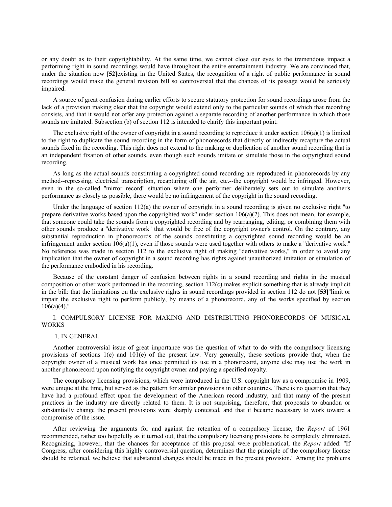or any doubt as to their copyrightability. At the same time, we cannot close our eyes to the tremendous impact a performing right in sound recordings would have throughout the entire entertainment industry. We are convinced that, under the situation now **[52]**existing in the United States, the recognition of a right of public performance in sound recordings would make the general revision bill so controversial that the chances of its passage would be seriously impaired.

A source of great confusion during earlier efforts to secure statutory protection for sound recordings arose from the lack of a provision making clear that the copyright would extend only to the particular sounds of which that recording consists, and that it would not offer any protection against a separate recording of another performance in which those sounds are imitated. Subsection (b) of section 112 is intended to clarify this important point:

The exclusive right of the owner of copyright in a sound recording to reproduce it under section  $106(a)(1)$  is limited to the right to duplicate the sound recording in the form of phonorecords that directly or indirectly recapture the actual sounds fixed in the recording. This right does not extend to the making or duplication of another sound recording that is an independent fixation of other sounds, even though such sounds imitate or simulate those in the copyrighted sound recording.

As long as the actual sounds constituting a copyrighted sound recording are reproduced in phonorecords by any method--repressing, electrical transcription, recapturing off the air, etc.--the copyright would be infringed. However, even in the so-called ''mirror record'' situation where one performer deliberately sets out to simulate another's performance as closely as possible, there would be no infringement of the copyright in the sound recording.

Under the language of section  $112(a)$  the owner of copyright in a sound recording is given no exclusive right "to prepare derivative works based upon the copyrighted work" under section  $106(a)(2)$ . This does not mean, for example, that someone could take the sounds from a copyrighted recording and by rearranging, editing, or combining them with other sounds produce a ''derivative work'' that would be free of the copyright owner's control. On the contrary, any substantial reproduction in phonorecords of the sounds constituting a copyrighted sound recording would be an infringement under section  $106(a)(1)$ , even if those sounds were used together with others to make a "derivative work." No reference was made in section 112 to the exclusive right of making ''derivative works,'' in order to avoid any implication that the owner of copyright in a sound recording has rights against unauthorized imitation or simulation of the performance embodied in his recording.

Because of the constant danger of confusion between rights in a sound recording and rights in the musical composition or other work performed in the recording, section 112(c) makes explicit something that is already implicit in the bill: that the limitations on the exclusive rights in sound recordings provided in section 112 do not **[53]**''limit or impair the exclusive right to perform publicly, by means of a phonorecord, any of the works specified by section 106(a)(4).''

I. COMPULSORY LICENSE FOR MAKING AND DISTRIBUTING PHONORECORDS OF MUSICAL **WORKS** 

## 1. IN GENERAL

Another controversial issue of great importance was the question of what to do with the compulsory licensing provisions of sections 1(e) and 101(e) of the present law. Very generally, these sections provide that, when the copyright owner of a musical work has once permitted its use in a phonorecord, anyone else may use the work in another phonorecord upon notifying the copyright owner and paying a specified royalty.

The compulsory licensing provisions, which were introduced in the U.S. copyright law as a compromise in 1909, were unique at the time, but served as the pattern for similar provisions in other countries. There is no question that they have had a profound effect upon the development of the American record industry, and that many of the present practices in the industry are directly related to them. It is not surprising, therefore, that proposals to abandon or substantially change the present provisions were sharply contested, and that it became necessary to work toward a compromise of the issue.

After reviewing the arguments for and against the retention of a compulsory license, the *Report* of 1961 recommended, rather too hopefully as it turned out, that the compulsory licensing provisions be completely eliminated. Recognizing, however, that the chances for acceptance of this proposal were problematical, the *Report* added: ''If Congress, after considering this highly controversial question, determines that the principle of the compulsory license should be retained, we believe that substantial changes should be made in the present provision.'' Among the problems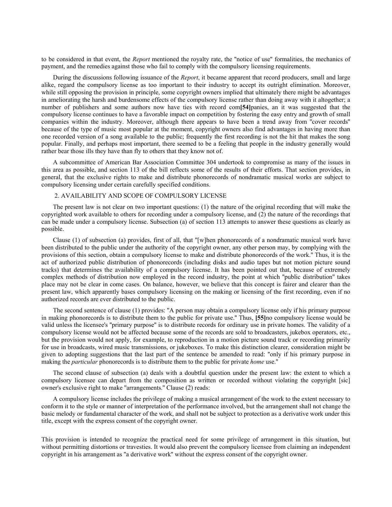to be considered in that event, the *Report* mentioned the royalty rate, the ''notice of use'' formalities, the mechanics of payment, and the remedies against those who fail to comply with the compulsory licensing requirements.

During the discussions following issuance of the *Report*, it became apparent that record producers, small and large alike, regard the compulsory license as too important to their industry to accept its outright elimination. Moreover, while still opposing the provision in principle, some copyright owners implied that ultimately there might be advantages in ameliorating the harsh and burdensome effects of the compulsory license rather than doing away with it altogether; a number of publishers and some authors now have ties with record com**[54]**panies, an it was suggested that the compulsory license continues to have a favorable impact on competition by fostering the easy entry and growth of small companies within the industry. Moreover, although there appears to have been a trend away from ''cover records'' because of the type of music most popular at the moment, copyright owners also find advantages in having more than one recorded version of a song available to the public; frequently the first recording is not the hit that makes the song popular. Finally, and perhaps most important, there seemed to be a feeling that people in the industry generally would rather bear those ills they have than fly to others that they know not of.

A subcommittee of American Bar Association Committee 304 undertook to compromise as many of the issues in this area as possible, and section 113 of the bill reflects some of the results of their efforts. That section provides, in general, that the exclusive rights to make and distribute phonorecords of nondramatic musical works are subject to compulsory licensing under certain carefully specified conditions.

# 2. AVAILABILITY AND SCOPE OF COMPULSORY LICENSE

The present law is not clear on two important questions: (1) the nature of the original recording that will make the copyrighted work available to others for recording under a compulsory license, and (2) the nature of the recordings that can be made under a compulsory license. Subsection (a) of section 113 attempts to answer these questions as clearly as possible.

Clause (1) of subsection (a) provides, first of all, that ''[w]hen phonorecords of a nondramatic musical work have been distributed to the public under the authority of the copyright owner, any other person may, by complying with the provisions of this section, obtain a compulsory license to make and distribute phonorecords of the work.'' Thus, it is the act of authorized public distribution of phonorecords (including disks and audio tapes but not motion picture sound tracks) that determines the availability of a compulsory license. It has been pointed out that, because of extremely complex methods of distribution now employed in the record industry, the point at which ''public distribution'' takes place may not be clear in come cases. On balance, however, we believe that this concept is fairer and clearer than the present law, which apparently bases compulsory licensing on the making or licensing of the first recording, even if no authorized records are ever distributed to the public.

The second sentence of clause (1) provides: ''A person may obtain a compulsory license only if his primary purpose in making phonorecords is to distribute them to the public for private use.'' Thus, **[55]**no compulsory license would be valid unless the licensee's ''primary purpose'' is to distribute records for ordinary use in private homes. The validity of a compulsory license would not be affected because some of the records are sold to broadcasters, jukebox operators, etc., but the provision would not apply, for example, to reproduction in a motion picture sound track or recording primarily for use in broadcasts, wired music transmissions, or jukeboxes. To make this distinction clearer, consideration might be given to adopting suggestions that the last part of the sentence be amended to read: ''only if his primary purpose in making the *particular* phonorecords is to distribute them to the public for private *home* use.''

The second clause of subsection (a) deals with a doubtful question under the present law: the extent to which a compulsory licensee can depart from the composition as written or recorded without violating the copyright [sic] owner's exclusive right to make ''arrangements.'' Clause (2) reads:

A compulsory license includes the privilege of making a musical arrangement of the work to the extent necessary to conform it to the style or manner of interpretation of the performance involved, but the arrangement shall not change the basic melody or fundamental character of the work, and shall not be subject to protection as a derivative work under this title, except with the express consent of the copyright owner.

This provision is intended to recognize the practical need for some privilege of arrangement in this situation, but without permitting distortions or travesties. It would also prevent the compulsory licensee from claiming an independent copyright in his arrangement as ''a derivative work'' without the express consent of the copyright owner.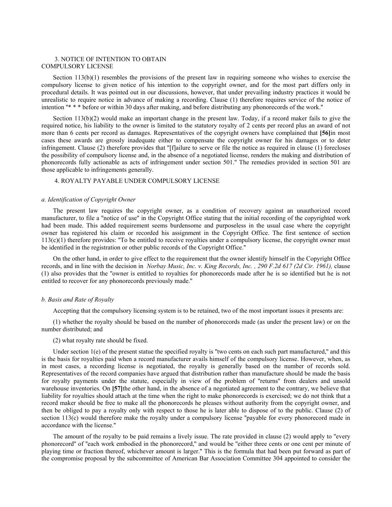## 3. NOTICE OF INTENTION TO OBTAIN COMPULSORY LICENSE

Section 113(b)(1) resembles the provisions of the present law in requiring someone who wishes to exercise the compulsory license to given notice of his intention to the copyright owner, and for the most part differs only in procedural details. It was pointed out in our discussions, however, that under prevailing industry practices it would be unrealistic to require notice in advance of making a recording. Clause (1) therefore requires service of the notice of intention "\* \* \* before or within 30 days after making, and before distributing any phonorecords of the work."

Section 113(b)(2) would make an important change in the present law. Today, if a record maker fails to give the required notice, his liability to the owner is limited to the statutory royalty of 2 cents per record plus an award of not more than 6 cents per record as damages. Representatives of the copyright owners have complained that **[56]**in most cases these awards are grossly inadequate either to compensate the copyright owner for his damages or to deter infringement. Clause (2) therefore provides that ''[f]ailure to serve or file the notice as required in clause (1) forecloses the possibility of compulsory license and, in the absence of a negotiated license, renders the making and distribution of phonorecords fully actionable as acts of infringement under section 501.'' The remedies provided in section 501 are those applicable to infringements generally.

## 4. ROYALTY PAYABLE UNDER COMPULSORY LICENSE

### *a. Identification of Copyright Owner*

The present law requires the copyright owner, as a condition of recovery against an unauthorized record manufacturer, to file a ''notice of use'' in the Copyright Office stating that the initial recording of the copyrighted work had been made. This added requirement seems burdensome and purposeless in the usual case where the copyright owner has registered his claim or recorded his assignment in the Copyright Office. The first sentence of section 113(c)(1) therefore provides: ''To be entitled to receive royalties under a compulsory license, the copyright owner must be identified in the registration or other public records of the Copyright Office.''

On the other hand, in order to give effect to the requirement that the owner identify himself in the Copyright Office records, and in line with the decision in *Norbay Music, Inc. v. King Records, Inc. , 290 F.2d 617 (2d Cir. 1961),* clause (1) also provides that the ''owner is entitled to royalties for phonorecords made after he is so identified but he is not entitled to recover for any phonorecords previously made.''

## *b. Basis and Rate of Royalty*

Accepting that the compulsory licensing system is to be retained, two of the most important issues it presents are:

(1) whether the royalty should be based on the number of phonorecords made (as under the present law) or on the number distributed; and

## (2) what royalty rate should be fixed.

Under section  $1(e)$  of the present statue the specified royalty is "two cents on each such part manufactured," and this is the basis for royalties paid when a record manufacturer avails himself of the compulsory license. However, when, as in most cases, a recording license is negotiated, the royalty is generally based on the number of records sold. Representatives of the record companies have argued that distribution rather than manufacture should be made the basis for royalty payments under the statute, especially in view of the problem of ''returns'' from dealers and unsold warehouse inventories. On **[57]**the other hand, in the absence of a negotiated agreement to the contrary, we believe that liability for royalties should attach at the time when the right to make phonorecords is exercised; we do not think that a record maker should be free to make all the phonorecords he pleases without authority from the copyright owner, and then be obliged to pay a royalty only with respect to those he is later able to dispose of to the public. Clause (2) of section 113(c) would therefore make the royalty under a compulsory license "payable for every phonorecord made in accordance with the license.''

The amount of the royalty to be paid remains a lively issue. The rate provided in clause (2) would apply to ''every phonorecord'' of ''each work embodied in the phonorecord,'' and would be ''either three cents or one cent per minute of playing time or fraction thereof, whichever amount is larger.'' This is the formula that had been put forward as part of the compromise proposal by the subcommittee of American Bar Association Committee 304 appointed to consider the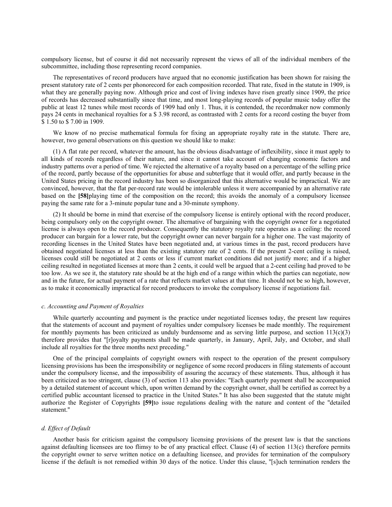compulsory license, but of course it did not necessarily represent the views of all of the individual members of the subcommittee, including those representing record companies.

The representatives of record producers have argued that no economic justification has been shown for raising the present statutory rate of 2 cents per phonorecord for each composition recorded. That rate, fixed in the statute in 1909, is what they are generally paying now. Although price and cost of living indexes have risen greatly since 1909, the price of records has decreased substantially since that time, and most long-playing records of popular music today offer the public at least 12 tunes while most records of 1909 had only 1. Thus, it is contended, the recordmaker now commonly pays 24 cents in mechanical royalties for a \$ 3.98 record, as contrasted with 2 cents for a record costing the buyer from \$ 1.50 to \$ 7.00 in 1909.

We know of no precise mathematical formula for fixing an appropriate royalty rate in the statute. There are, however, two general observations on this question we should like to make:

(1) A flat rate per record, whatever the amount, has the obvious disadvantage of inflexibility, since it must apply to all kinds of records regardless of their nature, and since it cannot take account of changing economic factors and industry patterns over a period of time. We rejected the alternative of a royalty based on a percentage of the selling price of the record, partly because of the opportunities for abuse and subterfuge that it would offer, and partly because in the United States pricing in the record industry has been so disorganized that this alternative would be impractical. We are convinced, however, that the flat per-record rate would be intolerable unless it were accompanied by an alternative rate based on the **[58]**playing time of the composition on the record; this avoids the anomaly of a compulsory licensee paying the same rate for a 3-minute popular tune and a 30-minute symphony.

(2) It should be borne in mind that exercise of the compulsory license is entirely optional with the record producer, being compulsory only on the copyright owner. The alternative of bargaining with the copyright owner for a negotiated license is always open to the record producer. Consequently the statutory royalty rate operates as a ceiling: the record producer can bargain for a lower rate, but the copyright owner can never bargain for a higher one. The vast majority of recording licenses in the United States have been negotiated and, at various times in the past, record producers have obtained negotiated licenses at less than the existing statutory rate of 2 cents. If the present 2-cent ceiling is raised, licenses could still be negotiated at 2 cents or less if current market conditions did not justify more; and if a higher ceiling resulted in negotiated licenses at more than 2 cents, it could well be argued that a 2-cent ceiling had proved to be too low. As we see it, the statutory rate should be at the high end of a range within which the parties can negotiate, now and in the future, for actual payment of a rate that reflects market values at that time. It should not be so high, however, as to make it economically impractical for record producers to invoke the compulsory license if negotiations fail.

## *c. Accounting and Payment of Royalties*

While quarterly accounting and payment is the practice under negotiated licenses today, the present law requires that the statements of account and payment of royalties under compulsory licenses be made monthly. The requirement for monthly payments has been criticized as unduly burdensome and as serving little purpose, and section  $113(c)(3)$ therefore provides that ''[r]oyalty payments shall be made quarterly, in January, April, July, and October, and shall include all royalties for the three months next preceding.''

One of the principal complaints of copyright owners with respect to the operation of the present compulsory licensing provisions has been the irresponsibility or negligence of some record producers in filing statements of account under the compulsory license, and the impossibility of assuring the accuracy of these statements. Thus, although it has been criticized as too stringent, clause (3) of section 113 also provides: ''Each quarterly payment shall be accompanied by a detailed statement of account which, upon written demand by the copyright owner, shall be certified as correct by a certified public accountant licensed to practice in the United States.'' It has also been suggested that the statute might authorize the Register of Copyrights **[59]**to issue regulations dealing with the nature and content of the ''detailed statement.''

### *d. Effect of Default*

Another basis for criticism against the compulsory licensing provisions of the present law is that the sanctions against defaulting licensees are too flimsy to be of any practical effect. Clause (4) of section 113(c) therefore permits the copyright owner to serve written notice on a defaulting licensee, and provides for termination of the compulsory license if the default is not remedied within 30 days of the notice. Under this clause, ''[s]uch termination renders the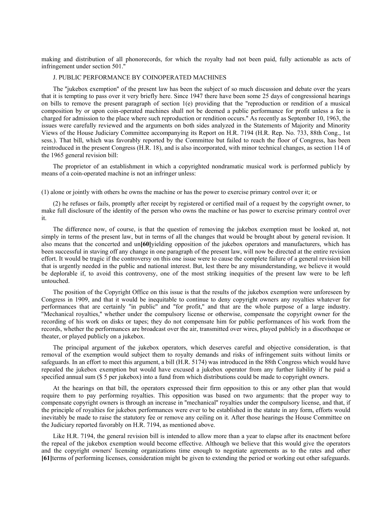making and distribution of all phonorecords, for which the royalty had not been paid, fully actionable as acts of infringement under section 501.''

# J. PUBLIC PERFORMANCE BY COINOPERATED MACHINES

The ''jukebox exemption'' of the present law has been the subject of so much discussion and debate over the years that it is tempting to pass over it very briefly here. Since 1947 there have been some 25 days of congressional hearings on bills to remove the present paragraph of section 1(e) providing that the ''reproduction or rendition of a musical composition by or upon coin-operated machines shall not be deemed a public performance for profit unless a fee is charged for admission to the place where such reproduction or rendition occurs.'' As recently as September 10, 1963, the issues were carefully reviewed and the arguments on both sides analyzed in the Statements of Majority and Minority Views of the House Judiciary Committee accompanying its Report on H.R. 7194 (H.R. Rep. No. 733, 88th Cong., 1st sess.). That bill, which was favorably reported by the Committee but failed to reach the floor of Congress, has been reintroduced in the present Congress (H.R. 18), and is also incorporated, with minor technical changes, as section 114 of the 1965 general revision bill:

The proprietor of an establishment in which a copyrighted nondramatic musical work is performed publicly by means of a coin-operated machine is not an infringer unless:

(1) alone or jointly with others he owns the machine or has the power to exercise primary control over it; or

(2) he refuses or fails, promptly after receipt by registered or certified mail of a request by the copyright owner, to make full disclosure of the identity of the person who owns the machine or has power to exercise primary control over it.

The difference now, of course, is that the question of removing the jukebox exemption must be looked at, not simply in terms of the present law, but in terms of all the changes that would be brought about by general revision. It also means that the concerted and un**[60]**yielding opposition of the jukebox operators and manufacturers, which has been successful in staving off any change in one paragraph of the present law, will now be directed at the entire revision effort. It would be tragic if the controversy on this one issue were to cause the complete failure of a general revision bill that is urgently needed in the public and national interest. But, lest there be any misunderstanding, we believe it would be deplorable if, to avoid this controversy, one of the most striking inequities of the present law were to be left untouched.

The position of the Copyright Office on this issue is that the results of the jukebox exemption were unforeseen by Congress in 1909, and that it would be inequitable to continue to deny copyright owners any royalties whatever for performances that are certainly ''in public'' and ''for profit,'' and that are the whole purpose of a large industry. ''Mechanical royalties,'' whether under the compulsory license or otherwise, compensate the copyright owner for the recording of his work on disks or tapes; they do not compensate him for public performances of his work from the records, whether the performances are broadcast over the air, transmitted over wires, played publicly in a discotheque or theater, or played publicly on a jukebox.

The principal argument of the jukebox operators, which deserves careful and objective consideration, is that removal of the exemption would subject them to royalty demands and risks of infringement suits without limits or safeguards. In an effort to meet this argument, a bill (H.R. 5174) was introduced in the 88th Congress which would have repealed the jukebox exemption but would have excused a jukebox operator from any further liability if he paid a specified annual sum (\$ 5 per jukebox) into a fund from which distributions could be made to copyright owners.

At the hearings on that bill, the operators expressed their firm opposition to this or any other plan that would require them to pay performing royalties. This opposition was based on two arguments: that the proper way to compensate copyright owners is through an increase in ''mechanical'' royalties under the compulsory license, and that, if the principle of royalties for jukebox performances were ever to be established in the statute in any form, efforts would inevitably be made to raise the statutory fee or remove any ceiling on it. After those hearings the House Committee on the Judiciary reported favorably on H.R. 7194, as mentioned above.

Like H.R. 7194, the general revision bill is intended to allow more than a year to elapse after its enactment before the repeal of the jukebox exemption would become effective. Although we believe that this would give the operators and the copyright owners' licensing organizations time enough to negotiate agreements as to the rates and other **[61]**terms of performing licenses, consideration might be given to extending the period or working out other safeguards.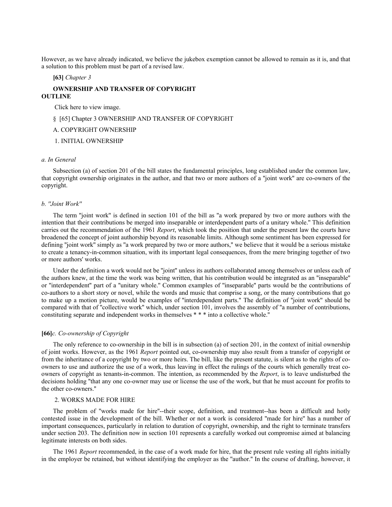However, as we have already indicated, we believe the jukebox exemption cannot be allowed to remain as it is, and that a solution to this problem must be part of a revised law.

**[63]** *Chapter 3*

# **OWNERSHIP AND TRANSFER OF COPYRIGHT OUTLINE**

Click here to view image.

## § [65] Chapter 3 OWNERSHIP AND TRANSFER OF COPYRIGHT

A. COPYRIGHT OWNERSHIP

1. INITIAL OWNERSHIP

### *a. In General*

Subsection (a) of section 201 of the bill states the fundamental principles, long established under the common law, that copyright ownership originates in the author, and that two or more authors of a ''joint work'' are co-owners of the copyright.

# *b. ''Joint Work''*

The term ''joint work'' is defined in section 101 of the bill as ''a work prepared by two or more authors with the intention that their contributions be merged into inseparable or interdependent parts of a unitary whole.'' This definition carries out the recommendation of the 1961 *Report*, which took the position that under the present law the courts have broadened the concept of joint authorship beyond its reasonable limits. Although some sentiment has been expressed for defining ''joint work'' simply as ''a work prepared by two or more authors,'' we believe that it would be a serious mistake to create a tenancy-in-common situation, with its important legal consequences, from the mere bringing together of two or more authors' works.

Under the definition a work would not be ''joint'' unless its authors collaborated among themselves or unless each of the authors knew, at the time the work was being written, that his contribution would be integrated as an ''inseparable'' or ''interdependent'' part of a ''unitary whole.'' Common examples of ''inseparable'' parts would be the contributions of co-authors to a short story or novel, while the words and music that comprise a song, or the many contributions that go to make up a motion picture, would be examples of ''interdependent parts.'' The definition of ''joint work'' should be compared with that of ''collective work'' which, under section 101, involves the assembly of ''a number of contributions, constituting separate and independent works in themselves \* \* \* into a collective whole.''

### **[66]***c. Co-ownership of Copyright*

The only reference to co-ownership in the bill is in subsection (a) of section 201, in the context of initial ownership of joint works. However, as the 1961 *Report* pointed out, co-ownership may also result from a transfer of copyright or from the inheritance of a copyright by two or more heirs. The bill, like the present statute, is silent as to the rights of coowners to use and authorize the use of a work, thus leaving in effect the rulings of the courts which generally treat coowners of copyright as tenants-in-common. The intention, as recommended by the *Report*, is to leave undisturbed the decisions holding ''that any one co-owner may use or license the use of the work, but that he must account for profits to the other co-owners.''

# 2. WORKS MADE FOR HIRE

The problem of ''works made for hire''--their scope, definition, and treatment--has been a difficult and hotly contested issue in the development of the bill. Whether or not a work is considered ''made for hire'' has a number of important consequences, particularly in relation to duration of copyright, ownership, and the right to terminate transfers under section 203. The definition now in section 101 represents a carefully worked out compromise aimed at balancing legitimate interests on both sides.

The 1961 *Report* recommended, in the case of a work made for hire, that the present rule vesting all rights initially in the employer be retained, but without identifying the employer as the ''author.'' In the course of drafting, however, it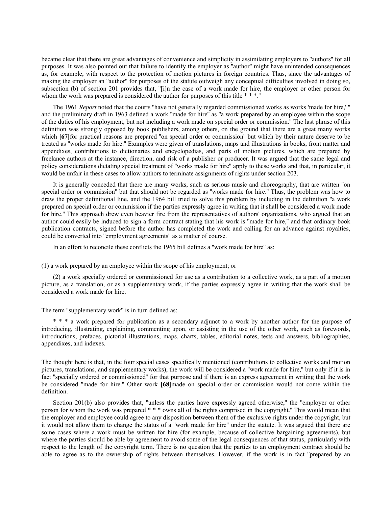became clear that there are great advantages of convenience and simplicity in assimilating employers to ''authors'' for all purposes. It was also pointed out that failure to identify the employer as ''author'' might have unintended consequences as, for example, with respect to the protection of motion pictures in foreign countries. Thus, since the advantages of making the employer an "author" for purposes of the statute outweigh any conceptual difficulties involved in doing so, subsection (b) of section 201 provides that, "[i]n the case of a work made for hire, the employer or other person for whom the work was prepared is considered the author for purposes of this title \* \* \*."

The 1961 *Report* noted that the courts ''have not generally regarded commissioned works as works 'made for hire,' '' and the preliminary draft in 1963 defined a work ''made for hire'' as ''a work prepared by an employee within the scope of the duties of his employment, but not including a work made on special order or commission.'' The last phrase of this definition was strongly opposed by book publishers, among others, on the ground that there are a great many works which **[67]** for practical reasons are prepared "on special order or commission" but which by their nature deserve to be treated as ''works made for hire.'' Examples were given of translations, maps and illustrations in books, front matter and appendixes, contributions to dictionaries and encyclopedias, and parts of motion pictures, which are prepared by freelance authors at the instance, direction, and risk of a publisher or producer. It was argued that the same legal and policy considerations dictating special treatment of ''works made for hire'' apply to these works and that, in particular, it would be unfair in these cases to allow authors to terminate assignments of rights under section 203.

It is generally conceded that there are many works, such as serious music and choreography, that are written ''on special order or commission'' but that should not be regarded as ''works made for hire.'' Thus, the problem was how to draw the proper definitional line, and the 1964 bill tried to solve this problem by including in the definition ''a work prepared on special order or commission if the parties expressly agree in writing that it shall be considered a work made for hire.'' This approach drew even heavier fire from the representatives of authors' organizations, who argued that an author could easily be induced to sign a form contract stating that his work is ''made for hire,'' and that ordinary book publication contracts, signed before the author has completed the work and calling for an advance against royalties, could be converted into ''employment agreements'' as a matter of course.

In an effort to reconcile these conflicts the 1965 bill defines a ''work made for hire'' as:

(1) a work prepared by an employee within the scope of his employment; or

(2) a work specially ordered or commissioned for use as a contribution to a collective work, as a part of a motion picture, as a translation, or as a supplementary work, if the parties expressly agree in writing that the work shall be considered a work made for hire.

The term ''supplementary work'' is in turn defined as:

\* \* \* a work prepared for publication as a secondary adjunct to a work by another author for the purpose of introducing, illustrating, explaining, commenting upon, or assisting in the use of the other work, such as forewords, introductions, prefaces, pictorial illustrations, maps, charts, tables, editorial notes, tests and answers, bibliographies, appendixes, and indexes.

The thought here is that, in the four special cases specifically mentioned (contributions to collective works and motion pictures, translations, and supplementary works), the work will be considered a ''work made for hire,'' but only if it is in fact ''specially ordered or commissioned'' for that purpose and if there is an express agreement in writing that the work be considered ''made for hire.'' Other work **[68]**made on special order or commission would not come within the definition.

Section 201(b) also provides that, "unless the parties have expressly agreed otherwise," the "employer or other person for whom the work was prepared \* \* \* owns all of the rights comprised in the copyright.'' This would mean that the employer and employee could agree to any disposition between them of the exclusive rights under the copyright, but it would not allow them to change the status of a ''work made for hire'' under the statute. It was argued that there are some cases where a work must be written for hire (for example, because of collective bargaining agreements), but where the parties should be able by agreement to avoid some of the legal consequences of that status, particularly with respect to the length of the copyright term. There is no question that the parties to an employment contract should be able to agree as to the ownership of rights between themselves. However, if the work is in fact ''prepared by an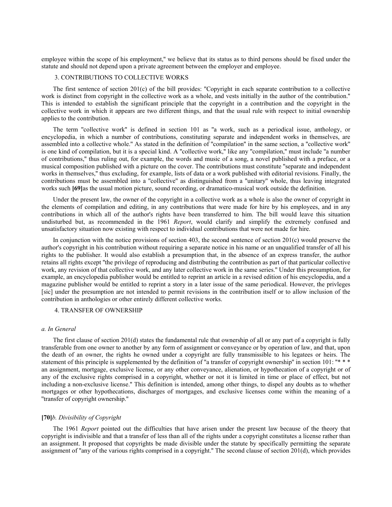employee within the scope of his employment,'' we believe that its status as to third persons should be fixed under the statute and should not depend upon a private agreement between the employer and employee.

# 3. CONTRIBUTIONS TO COLLECTIVE WORKS

The first sentence of section 201(c) of the bill provides: ''Copyright in each separate contribution to a collective work is distinct from copyright in the collective work as a whole, and vests initially in the author of the contribution.'' This is intended to establish the significant principle that the copyright in a contribution and the copyright in the collective work in which it appears are two different things, and that the usual rule with respect to initial ownership applies to the contribution.

The term "collective work" is defined in section 101 as "a work, such as a periodical issue, anthology, or encyclopedia, in which a number of contributions, constituting separate and independent works in themselves, are assembled into a collective whole.'' As stated in the definition of ''compilation'' in the same section, a ''collective work'' is one kind of compilation, but it is a special kind. A ''collective work,'' like any ''compilation,'' must include ''a number of contributions,'' thus ruling out, for example, the words and music of a song, a novel published with a preface, or a musical composition published with a picture on the cover. The contributions must constitute ''separate and independent works in themselves,'' thus excluding, for example, lists of data or a work published with editorial revisions. Finally, the contributions must be assembled into a ''collective'' as distinguished from a ''unitary'' whole, thus leaving integrated works such **[69]**as the usual motion picture, sound recording, or dramatico-musical work outside the definition.

Under the present law, the owner of the copyright in a collective work as a whole is also the owner of copyright in the elements of compilation and editing, in any contributions that were made for hire by his employees, and in any contributions in which all of the author's rights have been transferred to him. The bill would leave this situation undisturbed but, as recommended in the 1961 *Report*, would clarify and simplify the extremely confused and unsatisfactory situation now existing with respect to individual contributions that were not made for hire.

In conjunction with the notice provisions of section 403, the second sentence of section 201(c) would preserve the author's copyright in his contribution without requiring a separate notice in his name or an unqualified transfer of all his rights to the publisher. It would also establish a presumption that, in the absence of an express transfer, the author retains all rights except ''the privilege of reproducing and distributing the contribution as part of that particular collective work, any revision of that collective work, and any later collective work in the same series.'' Under this presumption, for example, an encyclopedia publisher would be entitled to reprint an article in a revised edition of his encyclopedia, and a magazine publisher would be entitled to reprint a story in a later issue of the same periodical. However, the privleges [sic] under the presumption are not intended to permit revisions in the contribution itself or to allow inclusion of the contribution in anthologies or other entirely different collective works.

# 4. TRANSFER OF OWNERSHIP

## *a. In General*

The first clause of section 201(d) states the fundamental rule that ownership of all or any part of a copyright is fully transferable from one owner to another by any form of assignment or conveyance or by operation of law, and that, upon the death of an owner, the rights he owned under a copyright are fully transmissible to his legatees or heirs. The statement of this principle is supplemented by the definition of "a transfer of copyright ownership" in section 101: "\* \* \* an assignment, mortgage, exclusive license, or any other conveyance, alienation, or hypothecation of a copyright or of any of the exclusive rights comprised in a copyright, whether or not it is limited in time or place of effect, but not including a non-exclusive license.'' This definition is intended, among other things, to dispel any doubts as to whether mortgages or other hypothecations, discharges of mortgages, and exclusive licenses come within the meaning of a ''transfer of copyright ownership.''

### **[70]***b. Divisibility of Copyright*

The 1961 *Report* pointed out the difficulties that have arisen under the present law because of the theory that copyright is indivisible and that a transfer of less than all of the rights under a copyright constitutes a license rather than an assignment. It proposed that copyrights be made divisible under the statute by specifically permitting the separate assignment of ''any of the various rights comprised in a copyright.'' The second clause of section 201(d), which provides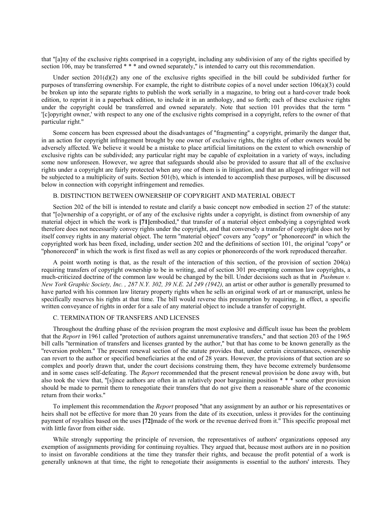that ''[a]ny of the exclusive rights comprised in a copyright, including any subdivision of any of the rights specified by section 106, may be transferred \* \* \* and owned separately," is intended to carry out this recommendation.

Under section  $201(d)(2)$  any one of the exclusive rights specified in the bill could be subdivided further for purposes of transferring ownership. For example, the right to distribute copies of a novel under section 106(a)(3) could be broken up into the separate rights to publish the work serially in a magazine, to bring out a hard-cover trade book edition, to reprint it in a paperback edition, to include it in an anthology, and so forth; each of these exclusive rights under the copyright could be transferred and owned separately. Note that section 101 provides that the term '' '[c]opyright owner,' with respect to any one of the exclusive rights comprised in a copyright, refers to the owner of that particular right.''

Some concern has been expressed about the disadvantages of ''fragmenting'' a copyright, primarily the danger that, in an action for copyright infringement brought by one owner of exclusive rights, the rights of other owners would be adversely affected. We believe it would be a mistake to place artificial limitations on the extent to which ownership of exclusive rights can be subdivided; any particular right may be capable of exploitation in a variety of ways, including some now unforeseen. However, we agree that safeguards should also be provided to assure that all of the exclusive rights under a copyright are fairly protected when any one of them is in litigation, and that an alleged infringer will not be subjected to a multiplicity of suits. Section 501(b), which is intended to accomplish these purposes, will be discussed below in connection with copyright infringement and remedies.

## B. DISTINCTION BETWEEN OWNERSHIP OF COPYRIGHT AND MATERIAL OBJECT

Section 202 of the bill is intended to restate and clarify a basic concept now embodied in section 27 of the statute: that ''[o]wnership of a copyright, or of any of the exclusive rights under a copyright, is distinct from ownership of any material object in which the work is **[71]**embodied,'' that transfer of a material object embodying a copyrighted work therefore does not necessarily convey rights under the copyright, and that conversely a transfer of copyright does not by itself convey rights in any material object. The term ''material object'' covers any ''copy'' or ''phonorecord'' in which the copyrighted work has been fixed, including, under section 202 and the definitions of section 101, the original ''copy'' or ''phonorecord'' in which the work is first fixed as well as any copies or phonorecords of the work reproduced thereafter.

A point worth noting is that, as the result of the interaction of this section, of the provision of section 204(a) requiring transfers of copyright ownership to be in writing, and of section 301 pre-empting common law copyrights, a much-criticized doctrine of the common law would be changed by the bill. Under decisions such as that in *Pushman v. New York Graphic Society, Inc. , 287 N.Y. 302, 39 N.E. 2d 249 (1942),* an artist or other author is generally presumed to have parted with his common law literary property rights when he sells an original work of art or manuscript, unless he specifically reserves his rights at that time. The bill would reverse this presumption by requiring, in effect, a specific written conveyance of rights in order for a sale of any material object to include a transfer of copyright.

## C. TERMINATION OF TRANSFERS AND LICENSES

Throughout the drafting phase of the revision program the most explosive and difficult issue has been the problem that the *Report* in 1961 called ''protection of authors against unremunerative transfers,'' and that section 203 of the 1965 bill calls ''termination of transfers and licenses granted by the author,'' but that has come to be known generally as the ''reversion problem.'' The present renewal section of the statute provides that, under certain circumstances, ownership can revert to the author or specified beneficiaries at the end of 28 years. However, the provisions of that section are so complex and poorly drawn that, under the court decisions construing them, they have become extremely burdensome and in some cases self-defeating. The *Report* recommended that the present renewal provision be done away with, but also took the view that, "[s]ince authors are often in an relatively poor bargaining position \* \* \* some other provision should be made to permit them to renegotiate their transfers that do not give them a reasonable share of the economic return from their works.''

To implement this recommendation the *Report* proposed ''that any assignment by an author or his representatives or heirs shall not be effective for more than 20 years from the date of its execution, unless it provides for the continuing payment of royalties based on the uses **[72]**made of the work or the revenue derived from it.'' This specific proposal met with little favor from either side.

While strongly supporting the principle of reversion, the representatives of authors' organizations opposed any exemption of assignments providing for continuing royalties. They argued that, because most authors are in no position to insist on favorable conditions at the time they transfer their rights, and because the profit potential of a work is generally unknown at that time, the right to renegotiate their assignments is essential to the authors' interests. They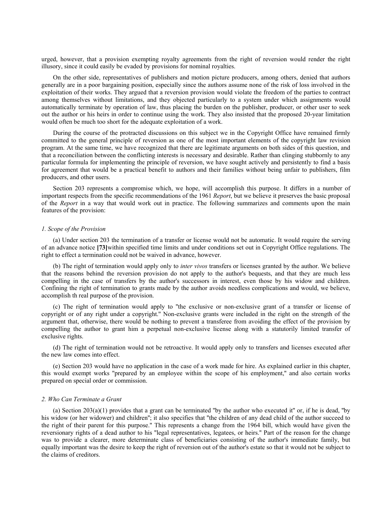urged, however, that a provision exempting royalty agreements from the right of reversion would render the right illusory, since it could easily be evaded by provisions for nominal royalties.

On the other side, representatives of publishers and motion picture producers, among others, denied that authors generally are in a poor bargaining position, especially since the authors assume none of the risk of loss involved in the exploitation of their works. They argued that a reversion provision would violate the freedom of the parties to contract among themselves without limitations, and they objected particularly to a system under which assignments would automatically terminate by operation of law, thus placing the burden on the publisher, producer, or other user to seek out the author or his heirs in order to continue using the work. They also insisted that the proposed 20-year limitation would often be much too short for the adequate exploitation of a work.

During the course of the protracted discussions on this subject we in the Copyright Office have remained firmly committed to the general principle of reversion as one of the most important elements of the copyright law revision program. At the same time, we have recognized that there are legitimate arguments on both sides of this question, and that a reconciliation between the conflicting interests is necessary and desirable. Rather than clinging stubbornly to any particular formula for implementing the principle of reversion, we have sought actively and persistently to find a basis for agreement that would be a practical benefit to authors and their families without being unfair to publishers, film producers, and other users.

Section 203 represents a compromise which, we hope, will accomplish this purpose. It differs in a number of important respects from the specific recommendations of the 1961 *Report*, but we believe it preserves the basic proposal of the *Report* in a way that would work out in practice. The following summarizes and comments upon the main features of the provision:

## *1. Scope of the Provision*

(a) Under section 203 the termination of a transfer or license would not be automatic. It would require the serving of an advance notice **[73]**within specified time limits and under conditions set out in Copyright Office regulations. The right to effect a termination could not be waived in advance, however.

(b) The right of termination would apply only to *inter vivos* transfers or licenses granted by the author. We believe that the reasons behind the reversion provision do not apply to the author's bequests, and that they are much less compelling in the case of transfers by the author's successors in interest, even those by his widow and children. Confining the right of termination to grants made by the author avoids needless complications and would, we believe, accomplish th real purpose of the provision.

(c) The right of termination would apply to ''the exclusive or non-exclusive grant of a transfer or license of copyright or of any right under a copyright.'' Non-exclusive grants were included in the right on the strength of the argument that, otherwise, there would be nothing to prevent a transferee from avoiding the effect of the provision by compelling the author to grant him a perpetual non-exclusive license along with a statutorily limited transfer of exclusive rights.

(d) The right of termination would not be retroactive. It would apply only to transfers and licenses executed after the new law comes into effect.

(e) Section 203 would have no application in the case of a work made for hire. As explained earlier in this chapter, this would exempt works ''prepared by an employee within the scope of his employment,'' and also certain works prepared on special order or commission.

### *2. Who Can Terminate a Grant*

(a) Section  $203(a)(1)$  provides that a grant can be terminated "by the author who executed it" or, if he is dead, "by his widow (or her widower) and children"; it also specifies that "the children of any dead child of the author succeed to the right of their parent for this purpose.'' This represents a change from the 1964 bill, which would have given the reversionary rights of a dead author to his ''legal representatives, legatees, or heirs.'' Part of the reason for the change was to provide a clearer, more determinate class of beneficiaries consisting of the author's immediate family, but equally important was the desire to keep the right of reversion out of the author's estate so that it would not be subject to the claims of creditors.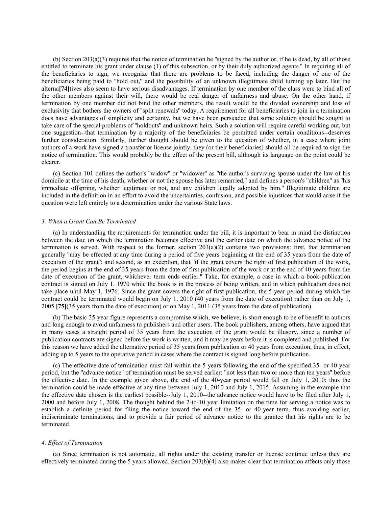(b) Section  $203(a)(3)$  requires that the notice of termination be "signed by the author or, if he is dead, by all of those entitled to terminate his grant under clause (1) of this subsection, or by their duly authorized agents.'' In requiring all of the beneficiaries to sign, we recognize that there are problems to be faced, including the danger of one of the beneficiaries being paid to ''hold out,'' and the possibility of an unknown illegitimate child turning up later. But the alterna**[74]**tives also seem to have serious disadvantages. If termination by one member of the class were to bind all of the other members against their will, there would be real danger of unfairness and abuse. On the other hand, if termination by one member did not bind the other members, the result would be the divided ownership and loss of exclusivity that bothers the owners of ''split renewals'' today. A requirement for all beneficiaries to join in a termination does have advantages of simplicity and certainty, but we have been persuaded that some solution should be sought to take care of the special problems of ''holdouts'' and unknown heirs. Such a solution will require careful working out, but one suggestion--that termination by a majority of the beneficiaries be permitted under certain conditions--deserves further consideration. Similarly, further thought should be given to the question of whether, in a case where joint authors of a work have signed a transfer or license jointly, they (or their beneficiaries) should all be required to sign the notice of termination. This would probably be the effect of the present bill, although its language on the point could be clearer.

(c) Section 101 defines the author's ''widow'' or ''widower'' as ''the author's surviving spouse under the law of his domicile at the time of his death, whether or not the spouse has later remarried,'' and defines a person's ''children'' as ''his immediate offspring, whether legitimate or not, and any children legally adopted by him.'' Illegitimate children are included in the definition in an effort to avoid the uncertainties, confusion, and possible injustices that would arise if the question were left entirely to a determination under the various State laws.

### *3. When a Grant Can Be Terminated*

(a) In understanding the requirements for termination under the bill, it is important to bear in mind the distinction between the date on which the termination becomes effective and the earlier date on which the advance notice of the termination is served. With respect to the former, section 203(a)(2) contains two provisions: first, that termination generally ''may be effected at any time during a period of five years beginning at the end of 35 years from the date of execution of the grant''; and second, as an exception, that ''if the grant covers the right of first publication of the work, the period begins at the end of 35 years from the date of first publication of the work or at the end of 40 years from the date of execution of the grant, whichever term ends earlier.'' Take, for example, a case in which a book-publication contract is signed on July 1, 1970 while the book is in the process of being written, and in which publication does not take place until May 1, 1976. Since the grant covers the right of first publication, the 5-year period during which the contract could be terminated would begin on July 1, 2010 (40 years from the date of execution) rather than on July 1, 2005 **[75]**(35 years from the date of execution) or on May 1, 2011 (35 years from the date of publication).

(b) The basic 35-year figure represents a compromise which, we believe, is short enough to be of benefit to authors and long enough to avoid unfairness to publishers and other users. The book publishers, among others, have argued that in many cases a straight period of 35 years from the execution of the grant would be illusory, since a number of publication contracts are signed before the work is written, and it may be years before it is completed and published. For this reason we have added the alternative period of 35 years from publication or 40 years from execution, thus, in effect, adding up to 5 years to the operative period in cases where the contract is signed long before publication.

(c) The effective date of termination must fall within the 5 years following the end of the specified 35- or 40-year period, but the "advance notice" of termination must be served earlier: "not less than two or more than ten years" before the effective date. In the example given above, the end of the 40-year period would fall on July 1, 2010; thus the termination could be made effective at any time between July 1, 2010 and July 1, 2015. Assuming in the example that the effective date chosen is the earliest possible--July 1, 2010--the advance notice would have to be filed after July 1, 2000 and before July 1, 2008. The thought behind the 2-to-10 year limitation on the time for serving a notice was to establish a definite period for filing the notice toward the end of the 35- or 40-year term, thus avoiding earlier, indiscriminate terminations, and to provide a fair period of advance notice to the grantee that his rights are to be terminated.

## *4. Effect of Termination*

(a) Since termination is not automatic, all rights under the existing transfer or license continue unless they are effectively terminated during the 5 years allowed. Section  $203(b)(4)$  also makes clear that termination affects only those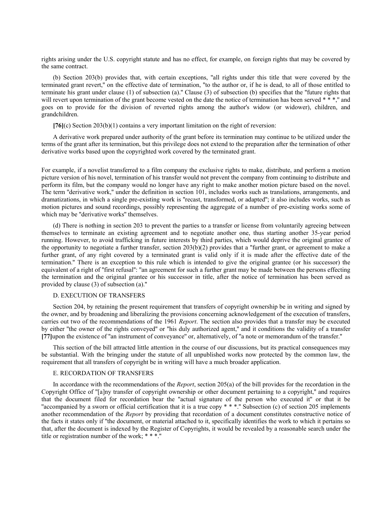rights arising under the U.S. copyright statute and has no effect, for example, on foreign rights that may be covered by the same contract.

(b) Section 203(b) provides that, with certain exceptions, ''all rights under this title that were covered by the terminated grant revert,'' on the effective date of termination, ''to the author or, if he is dead, to all of those entitled to terminate his grant under clause (1) of subsection (a).'' Clause (3) of subsection (b) specifies that the ''future rights that will revert upon termination of the grant become vested on the date the notice of termination has been served  $* * *$ ," and goes on to provide for the division of reverted rights among the author's widow (or widower), children, and grandchildren.

**[76]**(c) Section 203(b)(1) contains a very important limitation on the right of reversion:

A derivative work prepared under authority of the grant before its termination may continue to be utilized under the terms of the grant after its termination, but this privilege does not extend to the preparation after the termination of other derivative works based upon the copyrighted work covered by the terminated grant.

For example, if a novelist transferred to a film company the exclusive rights to make, distribute, and perform a motion picture version of his novel, termination of his transfer would not prevent the company from continuing to distribute and perform its film, but the company would no longer have any right to make another motion picture based on the novel. The term ''derivative work,'' under the definition in section 101, includes works such as translations, arrangements, and dramatizations, in which a single pre-existing work is ''recast, transformed, or adapted''; it also includes works, such as motion pictures and sound recordings, possibly representing the aggregate of a number of pre-existing works some of which may be ''derivative works'' themselves.

(d) There is nothing in section 203 to prevent the parties to a transfer or license from voluntarily agreeing between themselves to terminate an existing agreement and to negotiate another one, thus starting another 35-year period running. However, to avoid trafficking in future interests by third parties, which would deprive the original grantee of the opportunity to negotiate a further transfer, section 203(b)(2) provides that a ''further grant, or agreement to make a further grant, of any right covered by a terminated grant is valid only if it is made after the effective date of the termination.'' There is an exception to this rule which is intended to give the original grantee (or his successor) the equivalent of a right of ''first refusal'': ''an agreement for such a further grant may be made between the persons effecting the termination and the original grantee or his successor in title, after the notice of termination has been served as provided by clause (3) of subsection (a).''

# D. EXECUTION OF TRANSFERS

Section 204, by retaining the present requirement that transfers of copyright ownership be in writing and signed by the owner, and by broadening and liberalizing the provisions concerning acknowledgement of the execution of transfers, carries out two of the recommendations of the 1961 *Report*. The section also provides that a transfer may be executed by either ''the owner of the rights conveyed'' or ''his duly authorized agent,'' and it conditions the validity of a transfer **[77]**upon the existence of ''an instrument of conveyance'' or, alternatively, of ''a note or memorandum of the transfer.''

This section of the bill attracted little attention in the course of our discussions, but its practical consequences may be substantial. With the bringing under the statute of all unpublished works now protected by the common law, the requirement that all transfers of copyright be in writing will have a much broader application.

## E. RECORDATION OF TRANSFERS

In accordance with the recommendations of the *Report*, section 205(a) of the bill provides for the recordation in the Copyright Office of ''[a]ny transfer of copyright ownership or other document pertaining to a copyright,'' and requires that the document filed for recordation bear the ''actual signature of the person who executed it'' or that it be "accompanied by a sworn or official certification that it is a true copy  $***$ " Subsection (c) of section 205 implements another recommendation of the *Report* by providing that recordation of a document constitutes constructive notice of the facts it states only if ''the document, or material attached to it, specifically identifies the work to which it pertains so that, after the document is indexed by the Register of Copyrights, it would be revealed by a reasonable search under the title or registration number of the work; \* \* \*.''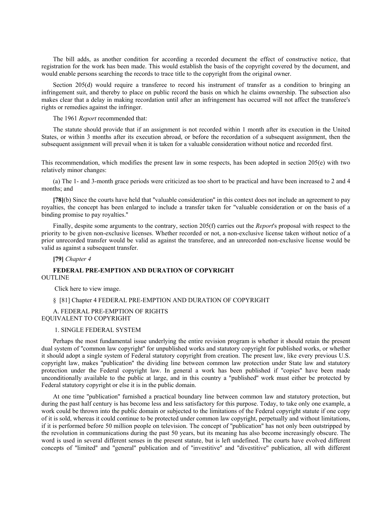The bill adds, as another condition for according a recorded document the effect of constructive notice, that registration for the work has been made. This would establish the basis of the copyright covered by the document, and would enable persons searching the records to trace title to the copyright from the original owner.

Section 205(d) would require a transferee to record his instrument of transfer as a condition to bringing an infringement suit, and thereby to place on public record the basis on which he claims ownership. The subsection also makes clear that a delay in making recordation until after an infringement has occurred will not affect the transferee's rights or remedies against the infringer.

The 1961 *Report* recommended that:

The statute should provide that if an assignment is not recorded within 1 month after its execution in the United States, or within 3 months after its execution abroad, or before the recordation of a subsequent assignment, then the subsequent assignment will prevail when it is taken for a valuable consideration without notice and recorded first.

This recommendation, which modifies the present law in some respects, has been adopted in section 205(e) with two relatively minor changes:

(a) The 1- and 3-month grace periods were criticized as too short to be practical and have been increased to 2 and 4 months; and

**[78]**(b) Since the courts have held that ''valuable consideration'' in this context does not include an agreement to pay royalties, the concept has been enlarged to include a transfer taken for ''valuable consideration or on the basis of a binding promise to pay royalties.''

Finally, despite some arguments to the contrary, section 205(f) carries out the *Report*'s proposal with respect to the priority to be given non-exclusive licenses. Whether recorded or not, a non-exclusive license taken without notice of a prior unrecorded transfer would be valid as against the transferee, and an unrecorded non-exclusive license would be valid as against a subsequent transfer.

**[79]** *Chapter 4*

### **FEDERAL PRE-EMPTION AND DURATION OF COPYRIGHT** OUTLINE

Click here to view image.

§ [81] Chapter 4 FEDERAL PRE-EMPTION AND DURATION OF COPYRIGHT

## A. FEDERAL PRE-EMPTION OF RIGHTS EQUIVALENT TO COPYRIGHT

## 1. SINGLE FEDERAL SYSTEM

Perhaps the most fundamental issue underlying the entire revision program is whether it should retain the present dual system of ''common law copyright'' for unpublished works and statutory copyright for published works, or whether it should adopt a single system of Federal statutory copyright from creation. The present law, like every previous U.S. copyright law, makes ''publication'' the dividing line between common law protection under State law and statutory protection under the Federal copyright law. In general a work has been published if ''copies'' have been made unconditionally available to the public at large, and in this country a ''published'' work must either be protected by Federal statutory copyright or else it is in the public domain.

At one time ''publication'' furnished a practical boundary line between common law and statutory protection, but during the past half century is has become less and less satisfactory for this purpose. Today, to take only one example, a work could be thrown into the public domain or subjected to the limitations of the Federal copyright statute if one copy of it is sold, whereas it could continue to be protected under common law copyright, perpetually and without limitations, if it is performed before 50 million people on television. The concept of ''publication'' has not only been outstripped by the revolution in communications during the past 50 years, but its meaning has also become increasingly obscure. The word is used in several different senses in the present statute, but is left undefined. The courts have evolved different concepts of ''limited'' and ''general'' publication and of ''investitive'' and ''divestitive'' publication, all with different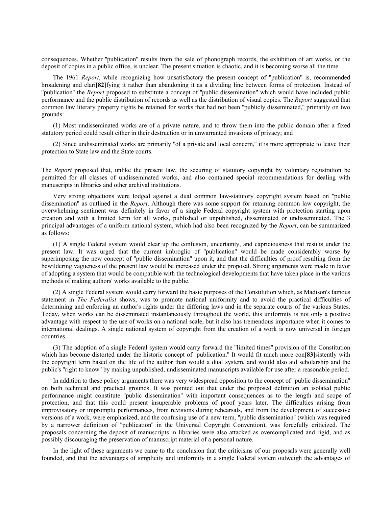consequences. Whether ''publication'' results from the sale of phonograph records, the exhibition of art works, or the deposit of copies in a public office, is unclear. The present situation is chaotic, and it is becoming worse all the time.

The 1961 *Report*, while recognizing how unsatisfactory the present concept of ''publication'' is, recommended broadening and clari**[82]**fying it rather than abandoning it as a dividing line between forms of protection. Instead of ''publication'' the *Report* proposed to substitute a concept of ''public dissemination'' which would have included public performance and the public distribution of records as well as the distribution of visual copies. The *Report* suggested that common law literary property rights be retained for works that had not been ''publicly disseminated,'' primarily on two grounds:

(1) Most undisseminated works are of a private nature, and to throw them into the public domain after a fixed statutory period could result either in their destruction or in unwarranted invasions of privacy; and

(2) Since undisseminated works are primarily ''of a private and local concern,'' it is more appropriate to leave their protection to State law and the State courts.

The *Report* proposed that, unlike the present law, the securing of statutory copyright by voluntary registration be permitted for all classes of undisseminated works, and also contained special recommendations for dealing with manuscripts in libraries and other archival institutions.

Very strong objections were lodged against a dual common law-statutory copyright system based on ''public dissemination'' as outlined in the *Report*. Although there was some support for retaining common law copyright, the overwhelming sentiment was definitely in favor of a single Federal copyright system with protection starting upon creation and with a limited term for all works, published or unpublished, disseminated or undisseminated. The 3 principal advantages of a uniform national system, which had also been recognized by the *Report*, can be summarized as follows:

(1) A single Federal system would clear up the confusion, uncertainty, and capriciousness that results under the present law. It was urged that the current imbroglio of ''publication'' would be made considerably worse by superimposing the new concept of ''public dissemination'' upon it, and that the difficulties of proof resulting from the bewildering vagueness of the present law would be increased under the proposal. Strong arguments were made in favor of adopting a system that would be compatible with the technological developments that have taken place in the various methods of making authors' works available to the public.

(2) A single Federal system would carry forward the basic purposes of the Constitution which, as Madison's famous statement in *The Federalist* shows, was to promote national uniformity and to avoid the practical difficulties of determining and enforcing an author's rights under the differing laws and in the separate courts of the various States. Today, when works can be disseminated instantaneously throughout the world, this uniformity is not only a positive advantage with respect to the use of works on a national scale, but it also has tremendous importance when it comes to international dealings. A single national system of copyright from the creation of a work is now universal in foreign countries.

(3) The adoption of a single Federal system would carry forward the ''limited times'' provision of the Constitution which has become distorted under the historic concept of ''publication.'' It would fit much more con**[83]**sistently with the copyright term based on the life of the author than would a dual system, and would also aid scholarship and the public's ''right to know'' by making unpublished, undisseminated manuscripts available for use after a reasonable period.

In addition to these policy arguments there was very widespread opposition to the concept of ''public dissemination'' on both technical and practical grounds. It was pointed out that under the proposed definition an isolated public performance might constitute ''public dissemination'' with important consequences as to the length and scope of protection, and that this could present insuperable problems of proof years later. The difficulties arising from improvisatory or impromptu performances, from revisions during rehearsals, and from the development of successive versions of a work, were emphasized, and the confusing use of a new term, ''public dissemination'' (which was required by a narrower definition of ''publication'' in the Universal Copyright Convention), was forcefully criticized. The proposals concerning the deposit of manuscripts in libraries were also attacked as overcomplicated and rigid, and as possibly discouraging the preservation of manuscript material of a personal nature.

In the light of these arguments we came to the conclusion that the criticisms of our proposals were generally well founded, and that the advantages of simplicity and uniformity in a single Federal system outweigh the advantages of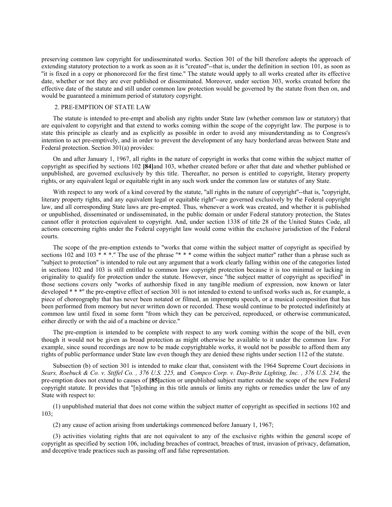preserving common law copyright for undisseminated works. Section 301 of the bill therefore adopts the approach of extending statutory protection to a work as soon as it is "created"--that is, under the definition in section 101, as soon as "it is fixed in a copy or phonorecord for the first time." The statute would apply to all works created after its effective date, whether or not they are ever published or disseminated. Moreover, under section 303, works created before the effective date of the statute and still under common law protection would be governed by the statute from then on, and would be guaranteed a minimum period of statutory copyright.

# 2. PRE-EMPTION OF STATE LAW

The statute is intended to pre-empt and abolish any rights under State law (whether common law or statutory) that are equivalent to copyright and that extend to works coming within the scope of the copyright law. The purpose is to state this principle as clearly and as explicitly as possible in order to avoid any misunderstanding as to Congress's intention to act pre-emptively, and in order to prevent the development of any hazy borderland areas between State and Federal protection. Section 301(a) provides:

On and after January 1, 1967, all rights in the nature of copyright in works that come within the subject matter of copyright as specified by sections 102 **[84]**and 103, whether created before or after that date and whether published or unpublished, are governed exclusively by this title. Thereafter, no person is entitled to copyright, literary property rights, or any equivalent legal or equitable right in any such work under the common law or statutes of any State.

With respect to any work of a kind covered by the statute, "all rights in the nature of copyright"--that is, "copyright, literary property rights, and any equivalent legal or equitable right''--are governed exclusively by the Federal copyright law, and all corresponding State laws are pre-empted. Thus, whenever a work was created, and whether it is published or unpublished, disseminated or undisseminated, in the public domain or under Federal statutory protection, the States cannot offer it protection equivalent to copyright. And, under section 1338 of title 28 of the United States Code, all actions concerning rights under the Federal copyright law would come within the exclusive jurisdiction of the Federal courts.

The scope of the pre-emption extends to ''works that come within the subject matter of copyright as specified by sections 102 and 103  $**$ ." The use of the phrase " $**$ " come within the subject matter" rather than a phrase such as ''subject to protection'' is intended to rule out any argument that a work clearly falling within one of the categories listed in sections 102 and 103 is still entitled to common law copyright protection because it is too minimal or lacking in originality to qualify for protection under the statute. However, since ''the subject matter of copyright as specified'' in those sections covers only ''works of authorship fixed in any tangible medium of expression, now known or later developed \* \* \*'' the pre-emptive effect of section 301 is not intended to extend to unfixed works such as, for example, a piece of choreography that has never been notated or filmed, an impromptu speech, or a musical composition that has been performed from memory but never written down or recorded. These would continue to be protected indefinitely at common law until fixed in some form ''from which they can be perceived, reproduced, or otherwise communicated, either directly or with the aid of a machine or device.''

The pre-emption is intended to be complete with respect to any work coming within the scope of the bill, even though it would not be given as broad protection as might otherwise be available to it under the common law. For example, since sound recordings are now to be made copyrightable works, it would not be possible to afford them any rights of public performance under State law even though they are denied these rights under section 112 of the statute.

Subsection (b) of section 301 is intended to make clear that, consistent with the 1964 Supreme Court decisions in *Sears, Roebuck & Co. v. Stiffel Co. , 376 U.S. 225,* and *Compco Corp. v. Day-Brite Lighting, Inc. , 376 U.S. 234,* the pre-emption does not extend to causes of **[85]**action or unpublished subject matter outside the scope of the new Federal copyright statute. It provides that ''[n]othing in this title annuls or limits any rights or remedies under the law of any State with respect to:

(1) unpublished material that does not come within the subject matter of copyright as specified in sections 102 and 103;

(2) any cause of action arising from undertakings commenced before January 1, 1967;

(3) activities violating rights that are not equivalent to any of the exclusive rights within the general scope of copyright as specified by section 106, including breaches of contract, breaches of trust, invasion of privacy, defamation, and deceptive trade practices such as passing off and false representation.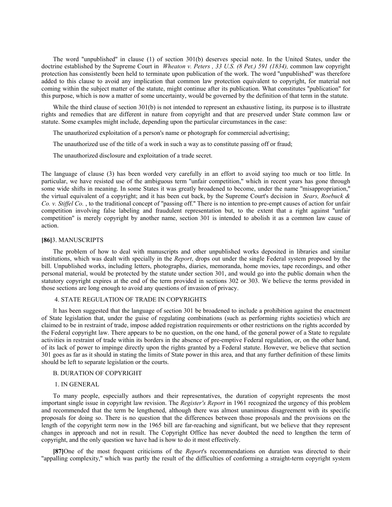The word ''unpublished'' in clause (1) of section 301(b) deserves special note. In the United States, under the doctrine established by the Supreme Court in *Wheaton v. Peters , 33 U.S. (8 Pet.) 591 (1834),* common law copyright protection has consistently been held to terminate upon publication of the work. The word ''unpublished'' was therefore added to this clause to avoid any implication that common law protection equivalent to copyright, for material not coming within the subject matter of the statute, might continue after its publication. What constitutes ''publication'' for this purpose, which is now a matter of some uncertainty, would be governed by the definition of that term in the statute.

While the third clause of section 301(b) is not intended to represent an exhaustive listing, its purpose is to illustrate rights and remedies that are different in nature from copyright and that are preserved under State common law or statute. Some examples might include, depending upon the particular circumstances in the case:

The unauthorized exploitation of a person's name or photograph for commercial advertising;

The unauthorized use of the title of a work in such a way as to constitute passing off or fraud;

The unauthorized disclosure and exploitation of a trade secret.

The language of clause (3) has been worded very carefully in an effort to avoid saying too much or too little. In particular, we have resisted use of the ambiguous term ''unfair competition,'' which in recent years has gone through some wide shifts in meaning. In some States it was greatly broadened to become, under the name ''misappropriation,'' the virtual equivalent of a copyright; and it has been cut back, by the Supreme Court's decision in *Sears, Roebuck & Co. v. Stiffel Co.* , to the traditional concept of ''passing off.'' There is no intention to pre-empt causes of action for unfair competition involving false labeling and fraudulent representation but, to the extent that a right against ''unfair competition'' is merely copyright by another name, section 301 is intended to abolish it as a common law cause of action.

## **[86]**3. MANUSCRIPTS

The problem of how to deal with manuscripts and other unpublished works deposited in libraries and similar institutions, which was dealt with specially in the *Report*, drops out under the single Federal system proposed by the bill. Unpublished works, including letters, photographs, diaries, memoranda, home movies, tape recordings, and other personal material, would be protected by the statute under section 301, and would go into the public domain when the statutory copyright expires at the end of the term provided in sections 302 or 303. We believe the terms provided in those sections are long enough to avoid any questions of invasion of privacy.

# 4. STATE REGULATION OF TRADE IN COPYRIGHTS

It has been suggested that the language of section 301 be broadened to include a prohibition against the enactment of State legislation that, under the guise of regulating combinations (such as performing rights societies) which are claimed to be in restraint of trade, impose added registration requirements or other restrictions on the rights accorded by the Federal copyright law. There appears to be no question, on the one hand, of the general power of a State to regulate activities in restraint of trade within its borders in the absence of pre-emptive Federal regulation, or, on the other hand, of its lack of power to impinge directly upon the rights granted by a Federal statute. However, we believe that section 301 goes as far as it should in stating the limits of State power in this area, and that any further definition of these limits should be left to separate legislation or the courts.

## B. DURATION OF COPYRIGHT

#### 1. IN GENERAL

To many people, especially authors and their representatives, the duration of copyright represents the most important single issue in copyright law revision. The *Register's Report* in 1961 recognized the urgency of this problem and recommended that the term be lengthened, although there was almost unanimous disagreement with its specific proposals for doing so. There is no question that the differences between those proposals and the provisions on the length of the copyright term now in the 1965 bill are far-reaching and significant, but we believe that they represent changes in approach and not in result. The Copyright Office has never doubted the need to lengthen the term of copyright, and the only question we have had is how to do it most effectively.

**[87]**One of the most frequent criticisms of the *Report*'s recommendations on duration was directed to their ''appalling complexity,'' which was partly the result of the difficulties of conforming a straight-term copyright system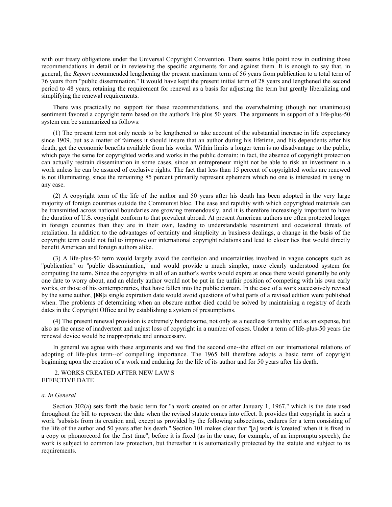with our treaty obligations under the Universal Copyright Convention. There seems little point now in outlining those recommendations in detail or in reviewing the specific arguments for and against them. It is enough to say that, in general, the *Report* recommended lengthening the present maximum term of 56 years from publication to a total term of 76 years from ''public dissemination.'' It would have kept the present initial term of 28 years and lengthened the second period to 48 years, retaining the requirement for renewal as a basis for adjusting the term but greatly liberalizing and simplifying the renewal requirements.

There was practically no support for these recommendations, and the overwhelming (though not unanimous) sentiment favored a copyright term based on the author's life plus 50 years. The arguments in support of a life-plus-50 system can be summarized as follows:

(1) The present term not only needs to be lengthened to take account of the substantial increase in life expectancy since 1909, but as a matter of fairness it should insure that an author during his lifetime, and his dependents after his death, get the economic benefits available from his works. Within limits a longer term is no disadvantage to the public, which pays the same for copyrighted works and works in the public domain: in fact, the absence of copyright protection can actually restrain dissemination in some cases, since an entrepreneur might not be able to risk an investment in a work unless he can be assured of exclusive rights. The fact that less than 15 percent of copyrighted works are renewed is not illuminating, since the remaining 85 percent primarily represent ephemera which no one is interested in using in any case.

(2) A copyright term of the life of the author and 50 years after his death has been adopted in the very large majority of foreign countries outside the Communist bloc. The ease and rapidity with which copyrighted materials can be transmitted across national boundaries are growing tremendously, and it is therefore increasingly important to have the duration of U.S. copyright conform to that prevalent abroad. At present American authors are often protected longer in foreign countries than they are in their own, leading to understandable resentment and occasional threats of retaliation. In addition to the advantages of certainty and simplicity in business dealings, a change in the basis of the copyright term could not fail to improve our international copyright relations and lead to closer ties that would directly benefit American and foreign authors alike.

(3) A life-plus-50 term would largely avoid the confusion and uncertainties involved in vague concepts such as ''publication'' or ''public dissemination,'' and would provide a much simpler, more clearly understood system for computing the term. Since the copyrights in all of an author's works would expire at once there would generally be only one date to worry about, and an elderly author would not be put in the unfair position of competing with his own early works, or those of his contemporaries, that have fallen into the public domain. In the case of a work successively revised by the same author, **[88]**a single expiration date would avoid questions of what parts of a revised edition were published when. The problems of determining when an obscure author died could be solved by maintaining a registry of death dates in the Copyright Office and by establishing a system of presumptions.

(4) The present renewal provision is extremely burdensome, not only as a needless formality and as an expense, but also as the cause of inadvertent and unjust loss of copyright in a number of cases. Under a term of life-plus-50 years the renewal device would be inappropriate and unnecessary.

In general we agree with these arguments and we find the second one--the effect on our international relations of adopting of life-plus term--of compelling importance. The 1965 bill therefore adopts a basic term of copyright beginning upon the creation of a work and enduring for the life of its author and for 50 years after his death.

# 2. WORKS CREATED AFTER NEW LAW'S EFFECTIVE DATE

### *a. In General*

Section 302(a) sets forth the basic term for "a work created on or after January 1, 1967," which is the date used throughout the bill to represent the date when the revised statute comes into effect. It provides that copyright in such a work ''subsists from its creation and, except as provided by the following subsections, endures for a term consisting of the life of the author and 50 years after his death.'' Section 101 makes clear that ''[a] work is 'created' when it is fixed in a copy or phonorecord for the first time''; before it is fixed (as in the case, for example, of an impromptu speech), the work is subject to common law protection, but thereafter it is automatically protected by the statute and subject to its requirements.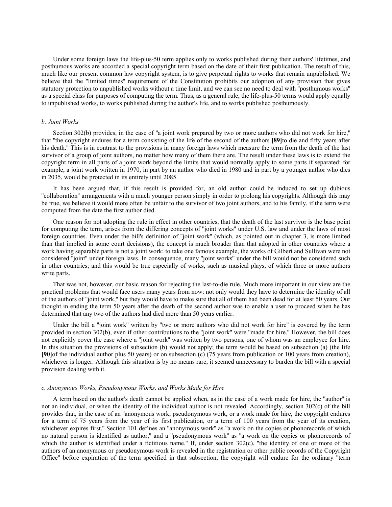Under some foreign laws the life-plus-50 term applies only to works published during their authors' lifetimes, and posthumous works are accorded a special copyright term based on the date of their first publication. The result of this, much like our present common law copyright system, is to give perpetual rights to works that remain unpublished. We believe that the "limited times" requirement of the Constitution prohibits our adoption of any provision that gives statutory protection to unpublished works without a time limit, and we can see no need to deal with ''posthumous works'' as a special class for purposes of computing the term. Thus, as a general rule, the life-plus-50 terms would apply equally to unpublished works, to works published during the author's life, and to works published posthumously.

### *b. Joint Works*

Section 302(b) provides, in the case of ''a joint work prepared by two or more authors who did not work for hire,'' that ''the copyright endures for a term consisting of the life of the second of the authors **[89]**to die and fifty years after his death.'' This is in contrast to the provisions in many foreign laws which measure the term from the death of the last survivor of a group of joint authors, no matter how many of them there are. The result under these laws is to extend the copyright term in all parts of a joint work beyond the limits that would normally apply to some parts if separated: for example, a joint work written in 1970, in part by an author who died in 1980 and in part by a younger author who dies in 2035, would be protected in its entirety until 2085.

It has been argued that, if this result is provided for, an old author could be induced to set up dubious ''collaboration'' arrangements with a much younger person simply in order to prolong his copyrights. Although this may be true, we believe it would more often be unfair to the survivor of two joint authors, and to his family, if the term were computed from the date the first author died.

One reason for not adopting the rule in effect in other countries, that the death of the last survivor is the base point for computing the term, arises from the differing concepts of ''joint works'' under U.S. law and under the laws of most foreign countries. Even under the bill's definition of ''joint work'' (which, as pointed out in chapter 3, is more limited than that implied in some court decisions), the concept is much broader than that adopted in other countries where a work having separable parts is not a joint work: to take one famous example, the works of Gilbert and Sullivan were not considered ''joint'' under foreign laws. In consequence, many ''joint works'' under the bill would not be considered such in other countries; and this would be true especially of works, such as musical plays, of which three or more authors write parts.

That was not, however, our basic reason for rejecting the last-to-die rule. Much more important in our view are the practical problems that would face users many years from now: not only would they have to determine the identity of all of the authors of ''joint work,'' but they would have to make sure that all of them had been dead for at least 50 years. Our thought in ending the term 50 years after the death of the second author was to enable a user to proceed when he has determined that any two of the authors had died more than 50 years earlier.

Under the bill a ''joint work'' written by ''two or more authors who did not work for hire'' is covered by the term provided in section 302(b), even if other contributions to the ''joint work'' were ''made for hire.'' However, the bill does not explicitly cover the case where a ''joint work'' was written by two persons, one of whom was an employee for hire. In this situation the provisions of subsection (b) would not apply; the term would be based on subsection (a) (the life **[90]**of the individual author plus 50 years) or on subsection (c) (75 years from publication or 100 years from creation), whichever is longer. Although this situation is by no means rare, it seemed unnecessary to burden the bill with a special provision dealing with it.

## *c. Anonymous Works, Pseudonymous Works, and Works Made for Hire*

A term based on the author's death cannot be applied when, as in the case of a work made for hire, the ''author'' is not an individual, or when the identity of the individual author is not revealed. Accordingly, section 302(c) of the bill provides that, in the case of an ''anonymous work, pseudonymous work, or a work made for hire, the copyright endures for a term of 75 years from the year of its first publication, or a term of 100 years from the year of its creation, whichever expires first." Section 101 defines an "anonymous work" as "a work on the copies or phonorecords of which no natural person is identified as author,'' and a ''pseudonymous work'' as ''a work on the copies or phonorecords of which the author is identified under a fictitious name." If, under section 302(c), "the identity of one or more of the authors of an anonymous or pseudonymous work is revealed in the registration or other public records of the Copyright Office'' before expiration of the term specified in that subsection, the copyright will endure for the ordinary ''term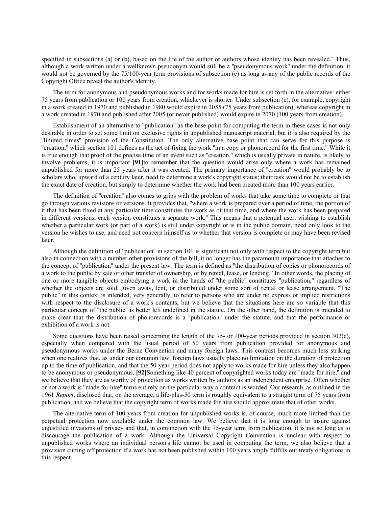specified in subsections (a) or (b), based on the life of the author or authors whose identity has been revealed.'' Thus, although a work written under a wellknown pseudonym would still be a ''pseudonymous work'' under the definition, it would not be governed by the 75/100-year term provisions of subsection (c) as long as any of the public records of the Copyright Office reveal the author's identity.

The term for anonymous and pseudonymous works and for works made for hire is set forth in the alternative: either 75 years from publication or 100 years from creation, whichever is shorter. Under subsection (c), for example, copyright in a work created in 1970 and published in 1980 would expire in 2055 (75 years from publication), whereas copyright in a work created in 1970 and published after 2005 (or never published) would expire in 2070 (100 years from creation).

Establishment of an alternative to ''publication'' as the base point for computing the term in these cases is not only desirable in order to set some limit on exclusive rights in unpublished manuscript material, but it is also required by the ''limited times'' provision of the Constitution. The only alternative base point that can serve for this purpose is "creation," which section 101 defines as the act of fixing the work "in a copy or phonorecord for the first time." While it is true enough that proof of the precise time of an event such as ''creation,'' which is usually private in nature, is likely to involve problems, it is important **[91]**to remember that the question would arise only where a work has remained unpublished for more than 25 years after it was created. The primary importance of ''creation'' would probably be to scholars who, upward of a century later, need to determine a work's copyright status; their task would not be to establish the exact date of creation, but simply to determine whether the work had been created more than 100 years earlier.

The definition of ''creation'' also comes to grips with the problem of works that take some time to complete or that go through various revisions or versions. It provides that, ''where a work is prepared over a period of time, the portion of it that has been fixed at any particular time constitutes the work as of that time, and where the work has been prepared in different versions, each version constitutes a separate work.'' This means that a potential user, wishing to establish whether a particular work (or part of a work) is still under copyright or is in the public domain, need only look to the version he wishes to use, and need not concern himself as to whether that version is complete or may have been revised later.

Although the definition of ''publication'' in section 101 is significant not only with respect to the copyright term but also in connection with a number other provisions of the bill, it no longer has the paramount importance that attaches to the concept of ''publication'' under the present law. The term is defined as ''the distribution of copies or phonorecords of a work to the public by sale or other transfer of ownership, or by rental, lease, or lending.'' In other words, the placing of one or more tangible objects embodying a work in the hands of ''the public'' constitutes ''publication,'' regardless of whether the objects are sold, given away, lent, or distributed under some sort of rental or lease arrangement. ''The public'' in this context is intended, very generally, to refer to persons who are under no express or implied restrictions with respect to the disclosure of a work's contents, but we believe that the situations here are so variable that this particular concept of ''the public'' is better left undefined in the statute. On the other hand, the definition is intended to make clear that the distribution of phonorecords is a ''publication'' under the statute, and that the performance or exhibition of a work is not.

Some questions have been raised concerning the length of the 75- or 100-year periods provided in section 302(c), especially when compared with the usual period of 50 years from publication provided for anonymous and pseudonymous works under the Berne Convention and many foreign laws. This contrast becomes much less striking when one realizes that, as under our common law, foreign laws usually place no limitation on the duration of protection up to the time of publication, and that the 50-year period does not apply to works made for hire unless they also happen to be anonymous or pseudonymous. **[92]**Something like 40 percent of copyrighted works today are ''made for hire,'' and we believe that they are as worthy of protection as works written by authors as an independent enterprise. Often whether or not a work is ''made for hire'' turns entirely on the particular way a contract is worded. Our research, as outlined in the 1961 *Report*, disclosed that, on the average, a life-plus-50 term is roughly equivalent to a straight term of 75 years from publication, and we believe that the copyright term of works made for hire should approximate that of other works.

The alternative term of 100 years from creation for unpublished works is, of course, much more limited than the perpetual protection now available under the common law. We believe that it is long enough to insure against unjustified invasions of privacy and that, in conjunction with the 75-year term from publication, it is not so long as to discourage the publication of a work. Although the Universal Copyright Convention is unclear with respect to unpublished works where an individual person's life cannot be used in computing the term, we also believe that a provision cutting off protection if a work has not been published within 100 years amply fulfills our treaty obligations in this respect.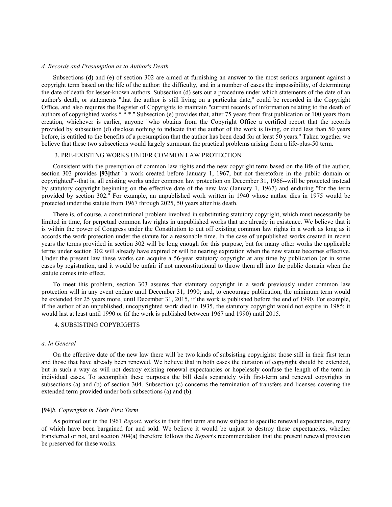### *d. Records and Presumption as to Author's Death*

Subsections (d) and (e) of section 302 are aimed at furnishing an answer to the most serious argument against a copyright term based on the life of the author: the difficulty, and in a number of cases the impossibility, of determining the date of death for lesser-known authors. Subsection (d) sets out a procedure under which statements of the date of an author's death, or statements ''that the author is still living on a particular date,'' could be recorded in the Copyright Office, and also requires the Register of Copyrights to maintain ''current records of information relating to the death of authors of copyrighted works \* \* \*.'' Subsection (e) provides that, after 75 years from first publication or 100 years from creation, whichever is earlier, anyone ''who obtains from the Copyright Office a certified report that the records provided by subsection (d) disclose nothing to indicate that the author of the work is living, or died less than 50 years before, is entitled to the benefits of a presumption that the author has been dead for at least 50 years.'' Taken together we believe that these two subsections would largely surmount the practical problems arising from a life-plus-50 term.

# 3. PRE-EXISTING WORKS UNDER COMMON LAW PROTECTION

Consistent with the preemption of common law rights and the new copyright term based on the life of the author, section 303 provides **[93]**that ''a work created before January 1, 1967, but not theretofore in the public domain or copyrighted''--that is, all existing works under common law protection on December 31, 1966--will be protected instead by statutory copyright beginning on the effective date of the new law (January 1, 1967) and enduring ''for the term provided by section 302.'' For example, an unpublished work written in 1940 whose author dies in 1975 would be protected under the statute from 1967 through 2025, 50 years after his death.

There is, of course, a constitutional problem involved in substituting statutory copyright, which must necessarily be limited in time, for perpetual common law rights in unpublished works that are already in existence. We believe that it is within the power of Congress under the Constitution to cut off existing common law rights in a work as long as it accords the work protection under the statute for a reasonable time. In the case of unpublished works created in recent years the terms provided in section 302 will be long enough for this purpose, but for many other works the applicable terms under section 302 will already have expired or will be nearing expiration when the new statute becomes effective. Under the present law these works can acquire a 56-year statutory copyright at any time by publication (or in some cases by registration, and it would be unfair if not unconstitutional to throw them all into the public domain when the statute comes into effect.

To meet this problem, section 303 assures that statutory copyright in a work previously under common law protection will in any event endure until December 31, 1990; and, to encourage publication, the minimum term would be extended for 25 years more, until December 31, 2015, if the work is published before the end of 1990. For example, if the author of an unpublished, uncopyrighted work died in 1935, the statutory copyright would not expire in 1985; it would last at least until 1990 or (if the work is published between 1967 and 1990) until 2015.

## 4. SUBSISTING COPYRIGHTS

### *a. In General*

On the effective date of the new law there will be two kinds of subsisting copyrights: those still in their first term and those that have already been renewed. We believe that in both cases the duration of copyright should be extended, but in such a way as will not destroy existing renewal expectancies or hopelessly confuse the length of the term in individual cases. To accomplish these purposes the bill deals separately with first-term and renewal copyrights in subsections (a) and (b) of section 304. Subsection (c) concerns the termination of transfers and licenses covering the extended term provided under both subsections (a) and (b).

### **[94]***b. Copyrights in Their First Term*

As pointed out in the 1961 *Report*, works in their first term are now subject to specific renewal expectancies, many of which have been bargained for and sold. We believe it would be unjust to destroy these expectancies, whether transferred or not, and section 304(a) therefore follows the *Report*'s recommendation that the present renewal provision be preserved for these works.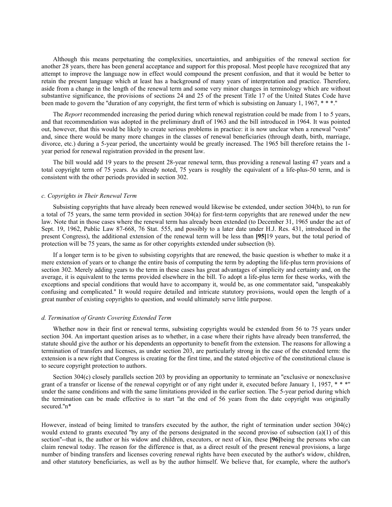Although this means perpetuating the complexities, uncertainties, and ambiguities of the renewal section for another 28 years, there has been general acceptance and support for this proposal. Most people have recognized that any attempt to improve the language now in effect would compound the present confusion, and that it would be better to retain the present language which at least has a background of many years of interpretation and practice. Therefore, aside from a change in the length of the renewal term and some very minor changes in terminology which are without substantive significance, the provisions of sections 24 and 25 of the present Title 17 of the United States Code have been made to govern the ''duration of any copyright, the first term of which is subsisting on January 1, 1967, \* \* \*.''

The *Report* recommended increasing the period during which renewal registration could be made from 1 to 5 years, and that recommendation was adopted in the preliminary draft of 1963 and the bill introduced in 1964. It was pointed out, however, that this would be likely to create serious problems in practice: it is now unclear when a renewal ''vests'' and, since there would be many more changes in the classes of renewal beneficiaries (through death, birth, marriage, divorce, etc.) during a 5-year period, the uncertainty would be greatly increased. The 1965 bill therefore retains the 1 year period for renewal registration provided in the present law.

The bill would add 19 years to the present 28-year renewal term, thus providing a renewal lasting 47 years and a total copyright term of 75 years. As already noted, 75 years is roughly the equivalent of a life-plus-50 term, and is consistent with the other periods provided in section 302.

#### *c. Copyrights in Their Renewal Term*

Subsisting copyrights that have already been renewed would likewise be extended, under section 304(b), to run for a total of 75 years, the same term provided in section  $304(a)$  for first-term copyrights that are renewed under the new law. Note that in those cases where the renewal term has already been extended (to December 31, 1965 under the act of Sept. 19, 1962, Public Law 87-668, 76 Stat. 555, and possibly to a later date under H.J. Res. 431, introduced in the present Congress), the additional extension of the renewal term will be less than **[95]**19 years, but the total period of protection will be 75 years, the same as for other copyrights extended under subsection (b).

If a longer term is to be given to subsisting copyrights that are renewed, the basic question is whether to make it a mere extension of years or to change the entire basis of computing the term by adopting the life-plus term provisions of section 302. Merely adding years to the term in these cases has great advantages of simplicity and certainty and, on the average, it is equivalent to the terms provided elsewhere in the bill. To adopt a life-plus term for these works, with the exceptions and special conditions that would have to accompany it, would be, as one commentator said, ''unspeakably confusing and complicated.'' It would require detailed and intricate statutory provisions, would open the length of a great number of existing copyrights to question, and would ultimately serve little purpose.

### *d. Termination of Grants Covering Extended Term*

Whether now in their first or renewal terms, subsisting copyrights would be extended from 56 to 75 years under section 304. An important question arises as to whether, in a case where their rights have already been transferred, the statute should give the author or his dependents an opportunity to benefit from the extension. The reasons for allowing a termination of transfers and licenses, as under section 203, are particularly strong in the case of the extended term: the extension is a new right that Congress is creating for the first time, and the stated objective of the constitutional clause is to secure copyright protection to authors.

Section 304(c) closely parallels section 203 by providing an opportunity to terminate an ''exclusive or nonexclusive grant of a transfer or license of the renewal copyright or of any right under it, executed before January 1, 1957, \* \* \*'' under the same conditions and with the same limitations provided in the earlier section. The 5-year period during which the termination can be made effective is to start ''at the end of 56 years from the date copyright was originally secured.''n\*

However, instead of being limited to transfers executed by the author, the right of termination under section 304(c) would extend to grants executed ''by any of the persons designated in the second proviso of subsection (a)(1) of this section''--that is, the author or his widow and children, executors, or next of kin, these **[96]**being the persons who can claim renewal today. The reason for the difference is that, as a direct result of the present renewal provisions, a large number of binding transfers and licenses covering renewal rights have been executed by the author's widow, children, and other statutory beneficiaries, as well as by the author himself. We believe that, for example, where the author's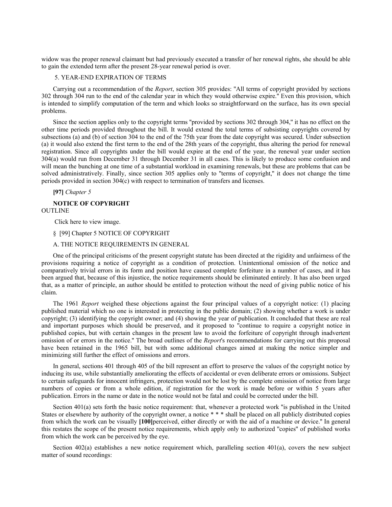widow was the proper renewal claimant but had previously executed a transfer of her renewal rights, she should be able to gain the extended term after the present 28-year renewal period is over.

# 5. YEAR-END EXPIRATION OF TERMS

Carrying out a recommendation of the *Report*, section 305 provides: ''All terms of copyright provided by sections 302 through 304 run to the end of the calendar year in which they would otherwise expire.'' Even this provision, which is intended to simplify computation of the term and which looks so straightforward on the surface, has its own special problems.

Since the section applies only to the copyright terms ''provided by sections 302 through 304,'' it has no effect on the other time periods provided throughout the bill. It would extend the total terms of subsisting copyrights covered by subsections (a) and (b) of section 304 to the end of the 75th year from the date copyright was secured. Under subsection (a) it would also extend the first term to the end of the 28th years of the copyright, thus altering the period for renewal registration. Since all copyrights under the bill would expire at the end of the year, the renewal year under section 304(a) would run from December 31 through December 31 in all cases. This is likely to produce some confusion and will mean the bunching at one time of a substantial workload in examining renewals, but these are problems that can be solved administratively. Finally, since section 305 applies only to ''terms of copyright,'' it does not change the time periods provided in section 304(c) with respect to termination of transfers and licenses.

**[97]** *Chapter 5*

## **NOTICE OF COPYRIGHT OUTLINE**

Click here to view image.

§ [99] Chapter 5 NOTICE OF COPYRIGHT

# A. THE NOTICE REQUIREMENTS IN GENERAL

One of the principal criticisms of the present copyright statute has been directed at the rigidity and unfairness of the provisions requiring a notice of copyright as a condition of protection. Unintentional omission of the notice and comparatively trivial errors in its form and position have caused complete forfeiture in a number of cases, and it has been argued that, because of this injustice, the notice requirements should be eliminated entirely. It has also been urged that, as a matter of principle, an author should be entitled to protection without the need of giving public notice of his claim.

The 1961 *Report* weighed these objections against the four principal values of a copyright notice: (1) placing published material which no one is interested in protecting in the public domain; (2) showing whether a work is under copyright; (3) identifying the copyright owner; and (4) showing the year of publication. It concluded that these are real and important purposes which should be preserved, and it proposed to ''continue to require a copyright notice in published copies, but with certain changes in the present law to avoid the forfeiture of copyright through inadvertent omission of or errors in the notice.'' The broad outlines of the *Report*'s recommendations for carrying out this proposal have been retained in the 1965 bill, but with some additional changes aimed at making the notice simpler and minimizing still further the effect of omissions and errors.

In general, sections 401 through 405 of the bill represent an effort to preserve the values of the copyright notice by inducing its use, while substantially ameliorating the effects of accidental or even deliberate errors or omissions. Subject to certain safeguards for innocent infringers, protection would not be lost by the complete omission of notice from large numbers of copies or from a whole edition, if registration for the work is made before or within 5 years after publication. Errors in the name or date in the notice would not be fatal and could be corrected under the bill.

Section 401(a) sets forth the basic notice requirement: that, whenever a protected work ''is published in the United States or elsewhere by authority of the copyright owner, a notice \* \* \* shall be placed on all publicly distributed copies from which the work can be visually **[100]**perceived, either directly or with the aid of a machine or device.'' In general this restates the scope of the present notice requirements, which apply only to authorized ''copies'' of published works from which the work can be perceived by the eye.

Section 402(a) establishes a new notice requirement which, paralleling section 401(a), covers the new subject matter of sound recordings: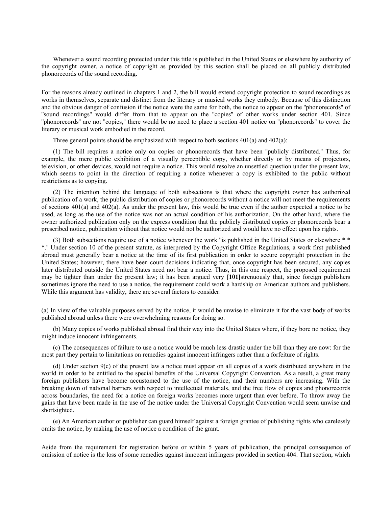Whenever a sound recording protected under this title is published in the United States or elsewhere by authority of the copyright owner, a notice of copyright as provided by this section shall be placed on all publicly distributed phonorecords of the sound recording.

For the reasons already outlined in chapters 1 and 2, the bill would extend copyright protection to sound recordings as works in themselves, separate and distinct from the literary or musical works they embody. Because of this distinction and the obvious danger of confusion if the notice were the same for both, the notice to appear on the ''phonorecords'' of ''sound recordings'' would differ from that to appear on the ''copies'' of other works under section 401. Since ''phonorecords'' are not ''copies,'' there would be no need to place a section 401 notice on ''phonorecords'' to cover the literary or musical work embodied in the record.

Three general points should be emphasized with respect to both sections 401(a) and 402(a):

(1) The bill requires a notice only on copies or phonorecords that have been ''publicly distributed.'' Thus, for example, the mere public exhibition of a visually perceptible copy, whether directly or by means of projectors, television, or other devices, would not require a notice. This would resolve an unsettled question under the present law, which seems to point in the direction of requiring a notice whenever a copy is exhibited to the public without restrictions as to copying.

(2) The intention behind the language of both subsections is that where the copyright owner has authorized publication of a work, the public distribution of copies or phonorecords without a notice will not meet the requirements of sections 401(a) and 402(a). As under the present law, this would be true even if the author expected a notice to be used, as long as the use of the notice was not an actual condition of his authorization. On the other hand, where the owner authorized publication only on the express condition that the publicly distributed copies or phonorecords bear a prescribed notice, publication without that notice would not be authorized and would have no effect upon his rights.

(3) Both subsections require use of a notice whenever the work ''is published in the United States or elsewhere \* \* \*.'' Under section 10 of the present statute, as interpreted by the Copyright Office Regulations, a work first published abroad must generally bear a notice at the time of its first publication in order to secure copyright protection in the United States; however, there have been court decisions indicating that, once copyright has been secured, any copies later distributed outside the United States need not bear a notice. Thus, in this one respect, the proposed requirement may be tighter than under the present law; it has been argued very **[101]**strenuously that, since foreign publishers sometimes ignore the need to use a notice, the requirement could work a hardship on American authors and publishers. While this argument has validity, there are several factors to consider:

(a) In view of the valuable purposes served by the notice, it would be unwise to eliminate it for the vast body of works published abroad unless there were overwhelming reasons for doing so.

(b) Many copies of works published abroad find their way into the United States where, if they bore no notice, they might induce innocent infringements.

(c) The consequences of failure to use a notice would be much less drastic under the bill than they are now: for the most part they pertain to limitations on remedies against innocent infringers rather than a forfeiture of rights.

(d) Under section 9(c) of the present law a notice must appear on all copies of a work distributed anywhere in the world in order to be entitled to the special benefits of the Universal Copyright Convention. As a result, a great many foreign publishers have become accustomed to the use of the notice, and their numbers are increasing. With the breaking down of national barriers with respect to intellectual materials, and the free flow of copies and phonorecords across boundaries, the need for a notice on foreign works becomes more urgent than ever before. To throw away the gains that have been made in the use of the notice under the Universal Copyright Convention would seem unwise and shortsighted.

(e) An American author or publisher can guard himself against a foreign grantee of publishing rights who carelessly omits the notice, by making the use of notice a condition of the grant.

Aside from the requirement for registration before or within 5 years of publication, the principal consequence of omission of notice is the loss of some remedies against innocent infringers provided in section 404. That section, which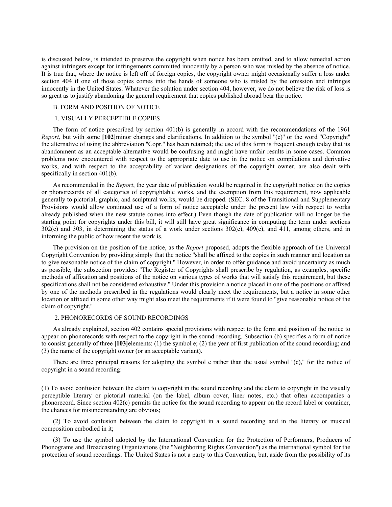is discussed below, is intended to preserve the copyright when notice has been omitted, and to allow remedial action against infringers except for infringements committed innocently by a person who was misled by the absence of notice. It is true that, where the notice is left off of foreign copies, the copyright owner might occasionally suffer a loss under section 404 if one of those copies comes into the hands of someone who is misled by the omission and infringes innocently in the United States. Whatever the solution under section 404, however, we do not believe the risk of loss is so great as to justify abandoning the general requirement that copies published abroad bear the notice.

# B. FORM AND POSITION OF NOTICE

## 1. VISUALLY PERCEPTIBLE COPIES

The form of notice prescribed by section 401(b) is generally in accord with the recommendations of the 1961 *Report*, but with some **[102]**minor changes and clarifications. In addition to the symbol ''(c)'' or the word ''Copyright'' the alternative of using the abbreviation ''Copr.'' has been retained; the use of this form is frequent enough today that its abandonment as an acceptable alternative would be confusing and might have unfair results in some cases. Common problems now encountered with respect to the appropriate date to use in the notice on compilations and derivative works, and with respect to the acceptability of variant designations of the copyright owner, are also dealt with specifically in section 401(b).

As recommended in the *Report*, the year date of publication would be required in the copyright notice on the copies or phonorecords of all categories of copyrightable works, and the exemption from this requirement, now applicable generally to pictorial, graphic, and sculptural works, would be dropped. (SEC. 8 of the Transitional and Supplementary Provisions would allow continued use of a form of notice acceptable under the present law with respect to works already published when the new statute comes into effect.) Even though the date of publication will no longer be the starting point for copyrights under this bill, it will still have great significance in computing the term under sections 302(c) and 303, in determining the status of a work under sections 302(e), 409(c), and 411, among others, and in informing the public of how recent the work is.

The provision on the position of the notice, as the *Report* proposed, adopts the flexible approach of the Universal Copyright Convention by providing simply that the notice ''shall be affixed to the copies in such manner and location as to give reasonable notice of the claim of copyright.'' However, in order to offer guidance and avoid uncertainty as much as possible, the subsection provides: ''The Register of Copyrights shall prescribe by regulation, as examples, specific methods of affixation and positions of the notice on various types of works that will satisfy this requirement, but these specifications shall not be considered exhaustive.'' Under this provision a notice placed in one of the positions or affixed by one of the methods prescribed in the regulations would clearly meet the requirements, but a notice in some other location or affixed in some other way might also meet the requirements if it were found to ''give reasonable notice of the claim of copyright.''

### 2. PHONORECORDS OF SOUND RECORDINGS

As already explained, section 402 contains special provisions with respect to the form and position of the notice to appear on phonorecords with respect to the copyright in the sound recording. Subsection (b) specifies a form of notice to consist generally of three **[103]**elements: (1) the symbol e; (2) the year of first publication of the sound recording; and (3) the name of the copyright owner (or an acceptable variant).

There are three principal reasons for adopting the symbol e rather than the usual symbol "(c)," for the notice of copyright in a sound recording:

(1) To avoid confusion between the claim to copyright in the sound recording and the claim to copyright in the visually perceptible literary or pictorial material (on the label, album cover, liner notes, etc.) that often accompanies a phonorecord. Since section 402(c) permits the notice for the sound recording to appear on the record label or container, the chances for misunderstanding are obvious;

(2) To avoid confusion between the claim to copyright in a sound recording and in the literary or musical composition embodied in it;

(3) To use the symbol adopted by the International Convention for the Protection of Performers, Producers of Phonograms and Broadcasting Organizations (the ''Neighboring Rights Convention'') as the international symbol for the protection of sound recordings. The United States is not a party to this Convention, but, aside from the possibility of its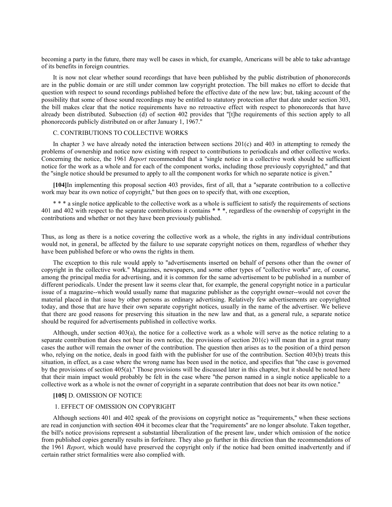becoming a party in the future, there may well be cases in which, for example, Americans will be able to take advantage of its benefits in foreign countries.

It is now not clear whether sound recordings that have been published by the public distribution of phonorecords are in the public domain or are still under common law copyright protection. The bill makes no effort to decide that question with respect to sound recordings published before the effective date of the new law; but, taking account of the possibility that some of those sound recordings may be entitled to statutory protection after that date under section 303, the bill makes clear that the notice requirements have no retroactive effect with respect to phonorecords that have already been distributed. Subsection (d) of section 402 provides that ''[t]he requirements of this section apply to all phonorecords publicly distributed on or after January 1, 1967.''

# C. CONTRIBUTIONS TO COLLECTIVE WORKS

In chapter 3 we have already noted the interaction between sections 201(c) and 403 in attempting to remedy the problems of ownership and notice now existing with respect to contributions to periodicals and other collective works. Concerning the notice, the 1961 *Report* recommended that a ''single notice in a collective work should be sufficient notice for the work as a whole and for each of the component works, including those previously copyrighted,'' and that the ''single notice should be presumed to apply to all the component works for which no separate notice is given.''

**[104]**In implementing this proposal section 403 provides, first of all, that a ''separate contribution to a collective work may bear its own notice of copyright,'' but then goes on to specify that, with one exception,

\* \* \* a single notice applicable to the collective work as a whole is sufficient to satisfy the requirements of sections 401 and 402 with respect to the separate contributions it contains \* \* \*, regardless of the ownership of copyright in the contributions and whether or not they have been previously published.

Thus, as long as there is a notice covering the collective work as a whole, the rights in any individual contributions would not, in general, be affected by the failure to use separate copyright notices on them, regardless of whether they have been published before or who owns the rights in them.

The exception to this rule would apply to ''advertisements inserted on behalf of persons other than the owner of copyright in the collective work.'' Magazines, newspapers, and some other types of ''collective works'' are, of course, among the principal media for advertising, and it is common for the same advertisement to be published in a number of different periodicals. Under the present law it seems clear that, for example, the general copyright notice in a particular issue of a magazine--which would usually name that magazine publisher as the copyright owner--would not cover the material placed in that issue by other persons as ordinary advertising. Relatively few advertisements are copyrighted today, and those that are have their own separate copyright notices, usually in the name of the advertiser. We believe that there are good reasons for preserving this situation in the new law and that, as a general rule, a separate notice should be required for advertisements published in collective works.

Although, under section 403(a), the notice for a collective work as a whole will serve as the notice relating to a separate contribution that does not bear its own notice, the provisions of section  $201(c)$  will mean that in a great many cases the author will remain the owner of the contribution. The question then arises as to the position of a third person who, relying on the notice, deals in good faith with the publisher for use of the contribution. Section 403(b) treats this situation, in effect, as a case where the wrong name has been used in the notice, and specifies that ''the case is governed by the provisions of section 405(a).'' Those provisions will be discussed later in this chapter, but it should be noted here that their main impact would probably be felt in the case where ''the person named in a single notice applicable to a collective work as a whole is not the owner of copyright in a separate contribution that does not bear its own notice.''

## **[105]** D. OMISSION OF NOTICE

# 1. EFFECT OF OMISSION ON COPYRIGHT

Although sections 401 and 402 speak of the provisions on copyright notice as ''requirements,'' when these sections are read in conjunction with section 404 it becomes clear that the ''requirements'' are no longer absolute. Taken together, the bill's notice provisions represent a substantial liberalization of the present law, under which omission of the notice from published copies generally results in forfeiture. They also go further in this direction than the recommendations of the 1961 *Report*, which would have preserved the copyright only if the notice had been omitted inadvertently and if certain rather strict formalities were also complied with.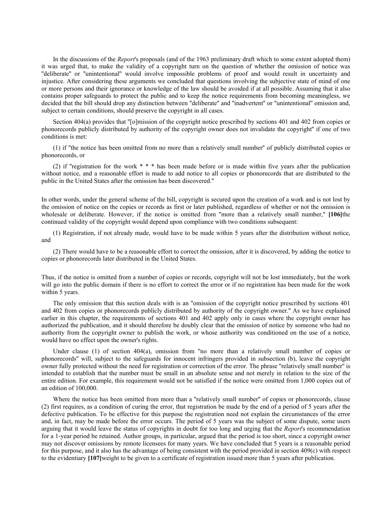In the discussions of the *Report*'s proposals (and of the 1963 preliminary draft which to some extent adopted them) it was urged that, to make the validity of a copyright turn on the question of whether the omission of notice was "deliberate" or "unintentional" would involve impossible problems of proof and would result in uncertainty and injustice. After considering these arguments we concluded that questions involving the subjective state of mind of one or more persons and their ignorance or knowledge of the law should be avoided if at all possible. Assuming that it also contains proper safeguards to protect the public and to keep the notice requirements from becoming meaningless, we decided that the bill should drop any distinction between ''deliberate'' and ''inadvertent'' or ''unintentional'' omission and, subject to certain conditions, should preserve the copyright in all cases.

Section 404(a) provides that ''[o]mission of the copyright notice prescribed by sections 401 and 402 from copies or phonorecords publicly distributed by authority of the copyright owner does not invalidate the copyright'' if one of two conditions is met:

(1) if ''the notice has been omitted from no more than a relatively small number'' of publicly distributed copies or phonorecords, or

(2) if ''registration for the work \* \* \* has been made before or is made within five years after the publication without notice, and a reasonable effort is made to add notice to all copies or phonorecords that are distributed to the public in the United States after the omission has been discovered.''

In other words, under the general scheme of the bill, copyright is secured upon the creation of a work and is not lost by the omission of notice on the copies or records as first or later published, regardless of whether or not the omission is wholesale or deliberate. However, if the notice is omitted from ''more than a relatively small number,'' **[106]**the continued validity of the copyright would depend upon compliance with two conditions subsequent:

(1) Registration, if not already made, would have to be made within 5 years after the distribution without notice, and

(2) There would have to be a reasonable effort to correct the omission, after it is discovered, by adding the notice to copies or phonorecords later distributed in the United States.

Thus, if the notice is omitted from a number of copies or records, copyright will not be lost immediately, but the work will go into the public domain if there is no effort to correct the error or if no registration has been made for the work within 5 years.

The only omission that this section deals with is an ''omission of the copyright notice prescribed by sections 401 and 402 from copies or phonorecords publicly distributed by authority of the copyright owner.'' As we have explained earlier in this chapter, the requirements of sections 401 and 402 apply only in cases where the copyright owner has authorized the publication, and it should therefore be doubly clear that the omission of notice by someone who had no authority from the copyright owner to publish the work, or whose authority was conditioned on the use of a notice, would have no effect upon the owner's rights.

Under clause (1) of section 404(a), omission from ''no more than a relatively small number of copies or phonorecords'' will, subject to the safeguards for innocent infringers provided in subsection (b), leave the copyright owner fully protected without the need for registration or correction of the error. The phrase ''relatively small number'' is intended to establish that the number must be small in an absolute sense and not merely in relation to the size of the entire edition. For example, this requirement would not be satisfied if the notice were omitted from 1,000 copies out of an edition of 100,000.

Where the notice has been omitted from more than a "relatively small number" of copies or phonorecords, clause (2) first requires, as a condition of curing the error, that registration be made by the end of a period of 5 years after the defective publication. To be effective for this purpose the registration need not explain the circumstances of the error and, in fact, may be made before the error occurs. The period of 5 years was the subject of some dispute, some users arguing that it would leave the status of copyrights in doubt for too long and urging that the *Report*'s recommendation for a 1-year period be retained. Author groups, in particular, argued that the period is too short, since a copyright owner may not discover omissions by remote licensees for many years. We have concluded that 5 years is a reasonable period for this purpose, and it also has the advantage of being consistent with the period provided in section 409(c) with respect to the evidentiary **[107]**weight to be given to a certificate of registration issued more than 5 years after publication.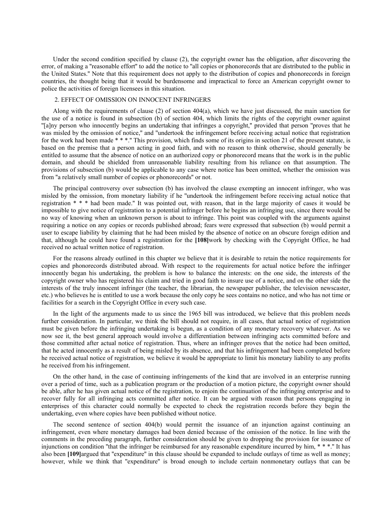Under the second condition specified by clause (2), the copyright owner has the obligation, after discovering the error, of making a ''reasonable effort'' to add the notice to ''all copies or phonorecords that are distributed to the public in the United States.'' Note that this requirement does not apply to the distribution of copies and phonorecords in foreign countries, the thought being that it would be burdensome and impractical to force an American copyright owner to police the activities of foreign licensees in this situation.

### 2. EFFECT OF OMISSION ON INNOCENT INFRINGERS

Along with the requirements of clause (2) of section 404(a), which we have just discussed, the main sanction for the use of a notice is found in subsection (b) of section 404, which limits the rights of the copyright owner against "[a]ny person who innocently begins an undertaking that infringes a copyright," provided that person "proves that he was misled by the omission of notice,'' and ''undertook the infringement before receiving actual notice that registration for the work had been made \* \* \*.'' This provision, which finds some of its origins in section 21 of the present statute, is based on the premise that a person acting in good faith, and with no reason to think otherwise, should generally be entitled to assume that the absence of notice on an authorized copy or phonorecord means that the work is in the public domain, and should be shielded from unreasonable liability resulting from his reliance on that assumption. The provisions of subsection (b) would be applicable to any case where notice has been omitted, whether the omission was from ''a relatively small number of copies or phonorecords'' or not.

The principal controversy over subsection (b) has involved the clause exempting an innocent infringer, who was misled by the omission, from monetary liability if he ''undertook the infringement before receiving actual notice that registration \* \* \* had been made.'' It was pointed out, with reason, that in the large majority of cases it would be impossible to give notice of registration to a potential infringer before he begins an infringing use, since there would be no way of knowing when an unknown person is about to infringe. This point was coupled with the arguments against requiring a notice on any copies or records published abroad; fears were expressed that subsection (b) would permit a user to escape liability by claiming that he had been misled by the absence of notice on an obscure foreign edition and that, although he could have found a registration for the **[108]**work by checking with the Copyright Office, he had received no actual written notice of registration.

For the reasons already outlined in this chapter we believe that it is desirable to retain the notice requirements for copies and phonorecords distributed abroad. With respect to the requirements for actual notice before the infringer innocently began his undertaking, the problem is how to balance the interests: on the one side, the interests of the copyright owner who has registered his claim and tried in good faith to insure use of a notice, and on the other side the interests of the truly innocent infringer (the teacher, the librarian, the newspaper publisher, the television newscaster, etc.) who believes he is entitled to use a work because the only copy he sees contains no notice, and who has not time or facilities for a search in the Copyright Office in every such case.

In the light of the arguments made to us since the 1965 bill was introduced, we believe that this problem needs further consideration. In particular, we think the bill should not require, in all cases, that actual notice of registration must be given before the infringing undertaking is begun, as a condition of any monetary recovery whatever. As we now see it, the best general approach would involve a differentiation between infringing acts committed before and those committed after actual notice of registration. Thus, where an infringer proves that the notice had been omitted, that he acted innocently as a result of being misled by its absence, and that his infringement had been completed before he received actual notice of registration, we believe it would be appropriate to limit his monetary liability to any profits he received from his infringement.

On the other hand, in the case of continuing infringements of the kind that are involved in an enterprise running over a period of time, such as a publication program or the production of a motion picture, the copyright owner should be able, after he has given actual notice of the registration, to enjoin the continuation of the infringing enterprise and to recover fully for all infringing acts committed after notice. It can be argued with reason that persons engaging in enterprises of this character could normally be expected to check the registration records before they begin the undertaking, even where copies have been published without notice.

The second sentence of section 404(b) would permit the issuance of an injunction against continuing an infringement, even where monetary damages had been denied because of the omission of the notice. In line with the comments in the preceding paragraph, further consideration should be given to dropping the provision for issuance of injunctions on condition ''that the infringer be reimbursed for any reasonable expenditure incurred by him, \* \* \*.'' It has also been [109]argued that "expenditure" in this clause should be expanded to include outlays of time as well as money; however, while we think that "expenditure" is broad enough to include certain nonmonetary outlays that can be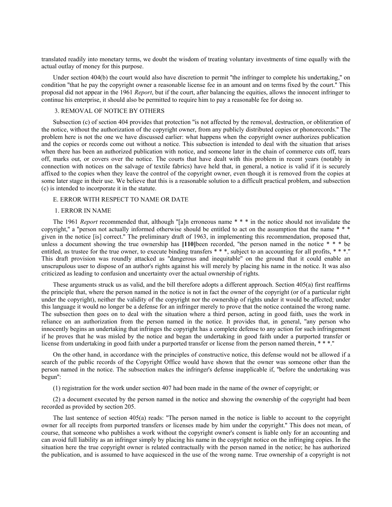translated readily into monetary terms, we doubt the wisdom of treating voluntary investments of time equally with the actual outlay of money for this purpose.

Under section 404(b) the court would also have discretion to permit ''the infringer to complete his undertaking,'' on condition ''that he pay the copyright owner a reasonable license fee in an amount and on terms fixed by the court.'' This proposal did not appear in the 1961 *Report*, but if the court, after balancing the equities, allows the innocent infringer to continue his enterprise, it should also be permitted to require him to pay a reasonable fee for doing so.

## 3. REMOVAL OF NOTICE BY OTHERS

Subsection (c) of section 404 provides that protection "is not affected by the removal, destruction, or obliteration of the notice, without the authorization of the copyright owner, from any publicly distributed copies or phonorecords.'' The problem here is not the one we have discussed earlier: what happens when the copyright owner authorizes publication and the copies or records come out without a notice. This subsection is intended to deal with the situation that arises when there has been an authorized publication with notice, and someone later in the chain of commerce cuts off, tears off, marks out, or covers over the notice. The courts that have dealt with this problem in recent years (notably in connection with notices on the salvage of textile fabrics) have held that, in general, a notice is valid if it is securely affixed to the copies when they leave the control of the copyright owner, even though it is removed from the copies at some later stage in their use. We believe that this is a reasonable solution to a difficult practical problem, and subsection (c) is intended to incorporate it in the statute.

### E. ERROR WITH RESPECT TO NAME OR DATE

### 1. ERROR IN NAME

The 1961 *Report* recommended that, although ''[a]n erroneous name \* \* \* in the notice should not invalidate the copyright," a "person not actually informed otherwise should be entitled to act on the assumption that the name \* \* \* given in the notice [is] correct.'' The preliminary draft of 1963, in implementing this recommendation, proposed that, unless a document showing the true ownership has **[110]**been recorded, ''the person named in the notice \* \* \* be entitled, as trustee for the true owner, to execute binding transfers \* \* \*, subject to an accounting for all profits, \* \* \*.'' This draft provision was roundly attacked as ''dangerous and inequitable'' on the ground that it could enable an unscrupulous user to dispose of an author's rights against his will merely by placing his name in the notice. It was also criticized as leading to confusion and uncertainty over the actual ownership of rights.

These arguments struck us as valid, and the bill therefore adopts a different approach. Section 405(a) first reaffirms the principle that, where the person named in the notice is not in fact the owner of the copyright (or of a particular right under the copyright), neither the validity of the copyright nor the ownership of rights under it would be affected; under this language it would no longer be a defense for an infringer merely to prove that the notice contained the wrong name. The subsection then goes on to deal with the situation where a third person, acting in good faith, uses the work in reliance on an authorization from the person named in the notice. It provides that, in general, ''any person who innocently begins an undertaking that infringes the copyright has a complete defense to any action for such infringement if he proves that he was misled by the notice and began the undertaking in good faith under a purported transfer or license from undertaking in good faith under a purported transfer or license from the person named therein, \*\*\*."

On the other hand, in accordance with the principles of constructive notice, this defense would not be allowed if a search of the public records of the Copyright Office would have shown that the owner was someone other than the person named in the notice. The subsection makes the infringer's defense inapplicable if, ''before the undertaking was begun'':

(1) registration for the work under section 407 had been made in the name of the owner of copyright; or

(2) a document executed by the person named in the notice and showing the ownership of the copyright had been recorded as provided by section 205.

The last sentence of section 405(a) reads: ''The person named in the notice is liable to account to the copyright owner for all receipts from purported transfers or licenses made by him under the copyright.'' This does not mean, of course, that someone who publishes a work without the copyright owner's consent is liable only for an accounting and can avoid full liability as an infringer simply by placing his name in the copyright notice on the infringing copies. In the situation here the true copyright owner is related contractually with the person named in the notice; he has authorized the publication, and is assumed to have acquiesced in the use of the wrong name. True ownership of a copyright is not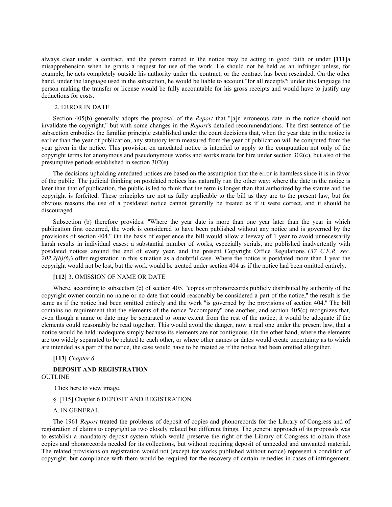always clear under a contract, and the person named in the notice may be acting in good faith or under **[111]**a misapprehension when he grants a request for use of the work. He should not be held as an infringer unless, for example, he acts completely outside his authority under the contract, or the contract has been rescinded. On the other hand, under the language used in the subsection, he would be liable to account ''for all receipts''; under this language the person making the transfer or license would be fully accountable for his gross receipts and would have to justify any deductions for costs.

## 2. ERROR IN DATE

Section 405(b) generally adopts the proposal of the *Report* that ''[a]n erroneous date in the notice should not invalidate the copyright,'' but with some changes in the *Report*'s detailed recommendations. The first sentence of the subsection embodies the familiar principle established under the court decisions that, when the year date in the notice is earlier than the year of publication, any statutory term measured from the year of publication will be computed from the year given in the notice. This provision on antedated notice is intended to apply to the computation not only of the copyright terms for anonymous and pseudonymous works and works made for hire under section 302(c), but also of the presumptive periods established in section 302(e).

The decisions upholding antedated notices are based on the assumption that the error is harmless since it is in favor of the public. The judicial thinking on postdated notices has naturally run the other way: where the date in the notice is later than that of publication, the public is led to think that the term is longer than that authorized by the statute and the copyright is forfeited. These principles are not as fully applicable to the bill as they are to the present law, but for obvious reasons the use of a postdated notice cannot generally be treated as if it were correct, and it should be discouraged.

Subsection (b) therefore provides: ''Where the year date is more than one year later than the year in which publication first occurred, the work is considered to have been published without any notice and is governed by the provisions of section 404.'' On the basis of experience the bill would allow a leeway of 1 year to avoid unnecessarily harsh results in individual cases: a substantial number of works, especially serials, are published inadvertently with postdated notices around the end of every year, and the present Copyright Office Regulations (*37 C.F.R. sec. 202.2(b)(6)*) offer registration in this situation as a doubtful case. Where the notice is postdated more than 1 year the copyright would not be lost, but the work would be treated under section 404 as if the notice had been omitted entirely.

### **[112]** 3. OMISSION OF NAME OR DATE

Where, according to subsection (c) of section 405, "copies or phonorecords publicly distributed by authority of the copyright owner contain no name or no date that could reasonably be considered a part of the notice,'' the result is the same as if the notice had been omitted entirely and the work ''is governed by the provisions of section 404.'' The bill contains no requirement that the elements of the notice ''accompany'' one another, and section 405(c) recognizes that, even though a name or date may be separated to some extent from the rest of the notice, it would be adequate if the elements could reasonably be read together. This would avoid the danger, now a real one under the present law, that a notice would be held inadequate simply because its elements are not contiguous. On the other hand, where the elements are too widely separated to be related to each other, or where other names or dates would create uncertainty as to which are intended as a part of the notice, the case would have to be treated as if the notice had been omitted altogether.

# **[113]** *Chapter 6*

## **DEPOSIT AND REGISTRATION**

**OUTLINE** 

Click here to view image.

# § [115] Chapter 6 DEPOSIT AND REGISTRATION

### A. IN GENERAL

The 1961 *Report* treated the problems of deposit of copies and phonorecords for the Library of Congress and of registration of claims to copyright as two closely related but different things. The general approach of its proposals was to establish a mandatory deposit system which would preserve the right of the Library of Congress to obtain those copies and phonorecords needed for its collections, but without requiring deposit of unneeded and unwanted material. The related provisions on registration would not (except for works published without notice) represent a condition of copyright, but compliance with them would be required for the recovery of certain remedies in cases of infringement.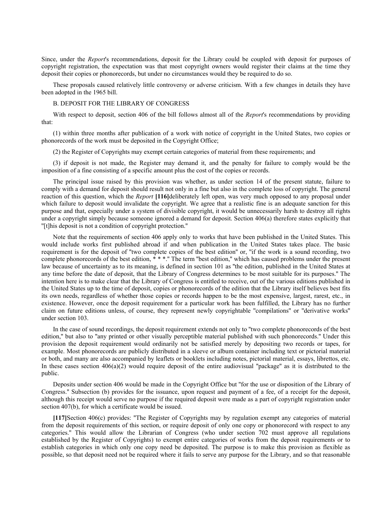Since, under the *Report*'s recommendations, deposit for the Library could be coupled with deposit for purposes of copyright registration, the expectation was that most copyright owners would register their claims at the time they deposit their copies or phonorecords, but under no circumstances would they be required to do so.

These proposals caused relatively little controversy or adverse criticism. With a few changes in details they have been adopted in the 1965 bill.

## B. DEPOSIT FOR THE LIBRARY OF CONGRESS

With respect to deposit, section 406 of the bill follows almost all of the *Report*'s recommendations by providing that:

(1) within three months after publication of a work with notice of copyright in the United States, two copies or phonorecords of the work must be deposited in the Copyright Office;

(2) the Register of Copyrights may exempt certain categories of material from these requirements; and

(3) if deposit is not made, the Register may demand it, and the penalty for failure to comply would be the imposition of a fine consisting of a specific amount plus the cost of the copies or records.

The principal issue raised by this provision was whether, as under section 14 of the present statute, failure to comply with a demand for deposit should result not only in a fine but also in the complete loss of copyright. The general reaction of this question, which the *Report* **[116]**deliberately left open, was very much opposed to any proposal under which failure to deposit would invalidate the copyright. We agree that a realistic fine is an adequate sanction for this purpose and that, especially under a system of divisible copyright, it would be unnecessarily harsh to destroy all rights under a copyright simply because someone ignored a demand for deposit. Section 406(a) therefore states explicitly that ''[t]his deposit is not a condition of copyright protection.''

Note that the requirements of section 406 apply only to works that have been published in the United States. This would include works first published abroad if and when publication in the United States takes place. The basic requirement is for the deposit of ''two complete copies of the best edition'' or, ''if the work is a sound recording, two complete phonorecords of the best edition, \* \* \*.'' The term ''best edition,'' which has caused problems under the present law because of uncertainty as to its meaning, is defined in section 101 as ''the edition, published in the United States at any time before the date of deposit, that the Library of Congress determines to be most suitable for its purposes.'' The intention here is to make clear that the Library of Congress is entitled to receive, out of the various editions published in the United States up to the time of deposit, copies or phonorecords of the edition that the Library itself believes best fits its own needs, regardless of whether those copies or records happen to be the most expensive, largest, rarest, etc., in existence. However, once the deposit requirement for a particular work has been fulfilled, the Library has no further claim on future editions unless, of course, they represent newly copyrightable ''compilations'' or ''derivative works'' under section 103.

In the case of sound recordings, the deposit requirement extends not only to ''two complete phonorecords of the best edition,'' but also to ''any printed or other visually perceptible material published with such phonorecords.'' Under this provision the deposit requirement would ordinarily not be satisfied merely by depositing two records or tapes, for example. Most phonorecords are publicly distributed in a sleeve or album container including text or pictorial material or both, and many are also accompanied by leaflets or booklets including notes, pictorial material, essays, librettos, etc. In these cases section  $406(a)(2)$  would require deposit of the entire audiovisual "package" as it is distributed to the public.

Deposits under section 406 would be made in the Copyright Office but ''for the use or disposition of the Library of Congress.'' Subsection (b) provides for the issuance, upon request and payment of a fee, of a receipt for the deposit, although this receipt would serve no purpose if the required deposit were made as a part of copyright registration under section 407(b), for which a certificate would be issued.

**[117]**Section 406(c) provides: ''The Register of Copyrights may by regulation exempt any categories of material from the deposit requirements of this section, or require deposit of only one copy or phonorecord with respect to any categories.'' This would allow the Librarian of Congress (who under section 702 must approve all regulations established by the Register of Copyrights) to exempt entire categories of works from the deposit requirements or to establish categories in which only one copy need be deposited. The purpose is to make this provision as flexible as possible, so that deposit need not be required where it fails to serve any purpose for the Library, and so that reasonable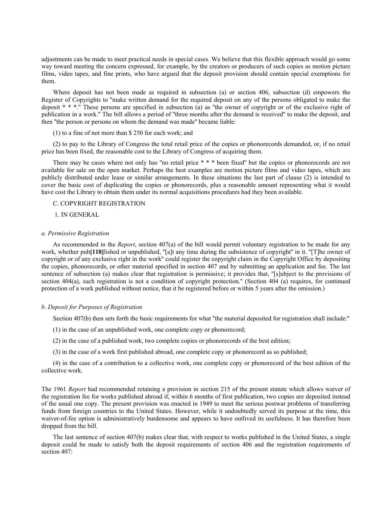adjustments can be made to meet practical needs in special cases. We believe that this flexible approach would go some way toward meeting the concern expressed, for example, by the creators or producers of such copies as motion picture films, video tapes, and fine prints, who have argued that the deposit provision should contain special exemptions for them.

Where deposit has not been made as required in subsection (a) or section 406, subsection (d) empowers the Register of Copyrights to ''make written demand for the required deposit on any of the persons obligated to make the deposit  $* * *$ ." These persons are specified in subsection (a) as "the owner of copyright or of the exclusive right of publication in a work.'' The bill allows a period of ''three months after the demand is received'' to make the deposit, and then ''the person or persons on whom the demand was made'' became liable:

(1) to a fine of not more than \$ 250 for each work; and

(2) to pay to the Library of Congress the total retail price of the copies or phonorecords demanded, or, if no retail price has been fixed, the reasonable cost to the Library of Congress of acquiring them.

There may be cases where not only has ''no retail price \* \* \* been fixed'' but the copies or phonorecords are not available for sale on the open market. Perhaps the best examples are motion picture films and video tapes, which are publicly distributed under lease or similar arrangements. In these situations the last part of clause (2) is intended to cover the basic cost of duplicating the copies or phonorecords, plus a reasonable amount representing what it would have cost the Library to obtain them under its normal acquisitions procedures had they been available.

## C. COPYRIGHT REGISTRATION

1. IN GENERAL

### *a. Permissive Registration*

As recommended in the *Report*, section 407(a) of the bill would permit voluntary registration to be made for any work, whether pub<sup>[118]</sup>lished or unpublished, "[a]t any time during the subsistence of copyright" in it. "[T]he owner of copyright or of any exclusive right in the work'' could register the copyright claim in the Copyright Office by depositing the copies, phonorecords, or other material specified in section 407 and by submitting an application and fee. The last sentence of subsection (a) makes clear that registration is permissive; it provides that, ''[s]ubject to the provisions of section 404(a), such registration is not a condition of copyright protection.'' (Section 404 (a) requires, for continued protection of a work published without notice, that it be registered before or within 5 years after the omission.)

### *b. Deposit for Purposes of Registration*

Section 407(b) then sets forth the basic requirements for what ''the material deposited for registration shall include:''

- (1) in the case of an unpublished work, one complete copy or phonorecord;
- (2) in the case of a published work, two complete copies or phonorecords of the best edition;
- (3) in the case of a work first published abroad, one complete copy or phonorecord as so published;

(4) in the case of a contribution to a collective work, one complete copy or phonorecord of the best edition of the collective work.

The 1961 *Report* had recommended retaining a provision in section 215 of the present statute which allows waiver of the registration fee for works published abroad if, within 6 months of first publication, two copies are deposited instead of the usual one copy. The present provision was enacted in 1949 to meet the serious postwar problems of transferring funds from foreign countries to the United States. However, while it undoubtedly served its purpose at the time, this waiver-of-fee option is administratively burdensome and appears to have outlived its usefulness. It has therefore been dropped from the bill.

The last sentence of section 407(b) makes clear that, with respect to works published in the United States, a single deposit could be made to satisfy both the deposit requirements of section 406 and the registration requirements of section 407: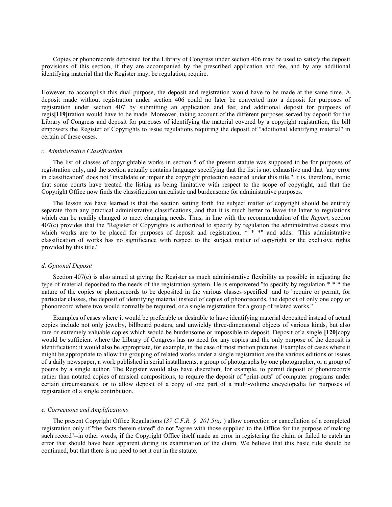Copies or phonorecords deposited for the Library of Congress under section 406 may be used to satisfy the deposit provisions of this section, if they are accompanied by the prescribed application and fee, and by any additional identifying material that the Register may, be regulation, require.

However, to accomplish this dual purpose, the deposit and registration would have to be made at the same time. A deposit made without registration under section 406 could no later be converted into a deposit for purposes of registration under section 407 by submitting an application and fee; and additional deposit for purposes of regis**[119]**tration would have to be made. Moreover, taking account of the different purposes served by deposit for the Library of Congress and deposit for purposes of identifying the material covered by a copyright registration, the bill empowers the Register of Copyrights to issue regulations requiring the deposit of ''additional identifying material'' in certain of these cases.

## *c. Administrative Classification*

The list of classes of copyrightable works in section 5 of the present statute was supposed to be for purposes of registration only, and the section actually contains language specifying that the list is not exhaustive and that ''any error in classification'' does not ''invalidate or impair the copyright protection secured under this title.'' It is, therefore, ironic that some courts have treated the listing as being limitative with respect to the scope of copyright, and that the Copyright Office now finds the classification unrealistic and burdensome for administrative purposes.

The lesson we have learned is that the section setting forth the subject matter of copyright should be entirely separate from any practical administrative classifications, and that it is much better to leave the latter to regulations which can be readily changed to meet changing needs. Thus, in line with the recommendation of the *Report*, section 407(c) provides that the ''Register of Copyrights is authorized to specify by regulation the administrative classes into which works are to be placed for purposes of deposit and registration, \* \* \*" and adds: "This administrative classification of works has no significance with respect to the subject matter of copyright or the exclusive rights provided by this title.''

### *d. Optional Deposit*

Section 407(c) is also aimed at giving the Register as much administrative flexibility as possible in adjusting the type of material deposited to the needs of the registration system. He is empowered ''to specify by regulation \* \* \* the nature of the copies or phonorecords to be deposited in the various classes specified'' and to ''require or permit, for particular classes, the deposit of identifying material instead of copies of phonorecords, the deposit of only one copy or phonorecord where two would normally be required, or a single registration for a group of related works.''

Examples of cases where it would be preferable or desirable to have identifying material deposited instead of actual copies include not only jewelry, billboard posters, and unwieldy three-dimensional objects of various kinds, but also rare or extremely valuable copies which would be burdensome or impossible to deposit. Deposit of a single **[120]**copy would be sufficient where the Library of Congress has no need for any copies and the only purpose of the deposit is identification; it would also be appropriate, for example, in the case of most motion pictures. Examples of cases where it might be appropriate to allow the grouping of related works under a single registration are the various editions or issues of a daily newspaper, a work published in serial installments, a group of photographs by one photographer, or a group of poems by a single author. The Register would also have discretion, for example, to permit deposit of phonorecords rather than notated copies of musical compositions, to require the deposit of ''print-outs'' of computer programs under certain circumstances, or to allow deposit of a copy of one part of a multi-volume encyclopedia for purposes of registration of a single contribution.

### *e. Corrections and Amplifications*

The present Copyright Office Regulations (*37 C.F.R. § 201.5(a)* ) allow correction or cancellation of a completed registration only if ''the facts therein stated'' do not ''agree with those supplied to the Office for the purpose of making such record''--in other words, if the Copyright Office itself made an error in registering the claim or failed to catch an error that should have been apparent during its examination of the claim. We believe that this basic rule should be continued, but that there is no need to set it out in the statute.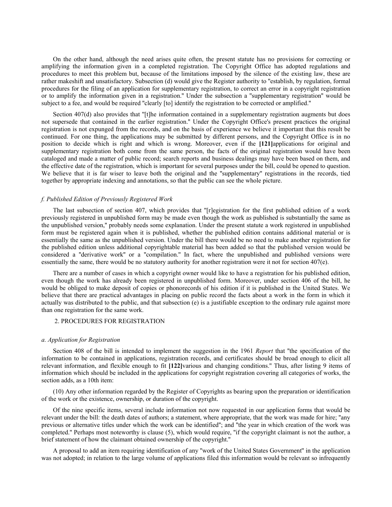On the other hand, although the need arises quite often, the present statute has no provisions for correcting or amplifying the information given in a completed registration. The Copyright Office has adopted regulations and procedures to meet this problem but, because of the limitations imposed by the silence of the existing law, these are rather makeshift and unsatisfactory. Subsection (d) would give the Register authority to ''establish, by regulation, formal procedures for the filing of an application for supplementary registration, to correct an error in a copyright registration or to amplify the information given in a registration.'' Under the subsection a ''supplementary registration'' would be subject to a fee, and would be required ''clearly [to] identify the registration to be corrected or amplified.''

Section 407(d) also provides that "[t]he information contained in a supplementary registration augments but does not supersede that contained in the earlier registration.'' Under the Copyright Office's present practices the original registration is not expunged from the records, and on the basis of experience we believe it important that this result be continued. For one thing, the applications may be submitted by different persons, and the Copyright Office is in no position to decide which is right and which is wrong. Moreover, even if the **[121]**applications for original and supplementary registration both come from the same person, the facts of the original registration would have been cataloged and made a matter of public record; search reports and business dealings may have been based on them, and the effective date of the registration, which is important for several purposes under the bill, could be opened to question. We believe that it is far wiser to leave both the original and the "supplementary" registrations in the records, tied together by appropriate indexing and annotations, so that the public can see the whole picture.

### *f. Published Edition of Previously Registered Work*

The last subsection of section 407, which provides that "[r]egistration for the first published edition of a work previously registered in unpublished form may be made even though the work as published is substantially the same as the unpublished version,'' probably needs some explanation. Under the present statute a work registered in unpublished form must be registered again when it is published, whether the published edition contains additional material or is essentially the same as the unpublished version. Under the bill there would be no need to make another registration for the published edition unless additional copyrightable material has been added so that the published version would be considered a ''derivative work'' or a ''compilation.'' In fact, where the unpublished and published versions were essentially the same, there would be no statutory authority for another registration were it not for section 407(e).

There are a number of cases in which a copyright owner would like to have a registration for his published edition, even though the work has already been registered in unpublished form. Moreover, under section 406 of the bill, he would be obliged to make deposit of copies or phonorecords of his edition if it is published in the United States. We believe that there are practical advantages in placing on public record the facts about a work in the form in which it actually was distributed to the public, and that subsection (e) is a justifiable exception to the ordinary rule against more than one registration for the same work.

## 2. PROCEDURES FOR REGISTRATION

### *a. Application for Registration*

Section 408 of the bill is intended to implement the suggestion in the 1961 *Report* that ''the specification of the information to be contained in applications, registration records, and certificates should be broad enough to elicit all relevant information, and flexible enough to fit **[122]**various and changing conditions.'' Thus, after listing 9 items of information which should be included in the applications for copyright registration covering all categories of works, the section adds, as a 10th item:

(10) Any other information regarded by the Register of Copyrights as bearing upon the preparation or identification of the work or the existence, ownership, or duration of the copyright.

Of the nine specific items, several include information not now requested in our application forms that would be relevant under the bill: the death dates of authors; a statement, where appropriate, that the work was made for hire; ''any previous or alternative titles under which the work can be identified''; and ''the year in which creation of the work was completed.'' Perhaps most noteworthy is clause (5), which would require, ''if the copyright claimant is not the author, a brief statement of how the claimant obtained ownership of the copyright.''

A proposal to add an item requiring identification of any ''work of the United States Government'' in the application was not adopted; in relation to the large volume of applications filed this information would be relevant so infrequently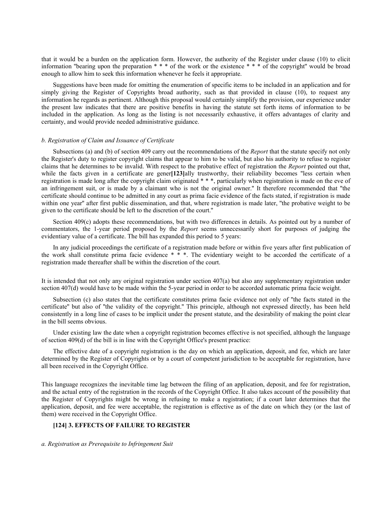that it would be a burden on the application form. However, the authority of the Register under clause (10) to elicit information ''bearing upon the preparation \* \* \* of the work or the existence \* \* \* of the copyright'' would be broad enough to allow him to seek this information whenever he feels it appropriate.

Suggestions have been made for omitting the enumeration of specific items to be included in an application and for simply giving the Register of Copyrights broad authority, such as that provided in clause (10), to request any information he regards as pertinent. Although this proposal would certainly simplify the provision, our experience under the present law indicates that there are positive benefits in having the statute set forth items of information to be included in the application. As long as the listing is not necessarily exhaustive, it offers advantages of clarity and certainty, and would provide needed administrative guidance.

# *b. Registration of Claim and Issuance of Certificate*

Subsections (a) and (b) of section 409 carry out the recommendations of the *Report* that the statute specify not only the Register's duty to register copyright claims that appear to him to be valid, but also his authority to refuse to register claims that he determines to be invalid. With respect to the probative effect of registration the *Report* pointed out that, while the facts given in a certificate are gener<sup>[123]</sup>ally trustworthy, their reliability becomes "less certain when registration is made long after the copyright claim originated \* \* \*, particularly when registration is made on the eve of an infringement suit, or is made by a claimant who is not the original owner.'' It therefore recommended that ''the certificate should continue to be admitted in any court as prima facie evidence of the facts stated, if registration is made within one year'' after first public dissemination, and that, where registration is made later, ''the probative weight to be given to the certificate should be left to the discretion of the court.''

Section 409(c) adopts these recommendations, but with two differences in details. As pointed out by a number of commentators, the 1-year period proposed by the *Report* seems unnecessarily short for purposes of judging the evidentiary value of a certificate. The bill has expanded this period to 5 years:

In any judicial proceedings the certificate of a registration made before or within five years after first publication of the work shall constitute prima facie evidence  $* * *$ . The evidentiary weight to be accorded the certificate of a registration made thereafter shall be within the discretion of the court.

It is intended that not only any original registration under section 407(a) but also any supplementary registration under section 407(d) would have to be made within the 5-year period in order to be accorded automatic prima facie weight.

Subsection (c) also states that the certificate constitutes prima facie evidence not only of ''the facts stated in the certificate'' but also of ''the validity of the copyright.'' This principle, although not expressed directly, has been held consistently in a long line of cases to be implicit under the present statute, and the desirability of making the point clear in the bill seems obvious.

Under existing law the date when a copyright registration becomes effective is not specified, although the language of section 409(d) of the bill is in line with the Copyright Office's present practice:

The effective date of a copyright registration is the day on which an application, deposit, and fee, which are later determined by the Register of Copyrights or by a court of competent jurisdiction to be acceptable for registration, have all been received in the Copyright Office.

This language recognizes the inevitable time lag between the filing of an application, deposit, and fee for registration, and the actual entry of the registration in the records of the Copyright Office. It also takes account of the possibility that the Register of Copyrights might be wrong in refusing to make a registration; if a court later determines that the application, deposit, and fee were acceptable, the registration is effective as of the date on which they (or the last of them) were received in the Copyright Office.

# **[124] 3. EFFECTS OF FAILURE TO REGISTER**

*a. Registration as Prerequisite to Infringement Suit*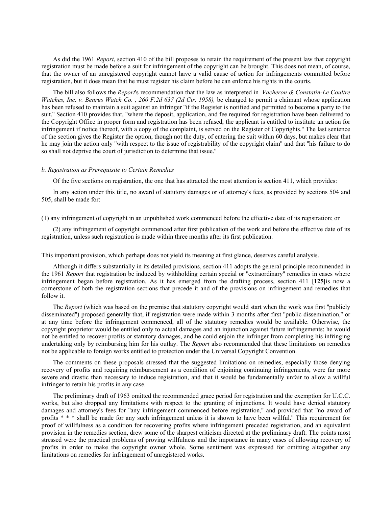As did the 1961 *Report*, section 410 of the bill proposes to retain the requirement of the present law that copyright registration must be made before a suit for infringement of the copyright can be brought. This does not mean, of course, that the owner of an unregistered copyright cannot have a valid cause of action for infringements committed before registration, but it does mean that he must register his claim before he can enforce his rights in the courts.

The bill also follows the *Report*'s recommendation that the law as interpreted in *Vacheron & Constatin-Le Coultre Watches, Inc. v. Benrus Watch Co. , 260 F.2d 637 (2d Cir. 1958),* be changed to permit a claimant whose application has been refused to maintain a suit against an infringer ''if the Register is notified and permitted to become a party to the suit.'' Section 410 provides that, ''where the deposit, application, and fee required for registration have been delivered to the Copyright Office in proper form and registration has been refused, the applicant is entitled to institute an action for infringement if notice thereof, with a copy of the complaint, is served on the Register of Copyrights.'' The last sentence of the section gives the Register the option, though not the duty, of entering the suit within 60 days, but makes clear that he may join the action only ''with respect to the issue of registrability of the copyright claim'' and that ''his failure to do so shall not deprive the court of jurisdiction to determine that issue.''

### *b. Registration as Prerequisite to Certain Remedies*

Of the five sections on registration, the one that has attracted the most attention is section 411, which provides:

In any action under this title, no award of statutory damages or of attorney's fees, as provided by sections 504 and 505, shall be made for:

(1) any infringement of copyright in an unpublished work commenced before the effective date of its registration; or

(2) any infringement of copyright commenced after first publication of the work and before the effective date of its registration, unless such registration is made within three months after its first publication.

This important provision, which perhaps does not yield its meaning at first glance, deserves careful analysis.

Although it differs substantially in its detailed provisions, section 411 adopts the general principle recommended in the 1961 *Report* that registration be induced by withholding certain special or "extraordinary" remedies in cases where infringement began before registration. As it has emerged from the drafting process, section 411 **[125]**is now a cornerstone of both the registration sections that precede it and of the provisions on infringement and remedies that follow it.

The *Report* (which was based on the premise that statutory copyright would start when the work was first ''publicly disseminated'') proposed generally that, if registration were made within 3 months after first ''public dissemination,'' or at any time before the infringement commenced, all of the statutory remedies would be available. Otherwise, the copyright proprietor would be entitled only to actual damages and an injunction against future infringements; he would not be entitled to recover profits or statutory damages, and he could enjoin the infringer from completing his infringing undertaking only by reimbursing him for his outlay. The *Report* also recommended that these limitations on remedies not be applicable to foreign works entitled to protection under the Universal Copyright Convention.

The comments on these proposals stressed that the suggested limitations on remedies, especially those denying recovery of profits and requiring reimbursement as a condition of enjoining continuing infringements, were far more severe and drastic than necessary to induce registration, and that it would be fundamentally unfair to allow a willful infringer to retain his profits in any case.

The preliminary draft of 1963 omitted the recommended grace period for registration and the exemption for U.C.C. works, but also dropped any limitations with respect to the granting of injunctions. It would have denied statutory damages and attorney's fees for ''any infringement commenced before registration,'' and provided that ''no award of profits \* \* \* shall be made for any such infringement unless it is shown to have been willful.'' This requirement for proof of willfulness as a condition for recovering profits where infringement preceded registration, and an equivalent provision in the remedies section, drew some of the sharpest criticism directed at the preliminary draft. The points most stressed were the practical problems of proving willfulness and the importance in many cases of allowing recovery of profits in order to make the copyright owner whole. Some sentiment was expressed for omitting altogether any limitations on remedies for infringement of unregistered works.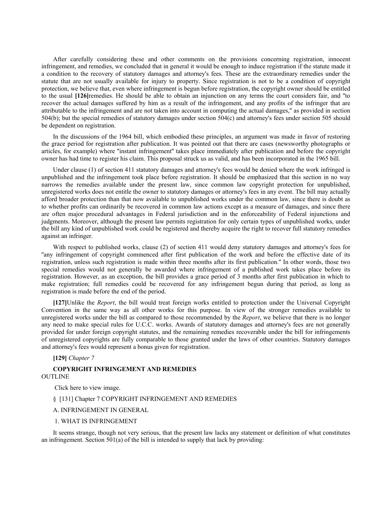After carefully considering these and other comments on the provisions concerning registration, innocent infringement, and remedies, we concluded that in general it would be enough to induce registration if the statute made it a condition to the recovery of statutory damages and attorney's fees. These are the extraordinary remedies under the statute that are not usually available for injury to property. Since registration is not to be a condition of copyright protection, we believe that, even where infringement is begun before registration, the copyright owner should be entitled to the usual **[126]**remedies. He should be able to obtain an injunction on any terms the court considers fair, and ''to recover the actual damages suffered by him as a result of the infringement, and any profits of the infringer that are attributable to the infringement and are not taken into account in computing the actual damages,'' as provided in section  $504(b)$ ; but the special remedies of statutory damages under section  $504(c)$  and attorney's fees under section  $505$  should be dependent on registration.

In the discussions of the 1964 bill, which embodied these principles, an argument was made in favor of restoring the grace period for registration after publication. It was pointed out that there are cases (newsworthy photographs or articles, for example) where ''instant infringement'' takes place immediately after publication and before the copyright owner has had time to register his claim. This proposal struck us as valid, and has been incorporated in the 1965 bill.

Under clause (1) of section 411 statutory damages and attorney's fees would be denied where the work infringed is unpublished and the infringement took place before registration. It should be emphasized that this section in no way narrows the remedies available under the present law, since common law copyright protection for unpublished, unregistered works does not entitle the owner to statutory damages or attorney's fees in any event. The bill may actually afford broader protection than that now available to unpublished works under the common law, since there is doubt as to whether profits can ordinarily be recovered in common law actions except as a measure of damages, and since there are often major procedural advantages in Federal jurisdiction and in the enforceability of Federal injunctions and judgments. Moreover, although the present law permits registration for only certain types of unpublished works, under the bill any kind of unpublished work could be registered and thereby acquire the right to recover full statutory remedies against an infringer.

With respect to published works, clause (2) of section 411 would deny statutory damages and attorney's fees for ''any infringement of copyright commenced after first publication of the work and before the effective date of its registration, unless such registration is made within three months after its first publication.'' In other words, those two special remedies would not generally be awarded where infringement of a published work takes place before its registration. However, as an exception, the bill provides a grace period of 3 months after first publication in which to make registration; full remedies could be recovered for any infringement begun during that period, as long as registration is made before the end of the period.

**[127]**Unlike the *Report*, the bill would treat foreign works entitled to protection under the Universal Copyright Convention in the same way as all other works for this purpose. In view of the stronger remedies available to unregistered works under the bill as compared to those recommended by the *Report*, we believe that there is no longer any need to make special rules for U.C.C. works. Awards of statutory damages and attorney's fees are not generally provided for under foreign copyright statutes, and the remaining remedies recoverable under the bill for infringements of unregistered copyrights are fully comparable to those granted under the laws of other countries. Statutory damages and attorney's fees would represent a bonus given for registration.

**[129]** *Chapter 7*

#### **COPYRIGHT INFRINGEMENT AND REMEDIES** OUTLINE

Click here to view image.

#### § [131] Chapter 7 COPYRIGHT INFRINGEMENT AND REMEDIES

### A. INFRINGEMENT IN GENERAL

#### 1. WHAT IS INFRINGEMENT

It seems strange, though not very serious, that the present law lacks any statement or definition of what constitutes an infringement. Section 501(a) of the bill is intended to supply that lack by providing: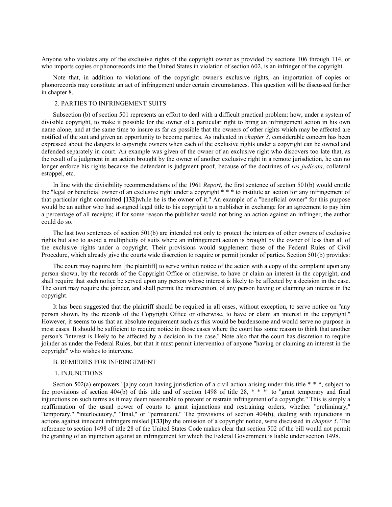Anyone who violates any of the exclusive rights of the copyright owner as provided by sections 106 through 114, or who imports copies or phonorecords into the United States in violation of section 602, is an infringer of the copyright.

Note that, in addition to violations of the copyright owner's exclusive rights, an importation of copies or phonorecords may constitute an act of infringement under certain circumstances. This question will be discussed further in chapter 8.

## 2. PARTIES TO INFRINGEMENT SUITS

Subsection (b) of section 501 represents an effort to deal with a difficult practical problem: how, under a system of divisible copyright, to make it possible for the owner of a particular right to bring an infringement action in his own name alone, and at the same time to insure as far as possible that the owners of other rights which may be affected are notified of the suit and given an opportunity to become parties. As indicated in *chapter 3*, considerable concern has been expressed about the dangers to copyright owners when each of the exclusive rights under a copyright can be owned and defended separately in court. An example was given of the owner of an exclusive right who discovers too late that, as the result of a judgment in an action brought by the owner of another exclusive right in a remote jurisdiction, he can no longer enforce his rights because the defendant is judgment proof, because of the doctrines of *res judicata*, collateral estoppel, etc.

In line with the divisibility recommendations of the 1961 *Report*, the first sentence of section 501(b) would entitle the ''legal or beneficial owner of an exclusive right under a copyright \* \* \* to institute an action for any infringement of that particular right committed **[132]**while he is the owner of it.'' An example of a ''beneficial owner'' for this purpose would be an author who had assigned legal title to his copyright to a publisher in exchange for an agreement to pay him a percentage of all receipts; if for some reason the publisher would not bring an action against an infringer, the author could do so.

The last two sentences of section 501(b) are intended not only to protect the interests of other owners of exclusive rights but also to avoid a multiplicity of suits where an infringement action is brought by the owner of less than all of the exclusive rights under a copyright. Their provisions would supplement those of the Federal Rules of Civil Procedure, which already give the courts wide discretion to require or permit joinder of parties. Section 501(b) provides:

The court may require him [the plaintiff] to serve written notice of the action with a copy of the complaint upon any person shown, by the records of the Copyright Office or otherwise, to have or claim an interest in the copyright, and shall require that such notice be served upon any person whose interest is likely to be affected by a decision in the case. The court may require the joinder, and shall permit the intervention, of any person having or claiming an interest in the copyright.

It has been suggested that the plaintiff should be required in all cases, without exception, to serve notice on ''any person shown, by the records of the Copyright Office or otherwise, to have or claim an interest in the copyright.'' However, it seems to us that an absolute requirement such as this would be burdensome and would serve no purpose in most cases. It should be sufficient to require notice in those cases where the court has some reason to think that another person's ''interest is likely to be affected by a decision in the case.'' Note also that the court has discretion to require joinder as under the Federal Rules, but that it must permit intervention of anyone ''having or claiming an interest in the copyright'' who wishes to intervene.

### B. REMEDIES FOR INFRINGEMENT

#### 1. INJUNCTIONS

Section 502(a) empowers "[a]ny court having jurisdiction of a civil action arising under this title  $**$ , subject to the provisions of section 404(b) of this title and of section 1498 of title 28,  $* * * "$  to "grant temporary and final injunctions on such terms as it may deem reasonable to prevent or restrain infringement of a copyright.'' This is simply a reaffirmation of the usual power of courts to grant injunctions and restraining orders, whether ''preliminary,'' ''temporary,'' ''interlocutory,'' ''final,'' or ''permanent.'' The provisions of section 404(b), dealing with injunctions in actions against innocent infringers misled **[133]**by the omission of a copyright notice, were discussed in *chapter 5*. The reference to section 1498 of title 28 of the United States Code makes clear that section 502 of the bill would not permit the granting of an injunction against an infringement for which the Federal Government is liable under section 1498.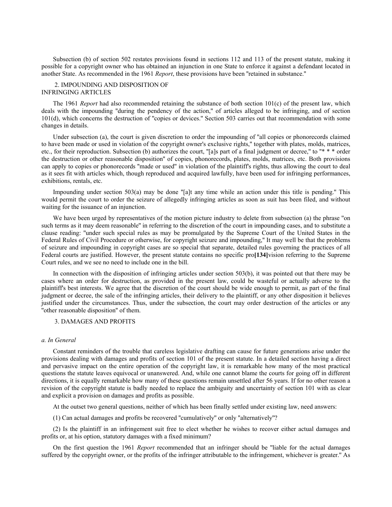Subsection (b) of section 502 restates provisions found in sections 112 and 113 of the present statute, making it possible for a copyright owner who has obtained an injunction in one State to enforce it against a defendant located in another State. As recommended in the 1961 *Report*, these provisions have been ''retained in substance.''

## 2. IMPOUNDING AND DISPOSITION OF INFRINGING ARTICLES

The 1961 *Report* had also recommended retaining the substance of both section 101(c) of the present law, which deals with the impounding ''during the pendency of the action,'' of articles alleged to be infringing, and of section 101(d), which concerns the destruction of ''copies or devices.'' Section 503 carries out that recommendation with some changes in details.

Under subsection (a), the court is given discretion to order the impounding of ''all copies or phonorecords claimed to have been made or used in violation of the copyright owner's exclusive rights,'' together with plates, molds, matrices, etc., for their reproduction. Subsection (b) authorizes the court, ''[a]s part of a final judgment or decree,'' to ''\* \* \* order the destruction or other reasonable disposition'' of copies, phonorecords, plates, molds, matrices, etc. Both provisions can apply to copies or phonorecords ''made or used'' in violation of the plaintiff's rights, thus allowing the court to deal as it sees fit with articles which, though reproduced and acquired lawfully, have been used for infringing performances, exhibitions, rentals, etc.

Impounding under section 503(a) may be done ''[a]t any time while an action under this title is pending.'' This would permit the court to order the seizure of allegedly infringing articles as soon as suit has been filed, and without waiting for the issuance of an injunction.

We have been urged by representatives of the motion picture industry to delete from subsection (a) the phrase "on such terms as it may deem reasonable'' in referring to the discretion of the court in impounding cases, and to substitute a clause reading: ''under such special rules as may be promulgated by the Supreme Court of the United States in the Federal Rules of Civil Procedure or otherwise, for copyright seizure and impounding,'' It may well be that the problems of seizure and impounding in copyright cases are so special that separate, detailed rules governing the practices of all Federal courts are justified. However, the present statute contains no specific pro**[134]**vision referring to the Supreme Court rules, and we see no need to include one in the bill.

In connection with the disposition of infringing articles under section 503(b), it was pointed out that there may be cases where an order for destruction, as provided in the present law, could be wasteful or actually adverse to the plaintiff's best interests. We agree that the discretion of the court should be wide enough to permit, as part of the final judgment or decree, the sale of the infringing articles, their delivery to the plaintiff, or any other disposition it believes justified under the circumstances. Thus, under the subsection, the court may order destruction of the articles or any ''other reasonable disposition'' of them.

# 3. DAMAGES AND PROFITS

#### *a. In General*

Constant reminders of the trouble that careless legislative drafting can cause for future generations arise under the provisions dealing with damages and profits of section 101 of the present statute. In a detailed section having a direct and pervasive impact on the entire operation of the copyright law, it is remarkable how many of the most practical questions the statute leaves equivocal or unanswered. And, while one cannot blame the courts for going off in different directions, it is equally remarkable how many of these questions remain unsettled after 56 years. If for no other reason a revision of the copyright statute is badly needed to replace the ambiguity and uncertainty of section 101 with as clear and explicit a provision on damages and profits as possible.

At the outset two general questions, neither of which has been finally settled under existing law, need answers:

(1) Can actual damages and profits be recovered ''cumulatively'' or only ''alternatively''?

(2) Is the plaintiff in an infringement suit free to elect whether he wishes to recover either actual damages and profits or, at his option, statutory damages with a fixed minimum?

On the first question the 1961 *Report* recommended that an infringer should be ''liable for the actual damages suffered by the copyright owner, or the profits of the infringer attributable to the infringement, whichever is greater.'' As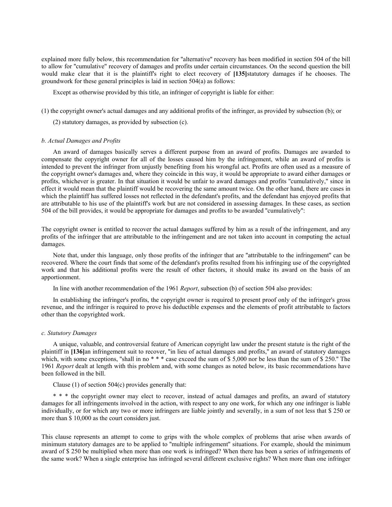explained more fully below, this recommendation for ''alternative'' recovery has been modified in section 504 of the bill to allow for ''cumulative'' recovery of damages and profits under certain circumstances. On the second question the bill would make clear that it is the plaintiff's right to elect recovery of **[135]**statutory damages if he chooses. The groundwork for these general principles is laid in section 504(a) as follows:

Except as otherwise provided by this title, an infringer of copyright is liable for either:

(1) the copyright owner's actual damages and any additional profits of the infringer, as provided by subsection (b); or

(2) statutory damages, as provided by subsection (c).

## *b. Actual Damages and Profits*

An award of damages basically serves a different purpose from an award of profits. Damages are awarded to compensate the copyright owner for all of the losses caused him by the infringement, while an award of profits is intended to prevent the infringer from unjustly benefiting from his wrongful act. Profits are often used as a measure of the copyright owner's damages and, where they coincide in this way, it would be appropriate to award either damages or profits, whichever is greater. In that situation it would be unfair to award damages and profits ''cumulatively,'' since in effect it would mean that the plaintiff would be recovering the same amount twice. On the other hand, there are cases in which the plaintiff has suffered losses not reflected in the defendant's profits, and the defendant has enjoyed profits that are attributable to his use of the plaintiff's work but are not considered in assessing damages. In these cases, as section 504 of the bill provides, it would be appropriate for damages and profits to be awarded ''cumulatively'':

The copyright owner is entitled to recover the actual damages suffered by him as a result of the infringement, and any profits of the infringer that are attributable to the infringement and are not taken into account in computing the actual damages.

Note that, under this language, only those profits of the infringer that are "attributable to the infringement" can be recovered. Where the court finds that some of the defendant's profits resulted from his infringing use of the copyrighted work and that his additional profits were the result of other factors, it should make its award on the basis of an apportionment.

In line with another recommendation of the 1961 *Report*, subsection (b) of section 504 also provides:

In establishing the infringer's profits, the copyright owner is required to present proof only of the infringer's gross revenue, and the infringer is required to prove his deductible expenses and the elements of profit attributable to factors other than the copyrighted work.

#### *c. Statutory Damages*

A unique, valuable, and controversial feature of American copyright law under the present statute is the right of the plaintiff in **[136]**an infringement suit to recover, ''in lieu of actual damages and profits,'' an award of statutory damages which, with some exceptions, "shall in no \*\*\* case exceed the sum of \$ 5,000 nor be less than the sum of \$ 250." The 1961 *Report* dealt at length with this problem and, with some changes as noted below, its basic recommendations have been followed in the bill.

Clause (1) of section 504(c) provides generally that:

\* \* \* the copyright owner may elect to recover, instead of actual damages and profits, an award of statutory damages for all infringements involved in the action, with respect to any one work, for which any one infringer is liable individually, or for which any two or more infringers are liable jointly and severally, in a sum of not less that \$ 250 or more than \$ 10,000 as the court considers just.

This clause represents an attempt to come to grips with the whole complex of problems that arise when awards of minimum statutory damages are to be applied to ''multiple infringement'' situations. For example, should the minimum award of \$ 250 be multiplied when more than one work is infringed? When there has been a series of infringements of the same work? When a single enterprise has infringed several different exclusive rights? When more than one infringer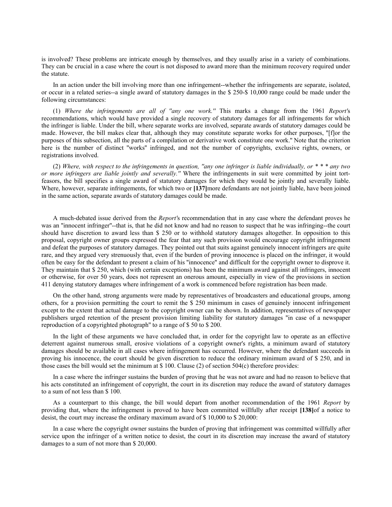is involved? These problems are intricate enough by themselves, and they usually arise in a variety of combinations. They can be crucial in a case where the court is not disposed to award more than the minimum recovery required under the statute.

In an action under the bill involving more than one infringement--whether the infringements are separate, isolated, or occur in a related series--a single award of statutory damages in the \$ 250-\$ 10,000 range could be made under the following circumstances:

(1) *Where the infringements are all of ''any one work.''* This marks a change from the 1961 *Report'*s recommendations, which would have provided a single recovery of statutory damages for all infringements for which the infringer is liable. Under the bill, where separate works are involved, separate awards of statutory damages could be made. However, the bill makes clear that, although they may constitute separate works for other purposes, "[f]or the purposes of this subsection, all the parts of a compilation or derivative work constitute one work.'' Note that the criterion here is the number of distinct ''works'' infringed, and not the number of copyrights, exclusive rights, owners, or registrations involved.

(2) *Where, with respect to the infringements in question, ''any one infringer is liable individually, or \* \* \* any two or more infringers are liable jointly and severally.''* Where the infringements in suit were committed by joint tortfeasors, the bill specifies a single award of statutory damages for which they would be jointly and severally liable. Where, however, separate infringements, for which two or **[137]**more defendants are not jointly liable, have been joined in the same action, separate awards of statutory damages could be made.

A much-debated issue derived from the *Report'*s recommendation that in any case where the defendant proves he was an ''innocent infringer''--that is, that he did not know and had no reason to suspect that he was infringing--the court should have discretion to award less than \$ 250 or to withhold statutory damages altogether. In opposition to this proposal, copyright owner groups expressed the fear that any such provision would encourage copyright infringement and defeat the purposes of statutory damages. They pointed out that suits against genuinely innocent infringers are quite rare, and they argued very strenuously that, even if the burden of proving innocence is placed on the infringer, it would often be easy for the defendant to present a claim of his ''innocence'' and difficult for the copyright owner to disprove it. They maintain that \$ 250, which (with certain exceptions) has been the minimum award against all infringers, innocent or otherwise, for over 50 years, does not represent an onerous amount, especially in view of the provisions in section 411 denying statutory damages where infringement of a work is commenced before registration has been made.

On the other hand, strong arguments were made by representatives of broadcasters and educational groups, among others, for a provision permitting the court to remit the \$ 250 minimum in cases of genuinely innocent infringement except to the extent that actual damage to the copyright owner can be shown. In addition, representatives of newspaper publishers urged retention of the present provision limiting liability for statutory damages ''in case of a newspaper reproduction of a copyrighted photograph'' to a range of \$ 50 to \$ 200.

In the light of these arguments we have concluded that, in order for the copyright law to operate as an effective deterrent against numerous small, erosive violations of a copyright owner's rights, a minimum award of statutory damages should be available in all cases where infringement has occurred. However, where the defendant succeeds in proving his innocence, the court should be given discretion to reduce the ordinary minimum award of \$ 250, and in those cases the bill would set the minimum at \$ 100. Clause (2) of section 504(c) therefore provides:

In a case where the infringer sustains the burden of proving that he was not aware and had no reason to believe that his acts constituted an infringement of copyright, the court in its discretion may reduce the award of statutory damages to a sum of not less than \$ 100.

As a counterpart to this change, the bill would depart from another recommendation of the 1961 *Report* by providing that, where the infringement is proved to have been committed willfully after receipt **[138]**of a notice to desist, the court may increase the ordinary maximum award of \$ 10,000 to \$ 20,000:

In a case where the copyright owner sustains the burden of proving that infringement was committed willfully after service upon the infringer of a written notice to desist, the court in its discretion may increase the award of statutory damages to a sum of not more than \$ 20,000.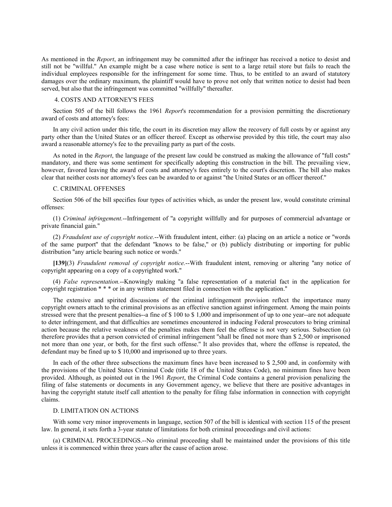As mentioned in the *Report*, an infringement may be committed after the infringer has received a notice to desist and still not be ''willful.'' An example might be a case where notice is sent to a large retail store but fails to reach the individual employees responsible for the infringement for some time. Thus, to be entitled to an award of statutory damages over the ordinary maximum, the plaintiff would have to prove not only that written notice to desist had been served, but also that the infringement was committed ''willfully'' thereafter.

## 4. COSTS AND ATTORNEY'S FEES

Section 505 of the bill follows the 1961 *Report*'s recommendation for a provision permitting the discretionary award of costs and attorney's fees:

In any civil action under this title, the court in its discretion may allow the recovery of full costs by or against any party other than the United States or an officer thereof. Except as otherwise provided by this title, the court may also award a reasonable attorney's fee to the prevailing party as part of the costs.

As noted in the *Report*, the language of the present law could be construed as making the allowance of ''full costs'' mandatory, and there was some sentiment for specifically adopting this construction in the bill. The prevailing view, however, favored leaving the award of costs and attorney's fees entirely to the court's discretion. The bill also makes clear that neither costs nor attorney's fees can be awarded to or against ''the United States or an officer thereof.''

## C. CRIMINAL OFFENSES

Section 506 of the bill specifies four types of activities which, as under the present law, would constitute criminal offenses:

(1) *Criminal infringement.*--Infringement of ''a copyright willfully and for purposes of commercial advantage or private financial gain.''

(2) *Fraudulent use of copyright notice.*--With fraudulent intent, either: (a) placing on an article a notice or ''words of the same purport'' that the defendant ''knows to be false,'' or (b) publicly distributing or importing for public distribution ''any article bearing such notice or words.''

**[139]**(3) *Fraudulent removal of copyright notice.*--With fraudulent intent, removing or altering ''any notice of copyright appearing on a copy of a copyrighted work.''

(4) *False representation.*--Knowingly making ''a false representation of a material fact in the application for copyright registration \* \* \* or in any written statement filed in connection with the application.''

The extensive and spirited discussions of the criminal infringement provision reflect the importance many copyright owners attach to the criminal provisions as an effective sanction against infringement. Among the main points stressed were that the present penalties--a fine of \$100 to \$1,000 and imprisonment of up to one year--are not adequate to deter infringement, and that difficulties are sometimes encountered in inducing Federal prosecutors to bring criminal action because the relative weakness of the penalties makes them feel the offense is not very serious. Subsection (a) therefore provides that a person convicted of criminal infringement ''shall be fined not more than \$ 2,500 or imprisoned not more than one year, or both, for the first such offense.'' It also provides that, where the offense is repeated, the defendant may be fined up to \$ 10,000 and imprisoned up to three years.

In each of the other three subsections the maximum fines have been increased to \$ 2,500 and, in conformity with the provisions of the United States Criminal Code (title 18 of the United States Code), no minimum fines have been provided. Although, as pointed out in the 1961 *Report*, the Criminal Code contains a general provision penalizing the filing of false statements or documents in any Government agency, we believe that there are positive advantages in having the copyright statute itself call attention to the penalty for filing false information in connection with copyright claims.

#### D. LIMITATION ON ACTIONS

With some very minor improvements in language, section 507 of the bill is identical with section 115 of the present law. In general, it sets forth a 3-year statute of limitations for both criminal proceedings and civil actions:

(a) CRIMINAL PROCEEDINGS.--No criminal proceeding shall be maintained under the provisions of this title unless it is commenced within three years after the cause of action arose.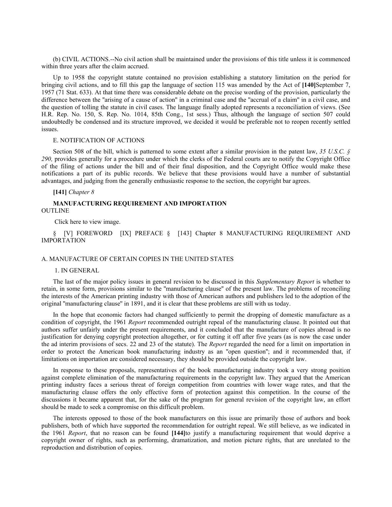(b) CIVIL ACTIONS.--No civil action shall be maintained under the provisions of this title unless it is commenced within three years after the claim accrued.

Up to 1958 the copyright statute contained no provision establishing a statutory limitation on the period for bringing civil actions, and to fill this gap the language of section 115 was amended by the Act of **[140]**September 7, 1957 (71 Stat. 633). At that time there was considerable debate on the precise wording of the provision, particularly the difference between the ''arising of a cause of action'' in a criminal case and the ''accrual of a claim'' in a civil case, and the question of tolling the statute in civil cases. The language finally adopted represents a reconciliation of views. (See H.R. Rep. No. 150, S. Rep. No. 1014, 85th Cong., 1st sess.) Thus, although the language of section 507 could undoubtedly be condensed and its structure improved, we decided it would be preferable not to reopen recently settled issues.

### E. NOTIFICATION OF ACTIONS

Section 508 of the bill, which is patterned to some extent after a similar provision in the patent law, *35 U.S.C. § 290,* provides generally for a procedure under which the clerks of the Federal courts are to notify the Copyright Office of the filing of actions under the bill and of their final disposition, and the Copyright Office would make these notifications a part of its public records. We believe that these provisions would have a number of substantial advantages, and judging from the generally enthusiastic response to the section, the copyright bar agrees.

#### **[141]** *Chapter 8*

## **MANUFACTURING REQUIREMENT AND IMPORTATION** OUTLINE

Click here to view image.

§ [V] FOREWORD [IX] PREFACE § [143] Chapter 8 MANUFACTURING REQUIREMENT AND IMPORTATION

### A. MANUFACTURE OF CERTAIN COPIES IN THE UNITED STATES

#### 1. IN GENERAL

The last of the major policy issues in general revision to be discussed in this *Supplementary Report* is whether to retain, in some form, provisions similar to the ''manufacturing clause'' of the present law. The problems of reconciling the interests of the American printing industry with those of American authors and publishers led to the adoption of the original ''manufacturing clause'' in 1891, and it is clear that these problems are still with us today.

In the hope that economic factors had changed sufficiently to permit the dropping of domestic manufacture as a condition of copyright, the 1961 *Report* recommended outright repeal of the manufacturing clause. It pointed out that authors suffer unfairly under the present requirements, and it concluded that the manufacture of copies abroad is no justification for denying copyright protection altogether, or for cutting it off after five years (as is now the case under the ad interim provisions of secs. 22 and 23 of the statute). The *Report* regarded the need for a limit on importation in order to protect the American book manufacturing industry as an ''open question''; and it recommended that, if limitations on importation are considered necessary, they should be provided outside the copyright law.

In response to these proposals, representatives of the book manufacturing industry took a very strong position against complete elimination of the manufacturing requirements in the copyright law. They argued that the American printing industry faces a serious threat of foreign competition from countries with lower wage rates, and that the manufacturing clause offers the only effective form of protection against this competition. In the course of the discussions it became apparent that, for the sake of the program for general revision of the copyright law, an effort should be made to seek a compromise on this difficult problem.

The interests opposed to those of the book manufacturers on this issue are primarily those of authors and book publishers, both of which have supported the recommendation for outright repeal. We still believe, as we indicated in the 1961 *Report*, that no reason can be found **[144]**to justify a manufacturing requirement that would deprive a copyright owner of rights, such as performing, dramatization, and motion picture rights, that are unrelated to the reproduction and distribution of copies.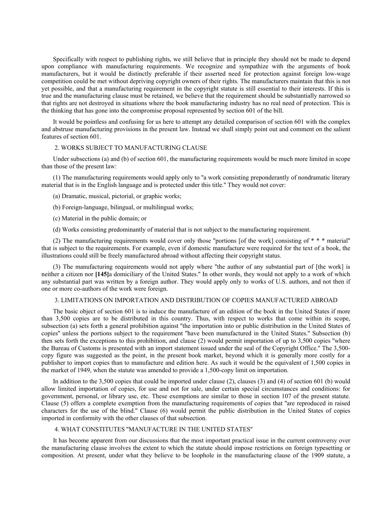Specifically with respect to publishing rights, we still believe that in principle they should not be made to depend upon compliance with manufacturing requirements. We recognize and sympathize with the arguments of book manufacturers, but it would be distinctly preferable if their asserted need for protection against foreign low-wage competition could be met without depriving copyright owners of their rights. The manufacturers maintain that this is not yet possible, and that a manufacturing requirement in the copyright statute is still essential to their interests. If this is true and the manufacturing clause must be retained, we believe that the requirement should be substantially narrowed so that rights are not destroyed in situations where the book manufacturing industry has no real need of protection. This is the thinking that has gone into the compromise proposal represented by section 601 of the bill.

It would be pointless and confusing for us here to attempt any detailed comparison of section 601 with the complex and abstruse manufacturing provisions in the present law. Instead we shall simply point out and comment on the salient features of section 601.

# 2. WORKS SUBJECT TO MANUFACTURING CLAUSE

Under subsections (a) and (b) of section 601, the manufacturing requirements would be much more limited in scope than those of the present law:

(1) The manufacturing requirements would apply only to ''a work consisting preponderantly of nondramatic literary material that is in the English language and is protected under this title.'' They would not cover:

(a) Dramatic, musical, pictorial, or graphic works;

- (b) Foreign-language, bilingual, or multilingual works;
- (c) Material in the public domain; or

(d) Works consisting predominantly of material that is not subject to the manufacturing requirement.

(2) The manufacturing requirements would cover only those ''portions [of the work] consisting of \* \* \* material'' that is subject to the requirements. For example, even if domestic manufacture were required for the text of a book, the illustrations could still be freely manufactured abroad without affecting their copyright status.

(3) The manufacturing requirements would not apply where ''the author of any substantial part of [the work] is neither a citizen nor **[145]**a domiciliary of the United States.'' In other words, they would not apply to a work of which any substantial part was written by a foreign author. They would apply only to works of U.S. authors, and not then if one or more co-authors of the work were foreign.

# 3. LIMITATIONS ON IMPORTATION AND DISTRIBUTION OF COPIES MANUFACTURED ABROAD

The basic object of section 601 is to induce the manufacture of an edition of the book in the United States if more than 3,500 copies are to be distributed in this country. Thus, with respect to works that come within its scope, subsection (a) sets forth a general prohibition against ''the importation into or public distribution in the United States of copies'' unless the portions subject to the requirement ''have been manufactured in the United States.'' Subsection (b) then sets forth the exceptions to this prohibition, and clause (2) would permit importation of up to 3,500 copies ''where the Bureau of Customs is presented with an import statement issued under the seal of the Copyright Office.'' The 3,500 copy figure was suggested as the point, in the present book market, beyond which it is generally more costly for a publisher to import copies than to manufacture and edition here. As such it would be the equivalent of 1,500 copies in the market of 1949, when the statute was amended to provide a 1,500-copy limit on importation.

In addition to the 3,500 copies that could be imported under clause (2), clauses (3) and (4) of section 601 (b) would allow limited importation of copies, for use and not for sale, under certain special circumstances and conditions: for government, personal, or library use, etc. These exemptions are similar to those in section 107 of the present statute. Clause (5) offers a complete exemption from the manufacturing requirements of copies that ''are reproduced in raised characters for the use of the blind.'' Clause (6) would permit the public distribution in the United States of copies imported in conformity with the other clauses of that subsection.

### 4. WHAT CONSTITUTES ''MANUFACTURE IN THE UNITED STATES''

It has become apparent from our discussions that the most important practical issue in the current controversy over the manufacturing clause involves the extent to which the statute should impose restrictions on foreign typesetting or composition. At present, under what they believe to be loophole in the manufacturing clause of the 1909 statute, a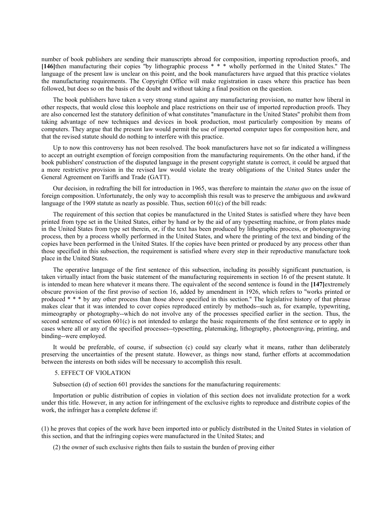number of book publishers are sending their manuscripts abroad for composition, importing reproduction proofs, and **[146]**then manufacturing their copies ''by lithographic process \* \* \* wholly performed in the United States.'' The language of the present law is unclear on this point, and the book manufacturers have argued that this practice violates the manufacturing requirements. The Copyright Office will make registration in cases where this practice has been followed, but does so on the basis of the doubt and without taking a final position on the question.

The book publishers have taken a very strong stand against any manufacturing provision, no matter how liberal in other respects, that would close this loophole and place restrictions on their use of imported reproduction proofs. They are also concerned lest the statutory definition of what constitutes ''manufacture in the United States'' prohibit them from taking advantage of new techniques and devices in book production, most particularly composition by means of computers. They argue that the present law would permit the use of imported computer tapes for composition here, and that the revised statute should do nothing to interfere with this practice.

Up to now this controversy has not been resolved. The book manufacturers have not so far indicated a willingness to accept an outright exemption of foreign composition from the manufacturing requirements. On the other hand, if the book publishers' construction of the disputed language in the present copyright statute is correct, it could be argued that a more restrictive provision in the revised law would violate the treaty obligations of the United States under the General Agreement on Tariffs and Trade (GATT).

Our decision, in redrafting the bill for introduction in 1965, was therefore to maintain the *status quo* on the issue of foreign composition. Unfortunately, the only way to accomplish this result was to preserve the ambiguous and awkward language of the 1909 statute as nearly as possible. Thus, section 601(c) of the bill reads:

The requirement of this section that copies be manufactured in the United States is satisfied where they have been printed from type set in the United States, either by hand or by the aid of any typesetting machine, or from plates made in the United States from type set therein, or, if the text has been produced by lithographic process, or photoengraving process, then by a process wholly performed in the United States, and where the printing of the text and binding of the copies have been performed in the United States. If the copies have been printed or produced by any process other than those specified in this subsection, the requirement is satisfied where every step in their reproductive manufacture took place in the United States.

The operative language of the first sentence of this subsection, including its possibly significant punctuation, is taken virtually intact from the basic statement of the manufacturing requirements in section 16 of the present statute. It is intended to mean here whatever it means there. The equivalent of the second sentence is found in the **[147]**extremely obscure provision of the first proviso of section 16, added by amendment in 1926, which refers to ''works printed or produced \* \* \* by any other process than those above specified in this section.'' The legislative history of that phrase makes clear that it was intended to cover copies reproduced entirely by methods--such as, for example, typewriting, mimeography or photography--which do not involve any of the processes specified earlier in the section. Thus, the second sentence of section 601(c) is not intended to enlarge the basic requirements of the first sentence or to apply in cases where all or any of the specified processes--typesetting, platemaking, lithography, photoengraving, printing, and binding--were employed.

It would be preferable, of course, if subsection (c) could say clearly what it means, rather than deliberately preserving the uncertainties of the present statute. However, as things now stand, further efforts at accommodation between the interests on both sides will be necessary to accomplish this result.

## 5. EFFECT OF VIOLATION

Subsection (d) of section 601 provides the sanctions for the manufacturing requirements:

Importation or public distribution of copies in violation of this section does not invalidate protection for a work under this title. However, in any action for infringement of the exclusive rights to reproduce and distribute copies of the work, the infringer has a complete defense if:

(1) he proves that copies of the work have been imported into or publicly distributed in the United States in violation of this section, and that the infringing copies were manufactured in the United States; and

(2) the owner of such exclusive rights then fails to sustain the burden of proving either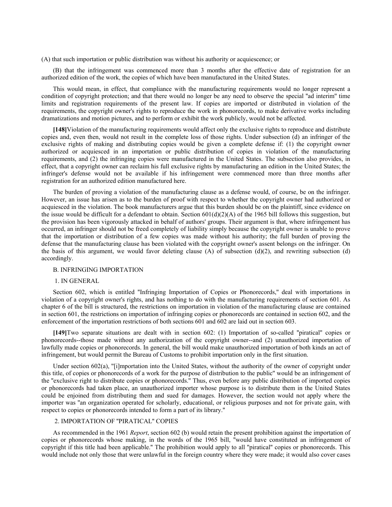(A) that such importation or public distribution was without his authority or acquiescence; or

(B) that the infringement was commenced more than 3 months after the effective date of registration for an authorized edition of the work, the copies of which have been manufactured in the United States.

This would mean, in effect, that compliance with the manufacturing requirements would no longer represent a condition of copyright protection; and that there would no longer be any need to observe the special ''ad interim'' time limits and registration requirements of the present law. If copies are imported or distributed in violation of the requirements, the copyright owner's rights to reproduce the work in phonorecords, to make derivative works including dramatizations and motion pictures, and to perform or exhibit the work publicly, would not be affected.

**[148]**Violation of the manufacturing requirements would affect only the exclusive rights to reproduce and distribute copies and, even then, would not result in the complete loss of those rights. Under subsection (d) an infringer of the exclusive rights of making and distributing copies would be given a complete defense if: (1) the copyright owner authorized or acquiesced in an importation or public distribution of copies in violation of the manufacturing requirements, and (2) the infringing copies were manufactured in the United States. The subsection also provides, in effect, that a copyright owner can reclaim his full exclusive rights by manufacturing an edition in the United States; the infringer's defense would not be available if his infringement were commenced more than three months after registration for an authorized edition manufactured here.

The burden of proving a violation of the manufacturing clause as a defense would, of course, be on the infringer. However, an issue has arisen as to the burden of proof with respect to whether the copyright owner had authorized or acquiesced in the violation. The book manufacturers argue that this burden should be on the plaintiff, since evidence on the issue would be difficult for a defendant to obtain. Section  $601(d)(2)(A)$  of the 1965 bill follows this suggestion, but the provision has been vigorously attacked in behalf of authors' groups. Their argument is that, where infringement has occurred, an infringer should not be freed completely of liability simply because the copyright owner is unable to prove that the importation or distribution of a few copies was made without his authority; the full burden of proving the defense that the manufacturing clause has been violated with the copyright owner's assent belongs on the infringer. On the basis of this argument, we would favor deleting clause (A) of subsection  $(d)(2)$ , and rewriting subsection (d) accordingly.

## B. INFRINGING IMPORTATION

#### 1. IN GENERAL

Section 602, which is entitled ''Infringing Importation of Copies or Phonorecords,'' deal with importations in violation of a copyright owner's rights, and has nothing to do with the manufacturing requirements of section 601. As chapter 6 of the bill is structured, the restrictions on importation in violation of the manufacturing clause are contained in section 601, the restrictions on importation of infringing copies or phonorecords are contained in section 602, and the enforcement of the importation restrictions of both sections 601 and 602 are laid out in section 603.

**[149]**Two separate situations are dealt with in section 602: (1) Importation of so-called ''piratical'' copies or phonorecords--those made without any authorization of the copyright owner--and (2) unauthorized importation of lawfully made copies or phonorecords. In general, the bill would make unauthorized importation of both kinds an act of infringement, but would permit the Bureau of Customs to prohibit importation only in the first situation.

Under section 602(a), "[i]mportation into the United States, without the authority of the owner of copyright under this title, of copies or phonorecords of a work for the purpose of distribution to the public'' would be an infringement of the ''exclusive right to distribute copies or phonorecords.'' Thus, even before any public distribution of imported copies or phonorecords had taken place, an unauthorized importer whose purpose is to distribute them in the United States could be enjoined from distributing them and sued for damages. However, the section would not apply where the importer was ''an organization operated for scholarly, educational, or religious purposes and not for private gain, with respect to copies or phonorecords intended to form a part of its library.''

#### 2. IMPORTATION OF ''PIRATICAL'' COPIES

As recommended in the 1961 *Report*, section 602 (b) would retain the present prohibition against the importation of copies or phonorecords whose making, in the words of the 1965 bill, ''would have constituted an infringement of copyright if this title had been applicable.'' The prohibition would apply to all ''piratical'' copies or phonorecords. This would include not only those that were unlawful in the foreign country where they were made; it would also cover cases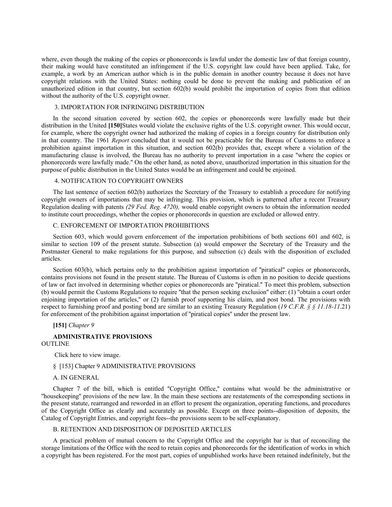where, even though the making of the copies or phonorecords is lawful under the domestic law of that foreign country, their making would have constituted an infringement if the U.S. copyright law could have been applied. Take, for example, a work by an American author which is in the public domain in another country because it does not have copyright relations with the United States: nothing could be done to prevent the making and publication of an unauthorized edition in that country, but section 602(b) would prohibit the importation of copies from that edition without the authority of the U.S. copyright owner.

## 3. IMPORTATION FOR INFRINGING DISTRIBUTION

In the second situation covered by section 602, the copies or phonorecords were lawfully made but their distribution in the United **[150]**States would violate the exclusive rights of the U.S. copyright owner. This would occur, for example, where the copyright owner had authorized the making of copies in a foreign country for distribution only in that country. The 1961 *Report* concluded that it would not be practicable for the Bureau of Customs to enforce a prohibition against importation in this situation, and section 602(b) provides that, except where a violation of the manufacturing clause is involved, the Bureau has no authority to prevent importation in a case ''where the copies or phonorecords were lawfully made.'' On the other hand, as noted above, unauthorized importation in this situation for the purpose of public distribution in the United States would be an infringement and could be enjoined.

## 4. NOTIFICATION TO COPYRIGHT OWNERS

The last sentence of section 602(b) authorizes the Secretary of the Treasury to establish a procedure for notifying copyright owners of importations that may be infringing. This provision, which is patterned after a recent Treasury Regulation dealing with patents *(29 Fed. Reg. 4720),* would enable copyright owners to obtain the information needed to institute court proceedings, whether the copies or phonorecords in question are excluded or allowed entry.

# C. ENFORCEMENT OF IMPORTATION PROHIBITIONS

Section 603, which would govern enforcement of the importation prohibitions of both sections 601 and 602, is similar to section 109 of the present statute. Subsection (a) would empower the Secretary of the Treasury and the Postmaster General to make regulations for this purpose, and subsection (c) deals with the disposition of excluded articles.

Section 603(b), which pertains only to the prohibition against importation of "piratical" copies or phonorecords, contains provisions not found in the present statute. The Bureau of Customs is often in no position to decide questions of law or fact involved in determining whether copies or phonorecords are ''piratical.'' To meet this problem, subsection (b) would permit the Customs Regulations to require ''that the person seeking exclusion'' either: (1) ''obtain a court order enjoining importation of the articles," or (2) furnish proof supporting his claim, and post bond. The provisions with respect to furnishing proof and posting bond are similar to an existing Treasury Regulation (*19 C.F.R. § § 11.18-11*.21) for enforcement of the prohibition against importation of ''piratical copies'' under the present law.

**[151]** *Chapter 9*

# **ADMINISTRATIVE PROVISIONS**

OUTLINE

Click here to view image.

# § [153] Chapter 9 ADMINISTRATIVE PROVISIONS

## A. IN GENERAL

Chapter 7 of the bill, which is entitled ''Copyright Office,'' contains what would be the administrative or ''housekeeping'' provisions of the new law. In the main these sections are restatements of the corresponding sections in the present statute, rearranged and reworded in an effort to present the organization, operating functions, and procedures of the Copyright Office as clearly and accurately as possible. Except on three points--disposition of deposits, the Catalog of Copyright Entries, and copyright fees--the provisions seem to be self-explanatory.

# B. RETENTION AND DISPOSITION OF DEPOSITED ARTICLES

A practical problem of mutual concern to the Copyright Office and the copyright bar is that of reconciling the storage limitations of the Office with the need to retain copies and phonorecords for the identification of works in which a copyright has been registered. For the most part, copies of unpublished works have been retained indefinitely, but the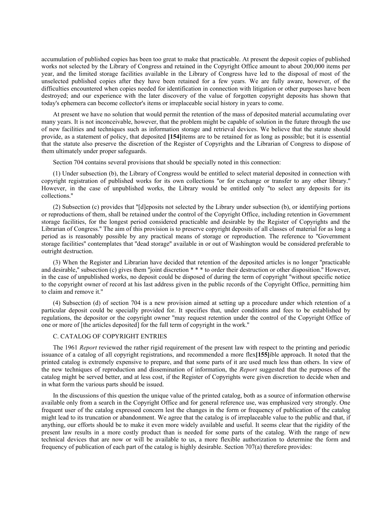accumulation of published copies has been too great to make that practicable. At present the deposit copies of published works not selected by the Library of Congress and retained in the Copyright Office amount to about 200,000 items per year, and the limited storage facilities available in the Library of Congress have led to the disposal of most of the unselected published copies after they have been retained for a few years. We are fully aware, however, of the difficulties encountered when copies needed for identification in connection with litigation or other purposes have been destroyed; and our experience with the later discovery of the value of forgotten copyright deposits has shown that today's ephemera can become collector's items or irreplaceable social history in years to come.

At present we have no solution that would permit the retention of the mass of deposited material accumulating over many years. It is not inconceivable, however, that the problem might be capable of solution in the future through the use of new facilities and techniques such as information storage and retrieval devices. We believe that the statute should provide, as a statement of policy, that deposited **[154]**items are to be retained for as long as possible; but it is essential that the statute also preserve the discretion of the Register of Copyrights and the Librarian of Congress to dispose of them ultimately under proper safeguards.

Section 704 contains several provisions that should be specially noted in this connection:

(1) Under subsection (b), the Library of Congress would be entitled to select material deposited in connection with copyright registration of published works for its own collections ''or for exchange or transfer to any other library.'' However, in the case of unpublished works, the Library would be entitled only ''to select any deposits for its collections.''

(2) Subsection (c) provides that ''[d]eposits not selected by the Library under subsection (b), or identifying portions or reproductions of them, shall be retained under the control of the Copyright Office, including retention in Government storage facilities, for the longest period considered practicable and desirable by the Register of Copyrights and the Librarian of Congress.'' The aim of this provision is to preserve copyright deposits of all classes of material for as long a period as is reasonably possible by any practical means of storage or reproduction. The reference to ''Government storage facilities'' contemplates that ''dead storage'' available in or out of Washington would be considered preferable to outright destruction.

(3) When the Register and Librarian have decided that retention of the deposited articles is no longer ''practicable and desirable," subsection (c) gives them "joint discretion \* \* \* to order their destruction or other disposition." However, in the case of unpublished works, no deposit could be disposed of during the term of copyright ''without specific notice to the copyright owner of record at his last address given in the public records of the Copyright Office, permitting him to claim and remove it.''

(4) Subsection (d) of section 704 is a new provision aimed at setting up a procedure under which retention of a particular deposit could be specially provided for. It specifies that, under conditions and fees to be established by regulations, the depositor or the copyright owner ''may request retention under the control of the Copyright Office of one or more of [the articles deposited] for the full term of copyright in the work.''

#### C. CATALOG OF COPYRIGHT ENTRIES

The 1961 *Report* reviewed the rather rigid requirement of the present law with respect to the printing and periodic issuance of a catalog of all copyright registrations, and recommended a more flex**[155]**ible approach. It noted that the printed catalog is extremely expensive to prepare, and that some parts of it are used much less than others. In view of the new techniques of reproduction and dissemination of information, the *Report* suggested that the purposes of the catalog might be served better, and at less cost, if the Register of Copyrights were given discretion to decide when and in what form the various parts should be issued.

In the discussions of this question the unique value of the printed catalog, both as a source of information otherwise available only from a search in the Copyright Office and for general reference use, was emphasized very strongly. One frequent user of the catalog expressed concern lest the changes in the form or frequency of publication of the catalog might lead to its truncation or abandonment. We agree that the catalog is of irreplaceable value to the public and that, if anything, our efforts should be to make it even more widely available and useful. It seems clear that the rigidity of the present law results in a more costly product than is needed for some parts of the catalog. With the range of new technical devices that are now or will be available to us, a more flexible authorization to determine the form and frequency of publication of each part of the catalog is highly desirable. Section 707(a) therefore provides: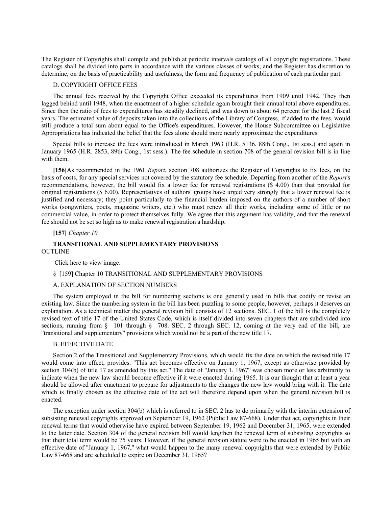The Register of Copyrights shall compile and publish at periodic intervals catalogs of all copyright registrations. These catalogs shall be divided into parts in accordance with the various classes of works, and the Register has discretion to determine, on the basis of practicability and usefulness, the form and frequency of publication of each particular part.

# D. COPYRIGHT OFFICE FEES

The annual fees received by the Copyright Office exceeded its expenditures from 1909 until 1942. They then lagged behind until 1948, when the enactment of a higher schedule again brought their annual total above expenditures. Since then the ratio of fees to expenditures has steadily declined, and was down to about 64 percent for the last 2 fiscal years. The estimated value of deposits taken into the collections of the Library of Congress, if added to the fees, would still produce a total sum about equal to the Office's expenditures. However, the House Subcommittee on Legislative Appropriations has indicated the belief that the fees alone should more nearly approximate the expenditures.

Special bills to increase the fees were introduced in March 1963 (H.R. 5136, 88th Cong., 1st sess.) and again in January 1965 (H.R. 2853, 89th Cong., 1st sess.). The fee schedule in section 708 of the general revision bill is in line with them.

**[156]**As recommended in the 1961 *Report*, section 708 authorizes the Register of Copyrights to fix fees, on the basis of costs, for any special services not covered by the statutory fee schedule. Departing from another of the *Report*'s recommendations, however, the bill would fix a lower fee for renewal registrations (\$ 4.00) than that provided for original registrations (\$ 6.00). Representatives of authors' groups have urged very strongly that a lower renewal fee is justified and necessary; they point particularly to the financial burden imposed on the authors of a number of short works (songwriters, poets, magazine writers, etc.) who must renew all their works, including some of little or no commercial value, in order to protect themselves fully. We agree that this argument has validity, and that the renewal fee should not be set so high as to make renewal registration a hardship.

### **[157]** *Chapter 10*

#### **TRANSITIONAL AND SUPPLEMENTARY PROVISIONS** OUTLINE

Click here to view image.

## § [159] Chapter 10 TRANSITIONAL AND SUPPLEMENTARY PROVISIONS

# A. EXPLANATION OF SECTION NUMBERS

The system employed in the bill for numbering sections is one generally used in bills that codify or revise an existing law. Since the numbering system in the bill has been puzzling to some people, however, perhaps it deserves an explanation. As a technical matter the general revision bill consists of 12 sections. SEC. 1 of the bill is the completely revised text of title 17 of the United States Code, which is itself divided into seven chapters that are subdivided into sections, running from  $\S$  101 through  $\S$  708. SEC. 2 through SEC. 12, coming at the very end of the bill, are ''transitional and supplementary'' provisions which would not be a part of the new title 17.

### B. EFFECTIVE DATE

Section 2 of the Transitional and Supplementary Provisions, which would fix the date on which the revised title 17 would come into effect, provides: ''This act becomes effective on January 1, 1967, except as otherwise provided by section 304(b) of title 17 as amended by this act." The date of "January 1, 1967" was chosen more or less arbitrarily to indicate when the new law should become effective if it were enacted during 1965. It is our thought that at least a year should be allowed after enactment to prepare for adjustments to the changes the new law would bring with it. The date which is finally chosen as the effective date of the act will therefore depend upon when the general revision bill is enacted.

The exception under section 304(b) which is referred to in SEC. 2 has to do primarily with the interim extension of subsisting renewal copyrights approved on September 19, 1962 (Public Law 87-668). Under that act, copyrights in their renewal terms that would otherwise have expired between September 19, 1962 and December 31, 1965, were extended to the latter date. Section 304 of the general revision bill would lengthen the renewal term of subsisting copyrights so that their total term would be 75 years. However, if the general revision statute were to be enacted in 1965 but with an effective date of ''January 1, 1967,'' what would happen to the many renewal copyrights that were extended by Public Law 87-668 and are scheduled to expire on December 31, 1965?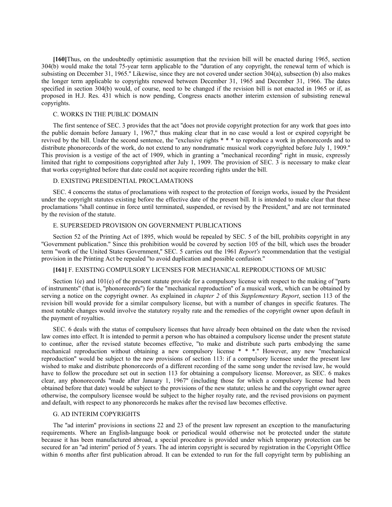**[160]**Thus, on the undoubtedly optimistic assumption that the revision bill will be enacted during 1965, section 304(b) would make the total 75-year term applicable to the ''duration of any copyright, the renewal term of which is subsisting on December 31, 1965.'' Likewise, since they are not covered under section 304(a), subsection (b) also makes the longer term applicable to copyrights renewed between December 31, 1965 and December 31, 1966. The dates specified in section 304(b) would, of course, need to be changed if the revision bill is not enacted in 1965 or if, as proposed in H.J. Res. 431 which is now pending, Congress enacts another interim extension of subsisting renewal copyrights.

## C. WORKS IN THE PUBLIC DOMAIN

The first sentence of SEC. 3 provides that the act ''does not provide copyright protection for any work that goes into the public domain before January 1, 1967,'' thus making clear that in no case would a lost or expired copyright be revived by the bill. Under the second sentence, the ''exclusive rights \* \* \* to reproduce a work in phonorecords and to distribute phonorecords of the work, do not extend to any nondramatic musical work copyrighted before July 1, 1909." This provision is a vestige of the act of 1909, which in granting a ''mechanical recording'' right in music, expressly limited that right to compositions copyrighted after July 1, 1909. The provision of SEC. 3 is necessary to make clear that works copyrighted before that date could not acquire recording rights under the bill.

## D. EXISTING PRESIDENTIAL PROCLAMATIONS

SEC. 4 concerns the status of proclamations with respect to the protection of foreign works, issued by the President under the copyright statutes existing before the effective date of the present bill. It is intended to make clear that these proclamations ''shall continue in force until terminated, suspended, or revised by the President,'' and are not terminated by the revision of the statute.

# E. SUPERSEDED PROVISION ON GOVERNMENT PUBLICATIONS

Section 52 of the Printing Act of 1895, which would be repealed by SEC. 5 of the bill, prohibits copyright in any "Government publication." Since this prohibition would be covered by section 105 of the bill, which uses the broader term ''work of the United States Government,'' SEC. 5 carries out the 1961 *Report's* recommendation that the vestigial provision in the Printing Act be repealed ''to avoid duplication and possible confusion.''

### **[161]** F. EXISTING COMPULSORY LICENSES FOR MECHANICAL REPRODUCTIONS OF MUSIC

Section 1(e) and 101(e) of the present statute provide for a compulsory license with respect to the making of "parts" of instruments'' (that is, ''phonorecords'') for the ''mechanical reproduction'' of a musical work, which can be obtained by serving a notice on the copyright owner. As explained in *chapter 2* of this *Supplementary Report*, section 113 of the revision bill would provide for a similar compulsory license, but with a number of changes in specific features. The most notable changes would involve the statutory royalty rate and the remedies of the copyright owner upon default in the payment of royalties.

SEC. 6 deals with the status of compulsory licenses that have already been obtained on the date when the revised law comes into effect. It is intended to permit a person who has obtained a compulsory license under the present statute to continue, after the revised statute becomes effective, ''to make and distribute such parts embodying the same mechanical reproduction without obtaining a new compulsory license \* \* \*.'' However, any new ''mechanical reproduction'' would be subject to the new provisions of section 113: if a compulsory licensee under the present law wished to make and distribute phonorecords of a different recording of the same song under the revised law, he would have to follow the procedure set out in section 113 for obtaining a compulsory license. Moreover, as SEC. 6 makes clear, any phonorecords ''made after January 1, 1967'' (including those for which a compulsory license had been obtained before that date) would be subject to the provisions of the new statute; unless he and the copyright owner agree otherwise, the compulsory licensee would be subject to the higher royalty rate, and the revised provisions on payment and default, with respect to any phonorecords he makes after the revised law becomes effective.

## G. AD INTERIM COPYRIGHTS

The "ad interim" provisions in sections 22 and 23 of the present law represent an exception to the manufacturing requirements. Where an English-language book or periodical would otherwise not be protected under the statute because it has been manufactured abroad, a special procedure is provided under which temporary protection can be secured for an "ad interim" period of 5 years. The ad interim copyright is secured by registration in the Copyright Office within 6 months after first publication abroad. It can be extended to run for the full copyright term by publishing an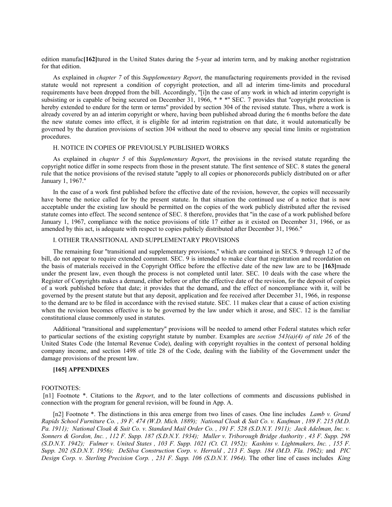edition manufac**[162]**tured in the United States during the 5-year ad interim term, and by making another registration for that edition.

As explained in *chapter 7* of this *Supplementary Report*, the manufacturing requirements provided in the revised statute would not represent a condition of copyright protection, and all ad interim time-limits and procedural requirements have been dropped from the bill. Accordingly, ''[i]n the case of any work in which ad interim copyright is subsisting or is capable of being secured on December 31, 1966,  $***$  SEC. 7 provides that "copyright protection is hereby extended to endure for the term or terms'' provided by section 304 of the revised statute. Thus, where a work is already covered by an ad interim copyright or where, having been published abroad during the 6 months before the date the new statute comes into effect, it is eligible for ad interim registration on that date, it would automatically be governed by the duration provisions of section 304 without the need to observe any special time limits or registration procedures.

# H. NOTICE IN COPIES OF PREVIOUSLY PUBLISHED WORKS

As explained in *chapter 5* of this *Supplementary Report*, the provisions in the revised statute regarding the copyright notice differ in some respects from those in the present statute. The first sentence of SEC. 8 states the general rule that the notice provisions of the revised statute ''apply to all copies or phonorecords publicly distributed on or after January 1, 1967.''

In the case of a work first published before the effective date of the revision, however, the copies will necessarily have borne the notice called for by the present statute. In that situation the continued use of a notice that is now acceptable under the existing law should be permitted on the copies of the work publicly distributed after the revised statute comes into effect. The second sentence of SEC. 8 therefore, provides that ''in the case of a work published before January 1, 1967, compliance with the notice provisions of title 17 either as it existed on December 31, 1966, or as amended by this act, is adequate with respect to copies publicly distributed after December 31, 1966.''

### I. OTHER TRANSITIONAL AND SUPPLEMENTARY PROVISIONS

The remaining four ''transitional and supplementary provisions,'' which are contained in SECS. 9 through 12 of the bill, do not appear to require extended comment. SEC, 9 is intended to make clear that registration and recordation on the basis of materials received in the Copyright Office before the effective date of the new law are to be **[163]**made under the present law, even though the process is not completed until later. SEC. 10 deals with the case where the Register of Copyrights makes a demand, either before or after the effective date of the revision, for the deposit of copies of a work published before that date; it provides that the demand, and the effect of noncompliance with it, will be governed by the present statute but that any deposit, application and fee received after December 31, 1966, in response to the demand are to be filed in accordance with the revised statute. SEC. 11 makes clear that a cause of action existing when the revision becomes effective is to be governed by the law under which it arose, and SEC. 12 is the familiar constitutional clause commonly used in statutes.

Additional ''transitional and supplementary'' provisions will be needed to amend other Federal statutes which refer to particular sections of the existing copyright statute by number. Examples are *section 543(a)(4) of title 26* of the United States Code (the Internal Revenue Code), dealing with copyright royalties in the context of personal holding company income, and section 1498 of title 28 of the Code, dealing with the liability of the Government under the damage provisions of the present law.

# **[165] APPENDIXES**

#### FOOTNOTES:

 [n1] Footnote \*. Citations to the *Report*, and to the later collections of comments and discussions published in connection with the program for general revision, will be found in App. A.

[n2] Footnote \*. The distinctions in this area emerge from two lines of cases. One line includes *Lamb v. Grand Rapids School Furniture Co. , 39 F. 474 (W.D. Mich. 1889); National Cloak & Suit Co. v. Kaufman , 189 F. 215 (M.D.*  Pa. 1911); National Cloak & Suit Co. v. Standard Mail Order Co., 191 F. 528 (S.D.N.Y. 1911); Jack Adelman, Inc. v. *Sonners & Gordon, Inc. , 112 F. Supp. 187 (S.D.N.Y. 1934); Muller v. Triborough Bridge Authority , 43 F. Supp. 298 (S.D.N.Y. 1942); Fulmer v. United States , 103 F. Supp. 1021 (Ct. Cl. 1952); Kashins v. Lightmakers, Inc. , 155 F. Supp. 202 (S.D.N.Y. 1956); DeSilva Construction Corp. v. Herrald , 213 F. Supp. 184 (M.D. Fla. 1962);* and *PIC Design Corp. v. Sterling Precision Corp. , 231 F. Supp. 106 (S.D.N.Y. 1964).* The other line of cases includes *King*